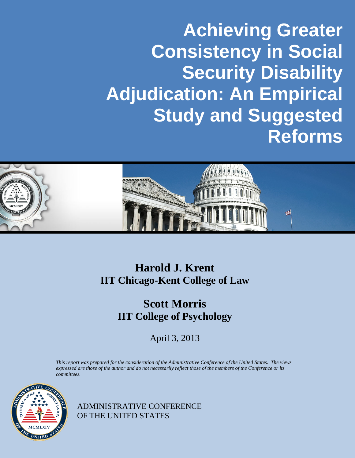**Achieving Greater Consistency in Social Security Disability Adjudication: An Empirical Study and Suggested Reforms**



# **Harold J. Krent IIT Chicago-Kent College of Law**

# **Scott Morris IIT College of Psychology**

April 3, 2013

 *This report was prepared for the consideration of the Administrative Conference of the United States. The views expressed are those of the author and do not necessarily reflect those of the members of the Conference or its committees.*



ADMINISTRATIVE CONFERENCE OF THE UNITED STATES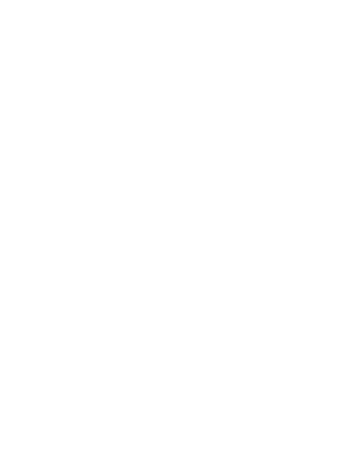<span id="page-1-0"></span>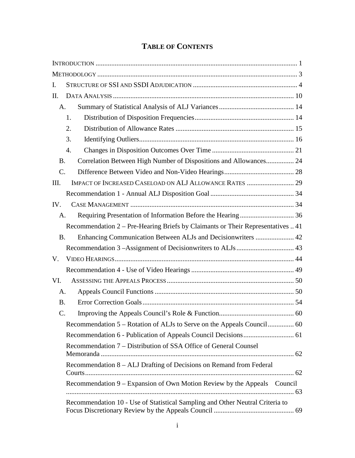# **TABLE OF CONTENTS**

| I.        |                                                                                 |  |
|-----------|---------------------------------------------------------------------------------|--|
| II.       |                                                                                 |  |
| A.        |                                                                                 |  |
|           | 1.                                                                              |  |
|           | 2.                                                                              |  |
|           | 3.                                                                              |  |
|           | $\overline{4}$ .                                                                |  |
| <b>B.</b> | Correlation Between High Number of Dispositions and Allowances 24               |  |
| C.        |                                                                                 |  |
| III.      |                                                                                 |  |
|           |                                                                                 |  |
| IV.       |                                                                                 |  |
| A.        |                                                                                 |  |
|           | Recommendation 2 – Pre-Hearing Briefs by Claimants or Their Representatives  41 |  |
| B.        | Enhancing Communication Between ALJs and Decisionwriters  42                    |  |
|           |                                                                                 |  |
| V.        |                                                                                 |  |
|           |                                                                                 |  |
| VI.       |                                                                                 |  |
| A.        |                                                                                 |  |
| <b>B.</b> |                                                                                 |  |
| C.        |                                                                                 |  |
|           |                                                                                 |  |
|           |                                                                                 |  |
|           | Recommendation 7 – Distribution of SSA Office of General Counsel                |  |
|           | Recommendation 8 - ALJ Drafting of Decisions on Remand from Federal             |  |
|           | Recommendation 9 – Expansion of Own Motion Review by the Appeals Council        |  |
|           | Recommendation 10 - Use of Statistical Sampling and Other Neutral Criteria to   |  |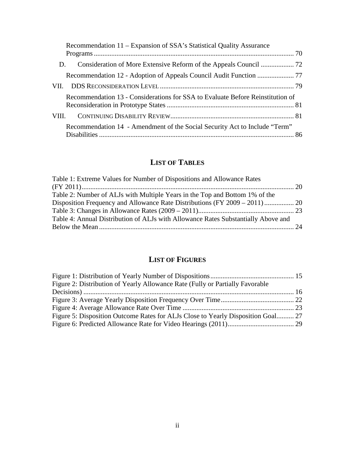| Recommendation 11 – Expansion of SSA's Statistical Quality Assurance           |  |
|--------------------------------------------------------------------------------|--|
|                                                                                |  |
| D.                                                                             |  |
|                                                                                |  |
|                                                                                |  |
| Recommendation 13 - Considerations for SSA to Evaluate Before Reinstitution of |  |
|                                                                                |  |
| Recommendation 14 - Amendment of the Social Security Act to Include "Term"     |  |
|                                                                                |  |

# **LIST OF TABLES**

| Table 1: Extreme Values for Number of Dispositions and Allowance Rates            |  |
|-----------------------------------------------------------------------------------|--|
|                                                                                   |  |
| Table 2: Number of ALJs with Multiple Years in the Top and Bottom 1% of the       |  |
|                                                                                   |  |
|                                                                                   |  |
| Table 4: Annual Distribution of ALJs with Allowance Rates Substantially Above and |  |
|                                                                                   |  |
|                                                                                   |  |

# **LIST OF FIGURES**

| Figure 2: Distribution of Yearly Allowance Rate (Fully or Partially Favorable    |  |
|----------------------------------------------------------------------------------|--|
|                                                                                  |  |
|                                                                                  |  |
|                                                                                  |  |
| Figure 5: Disposition Outcome Rates for ALJs Close to Yearly Disposition Goal 27 |  |
|                                                                                  |  |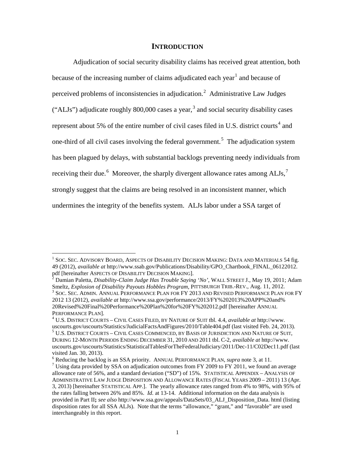### **INTRODUCTION**

<span id="page-4-0"></span>Adjudication of social security disability claims has received great attention, both because of the increasing number of claims adjudicated each year<sup>[1](#page-1-0)</sup> and because of perceived problems of inconsistencies in adjudication.<sup>[2](#page-4-1)</sup> Administrative Law Judges ("ALJs") adjudicate roughly 800,000 cases a year,<sup>[3](#page-4-2)</sup> and social security disability cases represent about 5% of the entire number of civil cases filed in U.S. district courts<sup>[4](#page-4-3)</sup> and one-third of all civil cases involving the federal government.<sup>[5](#page-4-4)</sup> The adjudication system has been plagued by delays, with substantial backlogs preventing needy individuals from receiving their due.<sup>[6](#page-4-5)</sup> Moreover, the sharply divergent allowance rates among ALJs,<sup>[7](#page-4-6)</sup> strongly suggest that the claims are being resolved in an inconsistent manner, which undermines the integrity of the benefits system. ALJs labor under a SSA target of

<sup>&</sup>lt;sup>1</sup> Soc. Sec. Advisory Board, Aspects of Disability Decision Making: Data and Materials 54 fig. 49 (2012), *available at* http://www.ssab.gov/Publications/Disability/GPO\_Chartbook\_FINAL\_06122012.

<span id="page-4-2"></span><span id="page-4-1"></span><sup>&</sup>lt;sup>2</sup> Damian Paletta, *Disability-Claim Judge Has Trouble Saying 'No'*, WALL STREET J., May 19, 2011; Adam Smeltz, *Explosion of Disability Payouts Hobbles Program*, PITTSBURGH TRIB.-REV., Aug. 11, 2012. <sup>3</sup> Soc. Sec. Admin. Annual Performance Plan for FY 2013 and Revised Performance Plan for FY 2012 13 (2012), *available at* http://www.ssa.gov/performance/2013/FY%202013%20APP%20and% 20Revised%20Final%20Performance%20Plan%20for%20FY%202012.pdf [hereinafter ANNUAL

<span id="page-4-7"></span><span id="page-4-4"></span><span id="page-4-3"></span>PERFORMANCE PLAN].<br><sup>4</sup> U.S. DISTRICT COURTS – CIVIL CASES FILED, BY NATURE OF SUIT tbl. 4.4, *available at* http://www.<br>uscourts.gov/uscourts/Statistics/JudicialFactsAndFigures/2010/Table404.pdf (last visited Feb. 24, 2013  $5$  U.S. DISTRICT COURTS – CIVIL CASES COMMENCED, BY BASIS OF JURISDICTION AND NATURE OF SUIT, DURING 12-MONTH PERIODS ENDING DECEMBER 31, 2010 AND 2011 tbl. C-2, *available at* http://www. uscourts.gov/uscourts/Statistics/StatisticalTablesForTheFederalJudiciary/2011/Dec-11/C02Dec11.pdf (last visited Jan. 30, 2013).<br><sup>6</sup> Reducing the backlog is an SSA priority. ANNUAL PERFORMANCE PLAN, *supra* note 3, at 11.

<span id="page-4-6"></span><span id="page-4-5"></span><sup>&</sup>lt;sup>7</sup> Using data provided by SSA on adjudication outcomes from FY 2009 to FY 2011, we found an average allowance rate of 56%, and a standard deviation ("SD") of 15%. STATISTICAL APPENDIX – ANALYSIS OF ADMINISTRATIVE LAW JUDGE DISPOSITION AND ALLOWANCE RATES (FISCAL YEARS 2009 – 2011) 13 (Apr. 3, 2013) [hereinafter STATISTICAL APP.]. The yearly allowance rates ranged from 4% to 98%, with 95% of the rates falling between 26% and 85%. *Id.* at 13-14. Additional information on the data analysis is provided in Part II**;** *see also* http://www.ssa.gov/appeals/DataSets/03\_ALJ\_Disposition\_Data. html (listing disposition rates for all SSA ALJs). Note that the terms "allowance," "grant," and "favorable" are used interchangeably in this report.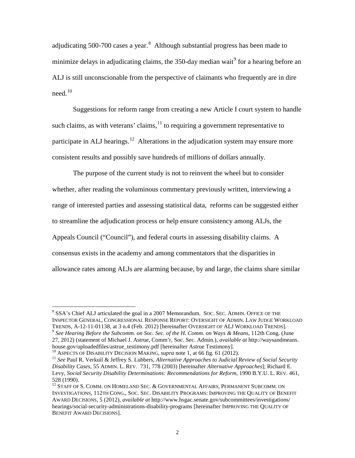adjudicating 500-700 cases a year. $8$  Although substantial progress has been made to minimize delays in adjudicating claims, the 350-day median wait<sup>[9](#page-5-0)</sup> for a hearing before an ALJ is still unconscionable from the perspective of claimants who frequently are in dire need.<sup>[10](#page-5-1)</sup>

Suggestions for reform range from creating a new Article I court system to handle such claims, as with veterans' claims,  $11$  to requiring a government representative to participate in ALJ hearings.<sup>12</sup> Alterations in the adjudication system may ensure more consistent results and possibly save hundreds of millions of dollars annually.

The purpose of the current study is not to reinvent the wheel but to consider whether, after reading the voluminous commentary previously written, interviewing a range of interested parties and assessing statistical data, reforms can be suggested either to streamline the adjudication process or help ensure consistency among ALJs, the Appeals Council ("Council"), and federal courts in assessing disability claims. A consensus exists in the academy and among commentators that the disparities in allowance rates among ALJs are alarming because, by and large, the claims share similar

 <sup>8</sup> SSA's Chief ALJ articulated the goal in a 2007 Memorandum. SOC. SEC. ADMIN. OFFICE OF THE INSPECTOR GENERAL, CONGRESSIONAL RESPONSE REPORT: OVERSIGHT OF ADMIN. LAW JUDGE WORKLOAD<br>TRENDS, A-12-11-01138, at 3 n.4 (Feb. 2012) [hereinafter OVERSIGHT OF ALJ WORKLOAD TRENDS]. <sup>9</sup> See Hearing Before the Subcomm. on Soc. Sec. of the H. Comm. on Ways & Means, 112th Cong. (June

<span id="page-5-0"></span><sup>27, 2012) (</sup>statement of Michael J. Astrue, Comm'r, Soc. Sec. Admin.), *available at* http://waysandmeans.

<span id="page-5-4"></span><span id="page-5-2"></span><span id="page-5-1"></span><sup>&</sup>lt;sup>10</sup> ASPECTS OF DISABILITY DECISION MAKING, *supra* note 1, at 66 fig. 61 (2012).<br><sup>11</sup> See Paul R. Verkuil & Jeffrey S. Lubbers, *Alternative Approaches to Judicial Review of Social Security Disability Cases*, 55 ADMIN. L. REV. 731, 778 (2003) [hereinafter *Alternative Approaches*]; Richard E. Levy, *Social Security Disability Determinations: Recommendations for Reform*, 1990 B.Y.U. L. REV. 461, 528 (1990).<br> $^{12}$  Staff of S. Comm. on Homeland Sec. & Governmental Affairs, Permanent Subcomm. on

<span id="page-5-3"></span>INVESTIGATIONS, 112TH CONG., SOC. SEC. DISABILITY PROGRAMS: IMPROVING THE QUALITY OF BENEFIT AWARD DECISIONS, 5 (2012), *available at* http://www.hsgac.senate.gov/subcommittees/investigations/ hearings/social-security-administrations-disability-programs [hereinafter IMPROVING THE QUALITY OF BENEFIT AWARD DECISIONS].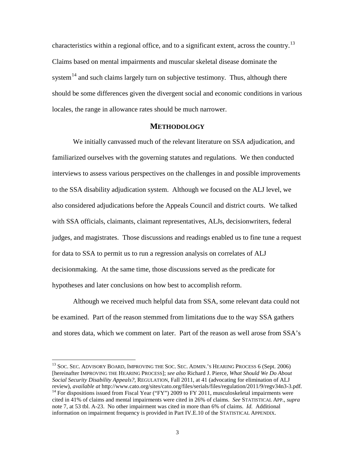characteristics within a regional office, and to a significant extent, across the country.<sup>13</sup> Claims based on mental impairments and muscular skeletal disease dominate the system<sup>[14](#page-6-1)</sup> and such claims largely turn on subjective testimony. Thus, although there should be some differences given the divergent social and economic conditions in various locales, the range in allowance rates should be much narrower.

### **METHODOLOGY**

<span id="page-6-0"></span>We initially canvassed much of the relevant literature on SSA adjudication, and familiarized ourselves with the governing statutes and regulations. We then conducted interviews to assess various perspectives on the challenges in and possible improvements to the SSA disability adjudication system. Although we focused on the ALJ level, we also considered adjudications before the Appeals Council and district courts. We talked with SSA officials, claimants, claimant representatives, ALJs, decisionwriters, federal judges, and magistrates. Those discussions and readings enabled us to fine tune a request for data to SSA to permit us to run a regression analysis on correlates of ALJ decisionmaking. At the same time, those discussions served as the predicate for hypotheses and later conclusions on how best to accomplish reform.

Although we received much helpful data from SSA, some relevant data could not be examined. Part of the reason stemmed from limitations due to the way SSA gathers and stores data, which we comment on later. Part of the reason as well arose from SSA's

<span id="page-6-2"></span><sup>&</sup>lt;sup>13</sup> SOC. SEC. ADVISORY BOARD, IMPROVING THE SOC. SEC. ADMIN.'S HEARING PROCESS 6 (Sept. 2006) [hereinafter IMPROVING THE HEARING PROCESS]; *see also* Richard J. Pierce, *What Should We Do About Social Security Disability Appeals?*, REGULATION, Fall 2011, at 41 (advocating for elimination of ALJ review), *available at* http://www.cato.org/sites/cato.org/files/serials/files/regulation/2011/9/regv34n3-3.pdf. <sup>14</sup> For dispositions issued from Fiscal Year ("FY") <sup>2009</sup> to FY 2011, musculoskeletal impairments were cited in 41% of claims and mental impairments were cited in 26% of claims. *See* STATISTICAL APP., *supra*  note 7, at 53 tbl. A-23. No other impairment was cited in more than 6% of claims. *Id.* Additional

<span id="page-6-1"></span>information on impairment frequency is provided in Part IV.E.10 of the STATISTICAL APPENDIX.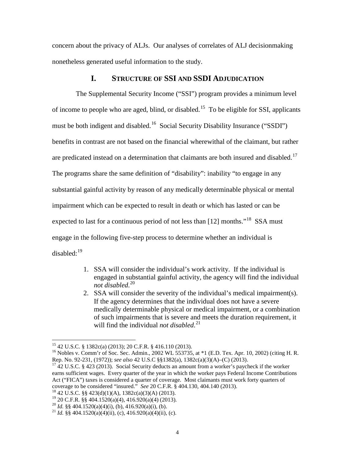concern about the privacy of ALJs. Our analyses of correlates of ALJ decisionmaking nonetheless generated useful information to the study.

# **I. STRUCTURE OF SSI AND SSDI ADJUDICATION**

<span id="page-7-0"></span> The Supplemental Security Income ("SSI") program provides a minimum level of income to people who are aged, blind, or disabled.<sup>[15](#page-6-2)</sup> To be eligible for SSI, applicants must be both indigent and disabled.<sup>[16](#page-7-1)</sup> Social Security Disability Insurance ("SSDI") benefits in contrast are not based on the financial wherewithal of the claimant, but rather are predicated instead on a determination that claimants are both insured and disabled.<sup>[17](#page-7-2)</sup> The programs share the same definition of "disability": inability "to engage in any substantial gainful activity by reason of any medically determinable physical or mental impairment which can be expected to result in death or which has lasted or can be expected to last for a continuous period of not less than  $[12]$  months."<sup>[18](#page-7-3)</sup> SSA must engage in the following five-step process to determine whether an individual is disabled: $19$ 

- 1. SSA will consider the individual's work activity. If the individual is engaged in substantial gainful activity, the agency will find the individual *not disabled*. [20](#page-7-5)
- 2. SSA will consider the severity of the individual's medical impairment(s). If the agency determines that the individual does not have a severe medically determinable physical or medical impairment, or a combination of such impairments that is severe and meets the duration requirement, it will find the individual *not disabled*. [21](#page-7-6)

<span id="page-7-7"></span><span id="page-7-1"></span><sup>&</sup>lt;sup>15</sup> 42 U.S.C. § 1382c(a) (2013); 20 C.F.R. § 416.110 (2013).<br><sup>16</sup> Nobles v. Comm'r of Soc. Sec. Admin., 2002 WL 553735, at \*1 (E.D. Tex. Apr. 10, 2002) (citing H. R.<br>Rep. No. 92-231, (1972)); *see also* 42 U.S.C §§1382(a

<span id="page-7-2"></span><sup>&</sup>lt;sup>17</sup> 42 U.S.C. § 423 (2013). Social Security deducts an amount from a worker's paycheck if the worker earns sufficient wages. Every quarter of the year in which the worker pays Federal Income Contributions Act ("FICA") taxes is considered a quarter of coverage. Most claimants must work forty quarters of coverage to be considered "insured." *See* 20 C.F.R. § 404.130, 404.140 (2013). <sup>18</sup> 42 U.S.C. §§ 423(d)(1)(A), 1382c(a)(3)(A) (2013).

<span id="page-7-3"></span>

<span id="page-7-5"></span><span id="page-7-4"></span><sup>&</sup>lt;sup>19</sup> 20 C.F.R. §§ 404.1520(a)(4), 416.920(a)(4) (2013).<br><sup>20</sup> *Id.* §§ 404.1520(a)(4)(i), (b), 416.920(a)(i), (b).<br><sup>21</sup> *Id.* §§ 404.1520(a)(4)(ii), (c), 416.920(a)(4)(ii), (c).

<span id="page-7-6"></span>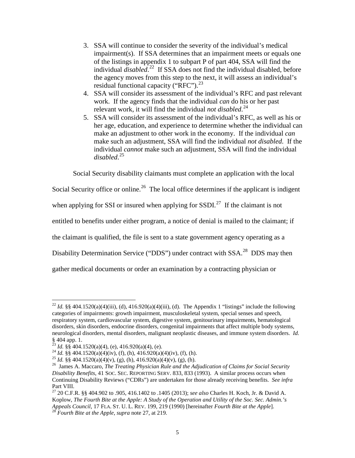- 3. SSA will continue to consider the severity of the individual's medical impairment(s). If SSA determines that an impairment meets or equals one of the listings in appendix 1 to subpart P of part 404, SSA will find the individual *disabled*. [22](#page-7-7) If SSA does not find the individual disabled, before the agency moves from this step to the next, it will assess an individual's residual functional capacity ("RFC"). $^{23}$  $^{23}$  $^{23}$
- 4. SSA will consider its assessment of the individual's RFC and past relevant work. If the agency finds that the individual *can* do his or her past relevant work, it will find the individual *not disabled*. [24](#page-8-1)
- 5. SSA will consider its assessment of the individual's RFC, as well as his or her age, education, and experience to determine whether the individual can make an adjustment to other work in the economy. If the individual *can* make such an adjustment, SSA will find the individual *not disabled*. If the individual *cannot* make such an adjustment, SSA will find the individual *disabled*. [25](#page-8-2)

Social Security disability claimants must complete an application with the local

Social Security office or online.<sup>26</sup> The local office determines if the applicant is indigent when applying for SSI or insured when applying for  $SSDI$ <sup>[27](#page-8-4)</sup> If the claimant is not entitled to benefits under either program, a notice of denial is mailed to the claimant; if the claimant is qualified, the file is sent to a state government agency operating as a Disability Determination Service ("DDS") under contract with SSA.<sup>[28](#page-8-5)</sup> DDS may then gather medical documents or order an examination by a contracting physician or

<span id="page-8-6"></span><sup>&</sup>lt;sup>22</sup> *Id.* §§ 404.1520(a)(4)(iii), (d), 416.920(a)(4)(iii), (d). The Appendix 1 "listings" include the following categories of impairments: growth impairment, musculoskeletal system, special senses and speech, respiratory system, cardiovascular system, digestive system, genitourinary impairments, hematological disorders, skin disorders, endocrine disorders, congenital impairments that affect multiple body systems, neurological disorders, mental disorders, malignant neoplastic diseases, and immune system disorders. *Id.* § 404 app. 1.<br><sup>23</sup> *Id.* §§ 404.1520(a)(4), (e), 416.920(a)(4), (e).

<span id="page-8-3"></span>

<span id="page-8-2"></span><span id="page-8-1"></span><span id="page-8-0"></span><sup>&</sup>lt;sup>24</sup> *Id.* §§ 404.1520(a)(4)(iv), (f), (h), 416.920(a)(4)(iv), (f), (h).<br><sup>25</sup> *Id.* §§ 404.1520(a)(4)(v), (g), (h), 416.920(a)(4)(v), (g), (h).<br><sup>25</sup> James A. Maccaro, *The Treating Physician Rule and the Adjudication of C Disability Benefits*, 41 SOC. SEC. REPORTING SERV. 833, 833 (1993). A similar process occurs when Continuing Disability Reviews ("CDRs") are undertaken for those already receiving benefits. *See infra* Part VIII.

<span id="page-8-5"></span><span id="page-8-4"></span><sup>27</sup> 20 C.F.R. §§ 404.902 to .905, 416.1402 to .1405 (2013); *see also* Charles H. Koch, Jr. & David A. Koplow, *The Fourth Bite at the Apple: A Study of the Operation and Utility of the Soc. Sec. Admin.'s Appeals Council*, 17 FLA. ST. U. L. REV. 199, 219 (1990) [hereinafter *Fourth Bite at the Apple*]. <sup>28</sup> *Fourth Bite at the Apple*, *supra* note 27, at 219*.*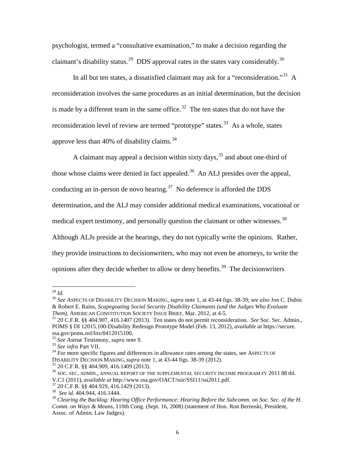psychologist, termed a "consultative examination," to make a decision regarding the claimant's disability status.<sup>29</sup> DDS approval rates in the states vary considerably.<sup>[30](#page-9-0)</sup>

In all but ten states, a dissatisfied claimant may ask for a "reconsideration."<sup>31</sup> A reconsideration involves the same procedures as an initial determination, but the decision is made by a different team in the same office.<sup>[32](#page-9-2)</sup> The ten states that do not have the reconsideration level of review are termed "prototype" states.<sup>33</sup> As a whole, states approve less than 40% of disability claims. $34$ 

A claimant may appeal a decision within sixty days,  $35$  and about one-third of those whose claims were denied in fact appealed.<sup>[36](#page-9-6)</sup> An ALJ presides over the appeal, conducting an in-person de novo hearing.<sup>37</sup> No deference is afforded the DDS determination, and the ALJ may consider additional medical examinations, vocational or medical expert testimony, and personally question the claimant or other witnesses.<sup>38</sup> Although ALJs preside at the hearings, they do not typically write the opinions. Rather, they provide instructions to decisionwriters, who may not even be attorneys, to write the opinions after they decide whether to allow or deny benefits.<sup>39</sup> The decisionwriters

<span id="page-9-10"></span><span id="page-9-0"></span><sup>29</sup> *Id.* <sup>30</sup> *See* ASPECTS OF DISABILITY DECISION MAKING, *supra* note 1, at 43-44 figs. 38-39; *see also* Jon C. Dubin & Robert E. Rains, *Scapegoating Social Security Disability Claimants (and the Judges Who Evaluate* 

<span id="page-9-1"></span>*Them*), AMERICAN CONSTITUTION SOCIETY ISSUE BRIEF, Mar. 2012, at 4-5.<br><sup>31</sup> 20 C.F.R. §§ 404.907, 416.1407 (2013). Ten states do not permit reconsideration. *See* Soc. Sec. Admin., POMS § DI 12015.100-Disability Redesign Prototype Model (Feb. 13, 2012), *available at* https://secure.

<span id="page-9-4"></span>

<span id="page-9-3"></span><span id="page-9-2"></span><sup>&</sup>lt;sup>32</sup> See Astrue Testimony, *supra* note 9.<br><sup>33</sup> See infra Part VII.<br><sup>34</sup> For more specific figures and differences in allowance rates among the states, see ASPECTS OF<br>DISABILITY DECISION MAKING, *supra* note 1, at 43-44 f

<span id="page-9-5"></span><sup>&</sup>lt;sup>35</sup> 20 C.F.R. §§ 404.909, 416.1409 (2013).<br><sup>36</sup> soc. sec. admin., annual report of the supplemental security income program fy 2011 88 tbl.<br>V.C1 (2011), *available at http://www.ssa.gov/OACT/ssir/SSI11/ssi2011.pdf.* 

<span id="page-9-7"></span><span id="page-9-6"></span>

<span id="page-9-9"></span>

<span id="page-9-8"></span><sup>&</sup>lt;sup>37</sup> 20 C.F.R. §§ 404.929, 416.1429 (2013).<br><sup>38</sup> See id. 404.944, 416.1444.<br><sup>39</sup> Clearing the Backlog: Hearing Office Performance: Hearing Before the Subcomm. on Soc. Sec. of the H. *Comm. on Ways & Means*, 110th Cong. (Sept. 16, 2008) (statement of Hon. Ron Bernoski, President, Assoc. of Admin. Law Judges).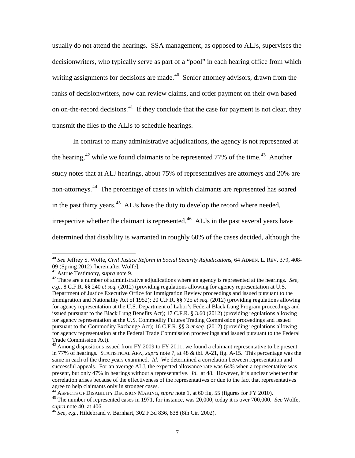usually do not attend the hearings. SSA management, as opposed to ALJs, supervises the decisionwriters, who typically serve as part of a "pool" in each hearing office from which writing assignments for decisions are made.<sup>[40](#page-9-10)</sup> Senior attorney advisors, drawn from the ranks of decisionwriters, now can review claims, and order payment on their own based on on-the-record decisions.<sup>41</sup> If they conclude that the case for payment is not clear, they transmit the files to the ALJs to schedule hearings.

In contrast to many administrative adjudications, the agency is not represented at the hearing,<sup>[42](#page-10-1)</sup> while we found claimants to be represented 77% of the time.<sup>[43](#page-10-2)</sup> Another study notes that at ALJ hearings, about 75% of representatives are attorneys and 20% are non-attorneys. [44](#page-10-3) The percentage of cases in which claimants are represented has soared in the past thirty years.<sup>[45](#page-10-4)</sup> ALJs have the duty to develop the record where needed, irrespective whether the claimant is represented.<sup>46</sup> ALJs in the past several years have determined that disability is warranted in roughly 60% of the cases decided, although the

<sup>&</sup>lt;sup>40</sup> *See* Jeffrey S. Wolfe, *Civil Justice Reform in Social Security Adjudications*, 64 ADMIN. L. REV. 379, 408-<br>09 (Spring 2012) [hereinafter Wolfe].

<span id="page-10-6"></span>

<span id="page-10-1"></span><span id="page-10-0"></span><sup>&</sup>lt;sup>41</sup> Astrue Testimony, *supra* note 9. <sup>42</sup> There are a number of administrative adjudications where an agency is represented at the hearings. *See*, *e.g.*, 8 C.F.R. §§ 240 *et seq.* (2012) (providing regulations allowing for agency representation at U.S. Department of Justice Executive Office for Immigration Review proceedings and issued pursuant to the Immigration and Nationality Act of 1952); 20 C.F.R. §§ 725 *et seq.* (2012) (providing regulations allowing for agency representation at the U.S. Department of Labor's Federal Black Lung Program proceedings and issued pursuant to the Black Lung Benefits Act); 17 C.F.R. § 3.60 (2012) (providing regulations allowing for agency representation at the U.S. Commodity Futures Trading Commission proceedings and issued pursuant to the Commodity Exchange Act); 16 C.F.R. §§ 3 *et seq.* (2012) (providing regulations allowing for agency representation at the Federal Trade Commission proceedings and issued pursuant to the Federal Trade Commission Act).

<span id="page-10-2"></span><sup>&</sup>lt;sup>43</sup> Among dispositions issued from FY 2009 to FY 2011, we found a claimant representative to be present in 77% of hearings. STATISTICAL APP., *supra* note 7, at 48 & tbl. A-21, fig. A-15. This percentage was the same in each of the three years examined. *Id.* We determined a correlation between representation and successful appeals. For an average ALJ, the expected allowance rate was 64% when a representative was present, but only 47% in hearings without a representative. *Id.* at 48. However, it is unclear whether that correlation arises because of the effectiveness of the representatives or due to the fact that representatives

<span id="page-10-4"></span>

<span id="page-10-3"></span><sup>&</sup>lt;sup>44</sup> ASPECTS OF DISABILITY DECISION MAKING, *supra* note 1, at 60 fig. 55 (figures for FY 2010).<br><sup>45</sup> The number of represented cases in 1971, for instance, was 20,000; today it is over 700,000. *See* Wolfe, *supra* note

<span id="page-10-5"></span><sup>&</sup>lt;sup>46</sup> *See, e.g.*, Hildebrand v. Barnhart, 302 F.3d 836, 838 (8th Cir. 2002).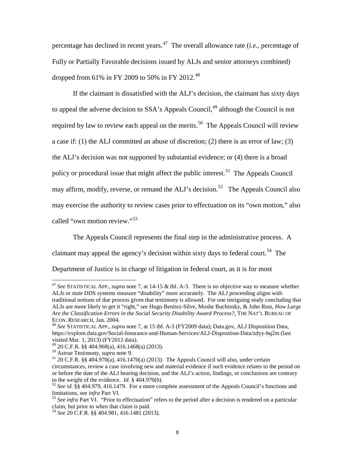percentage has declined in recent years. [47](#page-10-6) The overall allowance rate (*i.e.*, percentage of Fully or Partially Favorable decisions issued by ALJs and senior attorneys combined) dropped from 61% in FY 2009 to 50% in FY 2012.<sup>[48](#page-11-0)</sup>

If the claimant is dissatisfied with the ALJ's decision, the claimant has sixty days to appeal the adverse decision to SSA's Appeals Council,<sup>[49](#page-11-1)</sup> although the Council is not required by law to review each appeal on the merits.<sup>50</sup> The Appeals Council will review a case if: (1) the ALJ committed an abuse of discretion; (2) there is an error of law; (3) the ALJ's decision was not supported by substantial evidence; or (4) there is a broad policy or procedural issue that might affect the public interest.<sup>[51](#page-11-3)</sup> The Appeals Council may affirm, modify, reverse, or remand the ALJ's decision.<sup>[52](#page-11-4)</sup> The Appeals Council also may exercise the authority to review cases prior to effectuation on its "own motion," also called "own motion review."<sup>[53](#page-11-5)</sup>

The Appeals Council represents the final step in the administrative process. A claimant may appeal the agency's decision within sixty days to federal court.<sup>54</sup> The Department of Justice is in charge of litigation in federal court, as it is for most

<span id="page-11-7"></span> <sup>47</sup> *See* STATISTICAL APP., *supra* note 7, at 14-15 & tbl. A-3. There is no objective way to measure whether ALJs or state DDS systems measure "disability" more accurately. The ALJ proceeding aligns with traditional notions of due process given that testimony is allowed. For one intriguing study concluding that ALJs are more likely to get it "right," see Hugo Benitez-Silve, Moshe Buchinsky, & John Rust, *How Large Are the Classification Errors in the Social Security Disability Award Process?*, THE NAT'L BUREAU OF ECON. RESEARCH, Jan. 2004. <sup>48</sup> *See* STATISTICAL APP., *supra* note 7, at 15 tbl. A-3 (FY2009 data); Data.gov, ALJ Disposition Data*,* 

<span id="page-11-0"></span>https://explore.data.gov/Social-Insurance-and-Human-Services/ALJ-Disposition-Data/zdyy-hq2m (last visited Mar. 1, 2013) (FY2012 data).<br><sup>49</sup> 20 C.F.R. §§ 404.968(a), 416.1468(a) (2013).

<span id="page-11-3"></span><span id="page-11-2"></span><span id="page-11-1"></span><sup>&</sup>lt;sup>50</sup> Astrue Testimony, *supra* note 9.<br><sup>51</sup> 20 C.F.R. §§ 404.970(a), 416.1470(a) (2013). The Appeals Council will also, under certain circumstances, review a case involving new and material evidence if such evidence relates to the period on or before the date of the ALJ hearing decision, and the ALJ's action, findings, or conclusions are contrary to the weight of the evidence.  $Id. \S$  404.970(b).

<span id="page-11-4"></span> $52$  *See id.* §§ 404.979, 416.1479. For a more complete assessment of the Appeals Council's functions and limitations, see *infra* Part VI.

<span id="page-11-5"></span><sup>&</sup>lt;sup>53</sup> *See infra* Part VI. "Prior to effectuation" refers to the period after a decision is rendered on a particular claim, but prior to when that claim is paid.

<span id="page-11-6"></span><sup>&</sup>lt;sup>54</sup> See 20 C.F.R. §§ 404.981, 416.1481 (2013).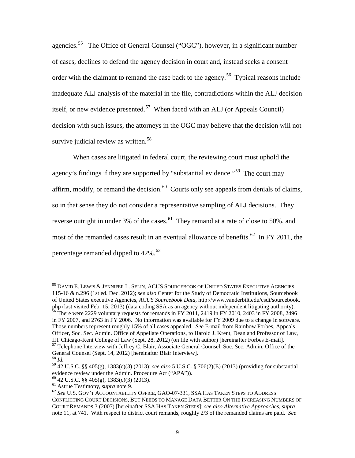agencies.<sup>[55](#page-11-7)</sup> The Office of General Counsel ("OGC"), however, in a significant number of cases, declines to defend the agency decision in court and, instead seeks a consent order with the claimant to remand the case back to the agency.<sup>56</sup> Typical reasons include inadequate ALJ analysis of the material in the file, contradictions within the ALJ decision itself, or new evidence presented.<sup>[57](#page-12-1)</sup> When faced with an ALJ (or Appeals Council) decision with such issues, the attorneys in the OGC may believe that the decision will not survive judicial review as written.<sup>58</sup>

When cases are litigated in federal court, the reviewing court must uphold the agency's findings if they are supported by "substantial evidence."<sup>[59](#page-12-3)</sup> The court may affirm, modify, or remand the decision.<sup>[60](#page-12-4)</sup> Courts only see appeals from denials of claims, so in that sense they do not consider a representative sampling of ALJ decisions. They reverse outright in under 3% of the cases.<sup>61</sup> They remand at a rate of close to 50%, and most of the remanded cases result in an eventual allowance of benefits.<sup>62</sup> In FY 2011, the percentage remanded dipped to 42%.<sup>[63](#page-12-7)</sup>

 <sup>55</sup> DAVID E. LEWIS & JENNIFER L. SELIN, ACUS SOURCEBOOK OF UNITED STATES EXECUTIVE AGENCIES 115-16 & n.296 (1st ed. Dec. 2012); *see also* Center for the Study of Democratic Institutions, Sourcebook of United States executive Agencies, *ACUS Sourcebook Data*, http://www.vanderbilt.edu/csdi/sourcebook.

<span id="page-12-0"></span> $56$  There were 2229 voluntary requests for remands in FY 2011, 2419 in FY 2010, 2403 in FY 2008, 2496 in FY 2007, and 2763 in FY 2006. No information was available for FY 2009 due to a change in software. Those numbers represent roughly 15% of all cases appealed. *See* E-mail from Rainbow Forbes, Appeals Officer, Soc. Sec. Admin. Office of Appellate Operations, to Harold J. Krent, Dean and Professor of Law, IIT Chicago-Kent College of Law (Sept. 28, 2012) (on file with author) [hereinafter Forbes E-mail]. <sup>57</sup> Telephone Interview with Jeffrey C. Blair, Associate General Counsel, Soc. Sec. Admin. Office of the

<span id="page-12-1"></span>General Counsel (Sept. 14, 2012) [hereinafter Blair Interview]. 58 *Id.*

<span id="page-12-2"></span>

<span id="page-12-3"></span><sup>59</sup> 42 U.S.C. §§ 405(g), 1383(c)(3) (2013); *see also* 5 U.S.C. § 706(2)(E) (2013) (providing for substantial

<span id="page-12-6"></span>

<span id="page-12-7"></span><span id="page-12-5"></span><span id="page-12-4"></span><sup>&</sup>lt;sup>60</sup> 42 U.S.C. §§ 405(g), 1383(c)(3) (2013).<br><sup>61</sup> Astrue Testimony, *supra* note 9.<br><sup>62</sup> See U.S. GOV'T ACCOUNTABILITY OFFICE, GAO-07-331, SSA HAS TAKEN STEPS TO ADDRESS CONFLICTING COURT DECISIONS, BUT NEEDS TO MANAGE DATA BETTER ON THE INCREASING NUMBERS OF COURT REMANDS 3 (2007) [hereinafter SSA HAS TAKEN STEPS]; *see also Alternative Approaches*, *supra* note 11, at 741. With respect to district court remands, roughly 2/3 of the remanded claims are paid. *See*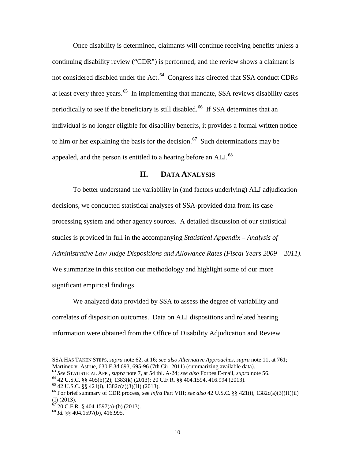Once disability is determined, claimants will continue receiving benefits unless a continuing disability review ("CDR") is performed, and the review shows a claimant is not considered disabled under the Act.<sup>[64](#page-12-4)</sup> Congress has directed that SSA conduct CDRs at least every three years.<sup>[65](#page-13-1)</sup> In implementing that mandate, SSA reviews disability cases periodically to see if the beneficiary is still disabled.<sup>66</sup> If SSA determines that an individual is no longer eligible for disability benefits, it provides a formal written notice to him or her explaining the basis for the decision.<sup>67</sup> Such determinations may be appealed, and the person is entitled to a hearing before an  $ALL<sup>68</sup>$  $ALL<sup>68</sup>$  $ALL<sup>68</sup>$ 

# **II. DATA ANALYSIS**

<span id="page-13-0"></span>To better understand the variability in (and factors underlying) ALJ adjudication decisions, we conducted statistical analyses of SSA-provided data from its case processing system and other agency sources. A detailed discussion of our statistical studies is provided in full in the accompanying *Statistical Appendix – Analysis of Administrative Law Judge Dispositions and Allowance Rates (Fiscal Years 2009 – 2011)*. We summarize in this section our methodology and highlight some of our more significant empirical findings.

<span id="page-13-5"></span>We analyzed data provided by SSA to assess the degree of variability and correlates of disposition outcomes. Data on ALJ dispositions and related hearing information were obtained from the Office of Disability Adjudication and Review

 $\overline{a}$ 

SSA HAS TAKEN STEPS, *supra* note 62, at 16; *see also Alternative Approaches*, *supra* note 11, at 761;

<sup>&</sup>lt;sup>63</sup> See STATISTICAL APP., supra note 7, at 54 tbl. A-24; see also Forbes E-mail, supra note 56.<br><sup>64</sup> 42 U.S.C. §§ 405(b)(2); 1383(k) (2013); 20 C.F.R. §§ 404.1594, 416.994 (2013).<br><sup>65</sup> 42 U.S.C. §§ 421(i), 1382c(a)(3)(H)

<span id="page-13-2"></span><span id="page-13-1"></span><sup>(</sup>I) (2013).

<span id="page-13-4"></span><span id="page-13-3"></span> $67^{67}$  20 C.F.R. § 404.1597(a)-(b) (2013).<br><sup>68</sup> *Id.* §§ 404.1597(b), 416.995.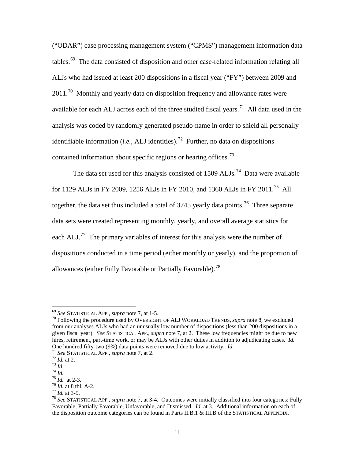("ODAR") case processing management system ("CPMS") management information data tables.[69](#page-13-5) The data consisted of disposition and other case-related information relating all ALJs who had issued at least 200 dispositions in a fiscal year ("FY") between 2009 and  $2011.<sup>70</sup>$  Monthly and yearly data on disposition frequency and allowance rates were available for each ALJ across each of the three studied fiscal years.<sup>[71](#page-14-1)</sup> All data used in the analysis was coded by randomly generated pseudo-name in order to shield all personally identifiable information (*i.e.*, ALJ identities).<sup>[72](#page-14-2)</sup> Further, no data on dispositions contained information about specific regions or hearing offices.<sup>[73](#page-14-3)</sup>

The data set used for this analysis consisted of  $1509$  ALJs.<sup>[74](#page-14-4)</sup> Data were available for 1129 ALJs in FY 2009, 1256 ALJs in FY 2010, and 1360 ALJs in FY 2011.<sup>75</sup> All together, the data set thus included a total of 3745 yearly data points.<sup>[76](#page-14-6)</sup> Three separate data sets were created representing monthly, yearly, and overall average statistics for each  $ALJ$ <sup>[77](#page-14-7)</sup>. The primary variables of interest for this analysis were the number of dispositions conducted in a time period (either monthly or yearly), and the proportion of allowances (either Fully Favorable or Partially Favorable).<sup>[78](#page-14-8)</sup>

<span id="page-14-0"></span><sup>&</sup>lt;sup>69</sup> *See* STATISTICAL APP., *supra* note 7, at 1-5.<br><sup>70</sup> Following the procedure used by OVERSIGHT OF ALJ WORKLOAD TRENDS, *supra* note 8, we excluded from our analyses ALJs who had an unusually low number of dispositions (less than 200 dispositions in a given fiscal year). *See* STATISTICAL APP., *supra* note 7, at 2. These low frequencies might be due to new hires, retirement, part-time work, or may be ALJs with other duties in addition to adjudicating cases. *Id.* One hundred fifty-two (9%) data points were removed due to low activity. *Id.* 

<span id="page-14-3"></span>

<span id="page-14-5"></span><span id="page-14-4"></span>

<span id="page-14-6"></span>

<span id="page-14-8"></span><span id="page-14-7"></span>

<span id="page-14-2"></span><span id="page-14-1"></span><sup>&</sup>lt;sup>71</sup> See STATISTICAL APP., supra note 7, at 2.<br>
<sup>72</sup> Id. at 2.<br>
<sup>73</sup> Id. at 2-3.<br>
<sup>75</sup> Id. at 2-3.<br>
<sup>75</sup> Id. at 8 tbl. A-2.<br>
<sup>77</sup> Id. at 3-5.<br>
<sup>77</sup> Id. at 3-5.<br>
<sup>78</sup> See STATISTICAL APP., *supra* note 7, at 3-4. Outcomes Favorable, Partially Favorable, Unfavorable, and Dismissed. *Id.* at 3. Additional information on each of the disposition outcome categories can be found in Parts II.B.1 & III.B of the STATISTICAL APPENDIX.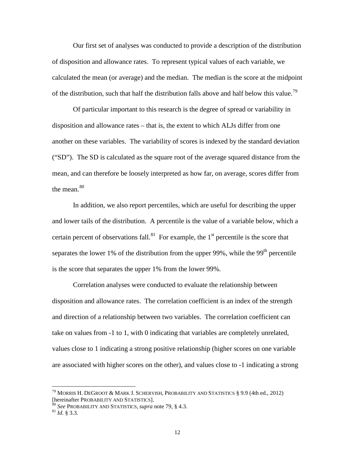Our first set of analyses was conducted to provide a description of the distribution of disposition and allowance rates. To represent typical values of each variable, we calculated the mean (or average) and the median. The median is the score at the midpoint of the distribution, such that half the distribution falls above and half below this value.<sup>[79](#page-14-7)</sup>

Of particular important to this research is the degree of spread or variability in disposition and allowance rates – that is, the extent to which ALJs differ from one another on these variables. The variability of scores is indexed by the standard deviation ("SD"). The SD is calculated as the square root of the average squared distance from the mean, and can therefore be loosely interpreted as how far, on average, scores differ from the mean. $80$ 

In addition, we also report percentiles, which are useful for describing the upper and lower tails of the distribution. A percentile is the value of a variable below, which a certain percent of observations fall.<sup>[81](#page-15-1)</sup> For example, the  $1<sup>st</sup>$  percentile is the score that separates the lower 1% of the distribution from the upper 99%, while the 99<sup>th</sup> percentile is the score that separates the upper 1% from the lower 99%.

Correlation analyses were conducted to evaluate the relationship between disposition and allowance rates. The correlation coefficient is an index of the strength and direction of a relationship between two variables. The correlation coefficient can take on values from -1 to 1, with 0 indicating that variables are completely unrelated, values close to 1 indicating a strong positive relationship (higher scores on one variable are associated with higher scores on the other), and values close to -1 indicating a strong

<span id="page-15-2"></span> $^{79}$  MORRIS H. DEGROOT & MARK J. SCHERVISH, PROBABILITY AND STATISTICS § 9.9 (4th ed., 2012) [hereinafter PROBABILITY AND STATISTICS]. <sup>80</sup> *See* PROBABILITY AND STATISTICS, *supra* note 79, § 4.3. <sup>81</sup> *Id.* § 3.3.

<span id="page-15-1"></span><span id="page-15-0"></span>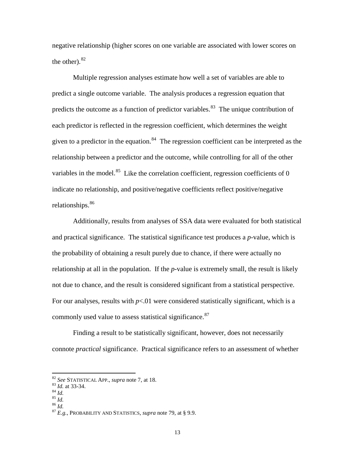negative relationship (higher scores on one variable are associated with lower scores on the other). $82$ 

Multiple regression analyses estimate how well a set of variables are able to predict a single outcome variable. The analysis produces a regression equation that predicts the outcome as a function of predictor variables.<sup>[83](#page-16-0)</sup> The unique contribution of each predictor is reflected in the regression coefficient, which determines the weight given to a predictor in the equation.<sup>[84](#page-16-1)</sup> The regression coefficient can be interpreted as the relationship between a predictor and the outcome, while controlling for all of the other variables in the model.<sup>[85](#page-16-2)</sup> Like the correlation coefficient, regression coefficients of 0 indicate no relationship, and positive/negative coefficients reflect positive/negative relationships.<sup>[86](#page-16-3)</sup>

Additionally, results from analyses of SSA data were evaluated for both statistical and practical significance. The statistical significance test produces a *p*-value, which is the probability of obtaining a result purely due to chance, if there were actually no relationship at all in the population. If the *p*-value is extremely small, the result is likely not due to chance, and the result is considered significant from a statistical perspective. For our analyses, results with  $p<0$  were considered statistically significant, which is a commonly used value to assess statistical significance.<sup>[87](#page-16-4)</sup>

Finding a result to be statistically significant, however, does not necessarily connote *practical* significance. Practical significance refers to an assessment of whether

<span id="page-16-4"></span>

<span id="page-16-0"></span>

<span id="page-16-1"></span>

<span id="page-16-3"></span><span id="page-16-2"></span>

<sup>82</sup> *See* STATISTICAL APP., *supra* note 7, at 18.<br>
<sup>83</sup> *Id.*<br><sup>84</sup> *Id.*<br><sup>85</sup> *Id.* 86 *Id.* 87 *E.g.*, PROBABILITY AND STATISTICS, *supra* note 79, at § 9.9.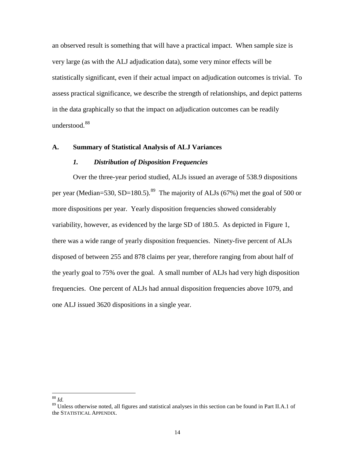an observed result is something that will have a practical impact. When sample size is very large (as with the ALJ adjudication data), some very minor effects will be statistically significant, even if their actual impact on adjudication outcomes is trivial. To assess practical significance, we describe the strength of relationships, and depict patterns in the data graphically so that the impact on adjudication outcomes can be readily understood.<sup>[88](#page-16-2)</sup>

### <span id="page-17-1"></span><span id="page-17-0"></span>**A. Summary of Statistical Analysis of ALJ Variances**

# *1. Distribution of Disposition Frequencies*

Over the three-year period studied, ALJs issued an average of 538.9 dispositions per year (Median=530, SD=180.5).<sup>[89](#page-17-2)</sup> The majority of ALJs (67%) met the goal of 500 or more dispositions per year. Yearly disposition frequencies showed considerably variability, however, as evidenced by the large SD of 180.5. As depicted in Figure 1, there was a wide range of yearly disposition frequencies. Ninety-five percent of ALJs disposed of between 255 and 878 claims per year, therefore ranging from about half of the yearly goal to 75% over the goal. A small number of ALJs had very high disposition frequencies. One percent of ALJs had annual disposition frequencies above 1079, and one ALJ issued 3620 dispositions in a single year.

<span id="page-17-3"></span> <sup>88</sup> *Id.*

<span id="page-17-2"></span><sup>&</sup>lt;sup>89</sup> Unless otherwise noted, all figures and statistical analyses in this section can be found in Part II.A.1 of the STATISTICAL APPENDIX.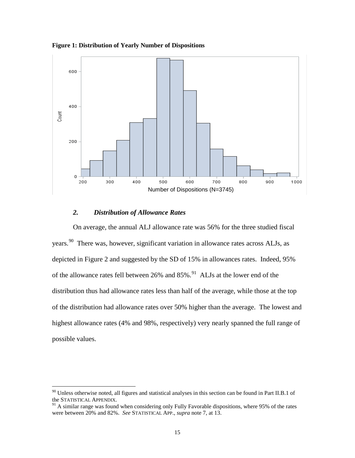<span id="page-18-1"></span>



### *2. Distribution of Allowance Rates*

<span id="page-18-0"></span>On average, the annual ALJ allowance rate was 56% for the three studied fiscal years.<sup>[90](#page-17-3)</sup> There was, however, significant variation in allowance rates across ALJs, as depicted in Figure 2 and suggested by the SD of 15% in allowances rates. Indeed, 95% of the allowance rates fell between 26% and 85%.<sup>91</sup> ALJs at the lower end of the distribution thus had allowance rates less than half of the average, while those at the top of the distribution had allowance rates over 50% higher than the average. The lowest and highest allowance rates (4% and 98%, respectively) very nearly spanned the full range of possible values.

<span id="page-18-3"></span><sup>&</sup>lt;sup>90</sup> Unless otherwise noted, all figures and statistical analyses in this section can be found in Part II.B.1 of the STATISTICAL APPENDIX.<br><sup>91</sup> A similar range was found when considering only Fully Favorable dispositions, where 95% of the rates

<span id="page-18-2"></span>were between 20% and 82%. *See* STATISTICAL APP., *supra* note 7, at 13.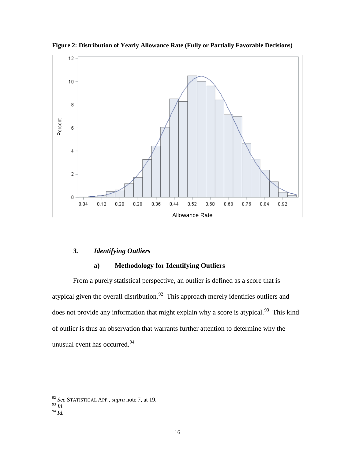

<span id="page-19-1"></span>**Figure 2: Distribution of Yearly Allowance Rate (Fully or Partially Favorable Decisions)**

#### <span id="page-19-0"></span>*3. Identifying Outliers*

# **a) Methodology for Identifying Outliers**

<span id="page-19-4"></span>From a purely statistical perspective, an outlier is defined as a score that is atypical given the overall distribution.<sup>[92](#page-18-3)</sup> This approach merely identifies outliers and does not provide any information that might explain why a score is atypical.<sup>[93](#page-19-2)</sup> This kind of outlier is thus an observation that warrants further attention to determine why the unusual event has occurred.<sup>[94](#page-19-3)</sup>

 <sup>92</sup> *See* STATISTICAL APP., *supra* note 7, at 19.

<span id="page-19-3"></span><span id="page-19-2"></span><sup>93</sup> *Id.*

<sup>94</sup> *Id.*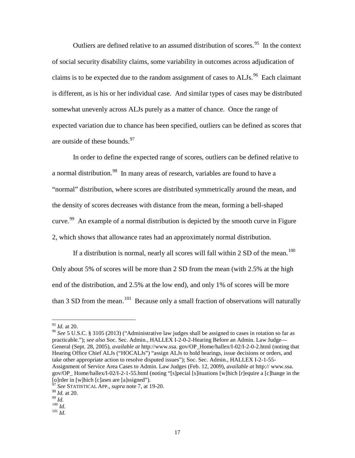Outliers are defined relative to an assumed distribution of scores.<sup>[95](#page-19-4)</sup> In the context of social security disability claims, some variability in outcomes across adjudication of claims is to be expected due to the random assignment of cases to  $ALJs$ <sup>[96](#page-20-0)</sup> Each claimant is different, as is his or her individual case. And similar types of cases may be distributed somewhat unevenly across ALJs purely as a matter of chance. Once the range of expected variation due to chance has been specified, outliers can be defined as scores that are outside of these bounds.  $97$ 

In order to define the expected range of scores, outliers can be defined relative to a normal distribution.<sup>[98](#page-20-2)</sup> In many areas of research, variables are found to have a "normal" distribution, where scores are distributed symmetrically around the mean, and the density of scores decreases with distance from the mean, forming a bell-shaped curve.<sup>[99](#page-20-3)</sup> An example of a normal distribution is depicted by the smooth curve in Figure 2, which shows that allowance rates had an approximately normal distribution.

If a distribution is normal, nearly all scores will fall within  $2 \text{ SD}$  of the mean.<sup>[100](#page-20-4)</sup> Only about 5% of scores will be more than 2 SD from the mean (with 2.5% at the high end of the distribution, and 2.5% at the low end), and only 1% of scores will be more than 3 SD from the mean.<sup>[101](#page-20-5)</sup> Because only a small fraction of observations will naturally

<span id="page-20-6"></span><span id="page-20-0"></span><sup>95</sup> *Id.* at 20.<br><sup>96</sup> *See* 5 U.S.C. § 3105 (2013) ("Administrative law judges shall be assigned to cases in rotation so far as practicable."); *see also* Soc. Sec. Admin., HALLEX I-2-0-2-Hearing Before an Admin. Law Judge— General (Sept. 28, 2005), *available at* http://www.ssa. gov/OP\_Home/hallex/I-02/I-2-0-2.html (noting that Hearing Office Chief ALJs ("HOCALJs") "assign ALJs to hold hearings, issue decisions or orders, and take other appropriate action to resolve disputed issues"); Soc. Sec. Admin., HALLEX I-2-1-55- Assignment of Service Area Cases to Admin. Law Judges (Feb. 12, 2009), *available at* http:// www.ssa. gov/OP\_ Home/hallex/I-02/I-2-1-55.html (noting "[s]pecial [s]ituations [w]hich [r]equire a [c]hange in the [o]rder in [w]hich [c]ases are [a]ssigned").

<sup>97</sup> *See* STATISTICAL APP., *supra* note 7, at 19-20.

<span id="page-20-2"></span><span id="page-20-1"></span><sup>98</sup> *Id.* at 20. 99 *Id.* 100 *Id.* 101 *Id.*

<span id="page-20-4"></span><span id="page-20-3"></span>

<span id="page-20-5"></span>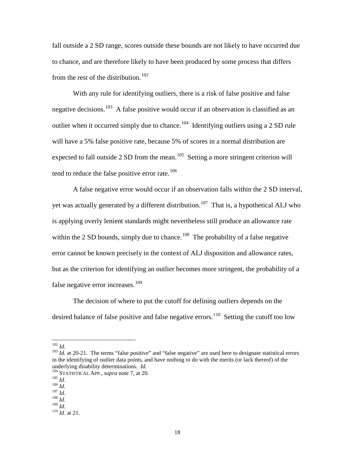fall outside a 2 SD range, scores outside these bounds are not likely to have occurred due to chance, and are therefore likely to have been produced by some process that differs from the rest of the distribution.<sup>[102](#page-20-6)</sup>

With any rule for identifying outliers, there is a risk of false positive and false negative decisions.<sup>[103](#page-21-0)</sup> A false positive would occur if an observation is classified as an outlier when it occurred simply due to chance.<sup>[104](#page-21-1)</sup> Identifying outliers using a 2 SD rule will have a 5% false positive rate, because 5% of scores in a normal distribution are expected to fall outside 2 SD from the mean.<sup>[105](#page-21-2)</sup> Setting a more stringent criterion will tend to reduce the false positive error rate.<sup>[106](#page-21-3)</sup>

A false negative error would occur if an observation falls within the 2 SD interval, yet was actually generated by a different distribution.<sup>[107](#page-21-4)</sup> That is, a hypothetical ALJ who is applying overly lenient standards might nevertheless still produce an allowance rate within the 2 SD bounds, simply due to chance.<sup>[108](#page-21-5)</sup> The probability of a false negative error cannot be known precisely in the context of ALJ disposition and allowance rates, but as the criterion for identifying an outlier becomes more stringent, the probability of a false negative error increases.<sup>[109](#page-21-6)</sup>

The decision of where to put the cutoff for defining outliers depends on the desired balance of false positive and false negative errors.<sup>[110](#page-21-7)</sup> Setting the cutoff too low

<span id="page-21-8"></span><span id="page-21-0"></span><sup>&</sup>lt;sup>102</sup> *Id.*  $10^{102}$  *Id.* at 20-21. The terms "false positive" and "false negative" are used here to designate statistical errors in the identifying of outlier data points, and have nothing to do with the merits (or lack thereof) of the underlying disability determinations.  $Id$ .

<span id="page-21-2"></span><span id="page-21-1"></span><sup>104</sup> STATISTICAL APP., *supra* note 7, at 20.<br>
<sup>105</sup> *Id.*<br>
<sup>106</sup> *Id.*<br>
<sup>107</sup> *Id.*<br>
<sup>108</sup> *Id.* <sup>108</sup> *Id.* <sup>109</sup> *Id.* 

<span id="page-21-3"></span>

<span id="page-21-4"></span>

<span id="page-21-6"></span><span id="page-21-5"></span>

<span id="page-21-7"></span><sup>&</sup>lt;sup>110</sup> *Id.* at 21.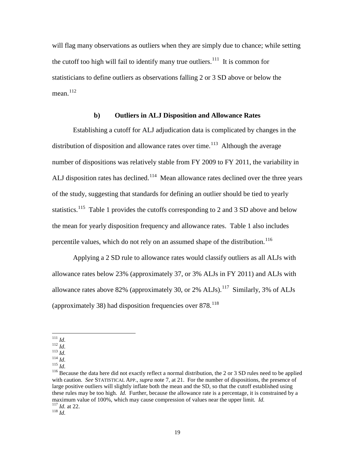will flag many observations as outliers when they are simply due to chance; while setting the cutoff too high will fail to identify many true outliers.<sup>[111](#page-21-8)</sup> It is common for statisticians to define outliers as observations falling 2 or 3 SD above or below the mean. [112](#page-22-0)

## **b) Outliers in ALJ Disposition and Allowance Rates**

Establishing a cutoff for ALJ adjudication data is complicated by changes in the distribution of disposition and allowance rates over time.<sup>[113](#page-22-1)</sup> Although the average number of dispositions was relatively stable from FY 2009 to FY 2011, the variability in ALJ disposition rates has declined.<sup>[114](#page-22-2)</sup> Mean allowance rates declined over the three years of the study, suggesting that standards for defining an outlier should be tied to yearly statistics.<sup>[115](#page-22-3)</sup> Table 1 provides the cutoffs corresponding to 2 and 3 SD above and below the mean for yearly disposition frequency and allowance rates. Table 1 also includes percentile values, which do not rely on an assumed shape of the distribution.<sup>[116](#page-22-4)</sup>

Applying a 2 SD rule to allowance rates would classify outliers as all ALJs with allowance rates below 23% (approximately 37, or 3% ALJs in FY 2011) and ALJs with allowance rates above 82% (approximately 30, or  $2\%$  ALJs).<sup>[117](#page-22-5)</sup> Similarly, 3% of ALJs (approximately 38) had disposition frequencies over 878.[118](#page-22-6)

<span id="page-22-2"></span><span id="page-22-1"></span>

<span id="page-22-4"></span><span id="page-22-3"></span>

<span id="page-22-0"></span><sup>111</sup> *Id.*<br>
112 *Id.*<br>
<sup>113</sup> *Id.*<br>
<sup>114</sup> *Id.*<br>
<sup>116</sup> Because the data here did not exactly reflect a normal distribution, the 2 or 3 SD rules need to be applied<br>
<sup>116</sup> Because the data here did not exactly reflect a norma with caution. *See* STATISTICAL APP., *supra* note 7, at 21. For the number of dispositions, the presence of large positive outliers will slightly inflate both the mean and the SD, so that the cutoff established using these rules may be too high. *Id.* Further, because the allowance rate is a percentage, it is constrained by a maximum value of 100%, which may cause compression of values near the upper limit. *Id.* <sup>117</sup> *Id.* at 22. <sup>118</sup> *Id.* 

<span id="page-22-7"></span><span id="page-22-6"></span><span id="page-22-5"></span>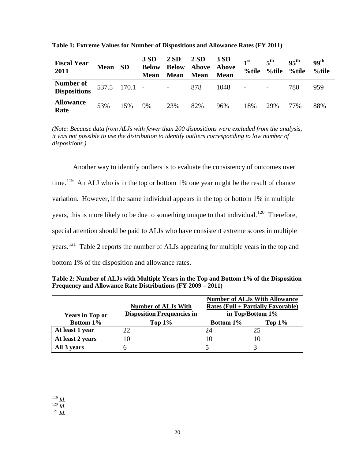| <b>Fiscal Year</b><br>2011         | <b>Mean</b>      | SD  | 3 SD<br><b>Below</b><br><b>Mean</b> | 2SD<br><b>Below</b><br><b>Mean</b> | <b>2 SD</b><br><b>Above Above</b><br><b>Mean</b> | <b>3 SD</b><br><b>Mean</b> | 1 <sup>st</sup><br>%tile | $\boldsymbol{z}^{\text{th}}$<br>$%$ tile | $95^{\text{th}}$<br>%tile | 99 <sup>th</sup><br>%tile |
|------------------------------------|------------------|-----|-------------------------------------|------------------------------------|--------------------------------------------------|----------------------------|--------------------------|------------------------------------------|---------------------------|---------------------------|
| Number of  <br><b>Dispositions</b> | $1537.5$ 170.1 - |     | <b>Contract</b>                     |                                    | 878                                              | 1048                       | $\sim$                   | $\overline{\phantom{a}}$                 | 780                       | 959                       |
| <b>Allowance</b><br>Rate           | 53%              | 15% | 9%                                  | 23%                                | 82%                                              | 96%                        | 18%                      | 29%                                      | 77%                       | 88%                       |

<span id="page-23-0"></span>**Table 1: Extreme Values for Number of Dispositions and Allowance Rates (FY 2011)**

*(Note: Because data from ALJs with fewer than 200 dispositions were excluded from the analysis, it was not possible to use the distribution to identify outliers corresponding to low number of dispositions.)*

Another way to identify outliers is to evaluate the consistency of outcomes over time.<sup>[119](#page-22-7)</sup> An ALJ who is in the top or bottom 1% one year might be the result of chance variation. However, if the same individual appears in the top or bottom 1% in multiple years, this is more likely to be due to something unique to that individual.<sup>[120](#page-23-2)</sup> Therefore, special attention should be paid to ALJs who have consistent extreme scores in multiple years.[121](#page-23-3) Table 2 reports the number of ALJs appearing for multiple years in the top and bottom 1% of the disposition and allowance rates.

<span id="page-23-1"></span>**Table 2: Number of ALJs with Multiple Years in the Top and Bottom 1% of the Disposition Frequency and Allowance Rate Distributions (FY 2009 – 2011)**

|                        |                                   | <b>Number of ALJs With Allowance</b> |                                           |  |
|------------------------|-----------------------------------|--------------------------------------|-------------------------------------------|--|
|                        | <b>Number of ALJs With</b>        |                                      | <b>Rates (Full + Partially Favorable)</b> |  |
| <b>Years in Top or</b> | <b>Disposition Frequencies in</b> | in Top/Bottom 1%                     |                                           |  |
| <b>Bottom 1%</b>       | Top $1\%$                         | <b>Bottom 1%</b>                     | Top $1\%$                                 |  |
| At least 1 year        | 22                                | 24                                   | 25                                        |  |
| At least 2 years       | 10                                | 10                                   |                                           |  |
| All 3 years            | 6                                 |                                      |                                           |  |

<span id="page-23-4"></span><span id="page-23-2"></span> <sup>119</sup> *Id.* 120 *Id.* 121 *Id.*

<span id="page-23-3"></span>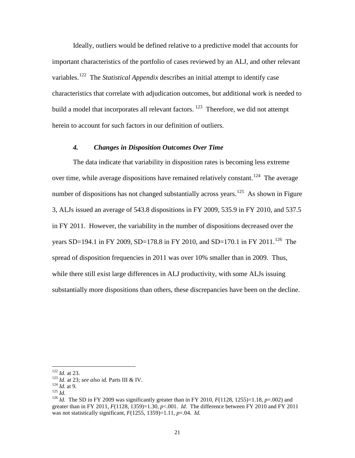Ideally, outliers would be defined relative to a predictive model that accounts for important characteristics of the portfolio of cases reviewed by an ALJ, and other relevant variables.[122](#page-23-4) The *Statistical Appendix* describes an initial attempt to identify case characteristics that correlate with adjudication outcomes, but additional work is needed to build a model that incorporates all relevant factors.  $123$  Therefore, we did not attempt herein to account for such factors in our definition of outliers.

### *4. Changes in Disposition Outcomes Over Time*

<span id="page-24-0"></span>The data indicate that variability in disposition rates is becoming less extreme over time, while average dispositions have remained relatively constant.<sup>[124](#page-24-2)</sup> The average number of dispositions has not changed substantially across years.<sup>[125](#page-24-3)</sup> As shown in Figure 3, ALJs issued an average of 543.8 dispositions in FY 2009, 535.9 in FY 2010, and 537.5 in FY 2011. However, the variability in the number of dispositions decreased over the years SD=194.1 in FY 2009, SD=178.8 in FY 2010, and SD=170.1 in FY 2011.<sup>[126](#page-24-4)</sup> The spread of disposition frequencies in 2011 was over 10% smaller than in 2009. Thus, while there still exist large differences in ALJ productivity, with some ALJs issuing substantially more dispositions than others, these discrepancies have been on the decline.

<span id="page-24-2"></span>

<span id="page-24-4"></span><span id="page-24-3"></span>

<span id="page-24-5"></span><span id="page-24-1"></span><sup>&</sup>lt;sup>122</sup> *Id.* at 23.<br>
<sup>123</sup> *Id.* at 23; *see also id.* Parts III & IV.<br>
<sup>124</sup> *Id.* at 9.<br>
<sup>125</sup> *Id.* The SD in FY 2009 was significantly greater than in FY 2010, *F*(1128, 1255)=1.18, *p*=.002) and greater than in FY 2011, *F*(1128, 1359)=1.30, *p*<.001. *Id.* The difference between FY 2010 and FY 2011 was not statistically significant, *F*(1255, 1359)=1.11, *p*=.04. *Id.*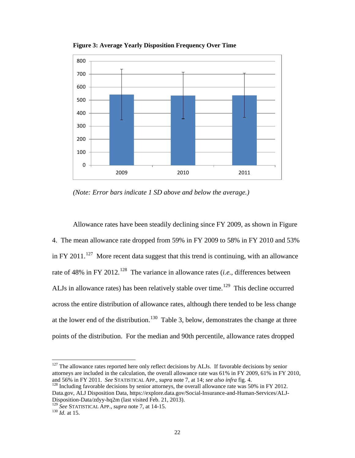<span id="page-25-0"></span>

**Figure 3: Average Yearly Disposition Frequency Over Time**

*(Note: Error bars indicate 1 SD above and below the average.)*

Allowance rates have been steadily declining since FY 2009, as shown in Figure 4. The mean allowance rate dropped from 59% in FY 2009 to 58% in FY 2010 and 53% in FY 2011.<sup>[127](#page-24-5)</sup> More recent data suggest that this trend is continuing, with an allowance rate of 48% in FY 2012.<sup>[128](#page-25-1)</sup> The variance in allowance rates (*i.e.*, differences between ALJs in allowance rates) has been relatively stable over time.<sup>[129](#page-25-2)</sup> This decline occurred across the entire distribution of allowance rates, although there tended to be less change at the lower end of the distribution.<sup>[130](#page-25-3)</sup> Table 3, below, demonstrates the change at three points of the distribution. For the median and 90th percentile, allowance rates dropped

<sup>&</sup>lt;sup>127</sup> The allowance rates reported here only reflect decisions by ALJs. If favorable decisions by senior attorneys are included in the calculation, the overall allowance rate was  $61\%$  in FY 2009,  $61\%$  in FY 2010, and  $56\%$  in FY 2011. See STATISTICAL APP., *supra* note 7, at 14; *see also infra* fig. 4.

<span id="page-25-4"></span><span id="page-25-1"></span><sup>&</sup>lt;sup>128</sup> Including favorable decisions by senior attorneys, the overall allowance rate was 50% in FY 2012. Data.gov, ALJ Disposition Data*,* https://explore.data.gov/Social-Insurance-and-Human-Services/ALJ-Disposition-Data/zdyy-hq2m (last visited Feb. 21, 2013).

<span id="page-25-3"></span><span id="page-25-2"></span><sup>129</sup> *See* STATISTICAL APP., *supra* note 7, at 14-15. <sup>130</sup> *Id.* at 15.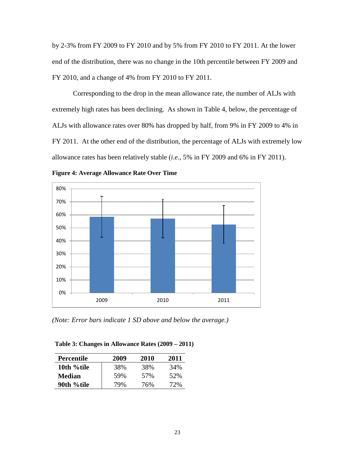by 2-3% from FY 2009 to FY 2010 and by 5% from FY 2010 to FY 2011. At the lower end of the distribution, there was no change in the 10th percentile between FY 2009 and FY 2010, and a change of 4% from FY 2010 to FY 2011.

Corresponding to the drop in the mean allowance rate, the number of ALJs with extremely high rates has been declining. As shown in Table 4, below, the percentage of ALJs with allowance rates over 80% has dropped by half, from 9% in FY 2009 to 4% in FY 2011. At the other end of the distribution, the percentage of ALJs with extremely low allowance rates has been relatively stable (*i.e.*, 5% in FY 2009 and 6% in FY 2011).



<span id="page-26-1"></span>**Figure 4: Average Allowance Rate Over Time**

*(Note: Error bars indicate 1 SD above and below the average.)*

<span id="page-26-0"></span>

|  |  | Table 3: Changes in Allowance Rates (2009 – 2011) |  |  |  |
|--|--|---------------------------------------------------|--|--|--|
|--|--|---------------------------------------------------|--|--|--|

| <b>Percentile</b> | 2009 | 2010            | 2011 |
|-------------------|------|-----------------|------|
| 10th %tile        | 38%  | 38%             | 34%  |
| <b>Median</b>     | 59%  | 57 <sub>%</sub> | 52%  |
| 90th %tile        | 79%  | 76%             | 72%  |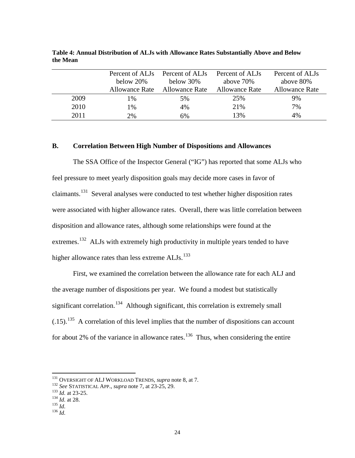|      | Percent of ALJ <sub>s</sub> | Percent of ALJ <sub>s</sub> | Percent of ALJ <sub>s</sub> | Percent of ALJ <sub>s</sub> |
|------|-----------------------------|-----------------------------|-----------------------------|-----------------------------|
|      | below 20%                   | below $30\%$                | above 70%                   | above 80%                   |
|      | <b>Allowance Rate</b>       | Allowance Rate              | <b>Allowance Rate</b>       | <b>Allowance Rate</b>       |
| 2009 | $\frac{10}{6}$              | 5%                          | 25%                         | 9%                          |
| 2010 | $1\%$                       | 4%                          | 21%                         | 7%                          |
| 2011 | 2%                          | 6%                          | 13%                         | 4%                          |

<span id="page-27-1"></span>**Table 4: Annual Distribution of ALJs with Allowance Rates Substantially Above and Below the Mean**

#### <span id="page-27-0"></span>**B. Correlation Between High Number of Dispositions and Allowances**

The SSA Office of the Inspector General ("IG") has reported that some ALJs who feel pressure to meet yearly disposition goals may decide more cases in favor of claimants.<sup>131</sup> Several analyses were conducted to test whether higher disposition rates were associated with higher allowance rates. Overall, there was little correlation between disposition and allowance rates, although some relationships were found at the extremes.<sup>[132](#page-27-2)</sup> ALJs with extremely high productivity in multiple years tended to have higher allowance rates than less extreme ALJs.<sup>[133](#page-27-3)</sup>

First, we examined the correlation between the allowance rate for each ALJ and the average number of dispositions per year. We found a modest but statistically significant correlation.<sup>[134](#page-27-4)</sup> Although significant, this correlation is extremely small  $(0.15)$ .<sup>[135](#page-27-5)</sup> A correlation of this level implies that the number of dispositions can account for about 2% of the variance in allowance rates.<sup>[136](#page-27-6)</sup> Thus, when considering the entire

<span id="page-27-2"></span><sup>&</sup>lt;sup>131</sup> OVERSIGHT OF ALJ WORKLOAD TRENDS, *supra* note 8, at 7.<br><sup>132</sup> *See* STATISTICAL APP., *supra* note 7, at 23-25, 29.<br><sup>133</sup> *Id.* at 23-25.<br><sup>134</sup> *Id.* at 28.<br><sup>135</sup> *Id.* 136 *Id*.

<span id="page-27-3"></span>

<span id="page-27-4"></span>

<span id="page-27-6"></span><span id="page-27-5"></span>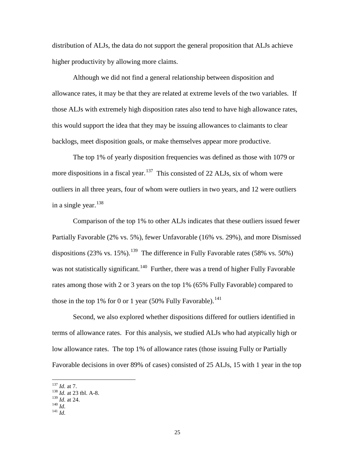distribution of ALJs, the data do not support the general proposition that ALJs achieve higher productivity by allowing more claims.

Although we did not find a general relationship between disposition and allowance rates, it may be that they are related at extreme levels of the two variables. If those ALJs with extremely high disposition rates also tend to have high allowance rates, this would support the idea that they may be issuing allowances to claimants to clear backlogs, meet disposition goals, or make themselves appear more productive.

The top 1% of yearly disposition frequencies was defined as those with 1079 or more dispositions in a fiscal year.<sup>[137](#page-27-2)</sup> This consisted of 22 ALJs, six of whom were outliers in all three years, four of whom were outliers in two years, and 12 were outliers in a single year.  $138$ 

Comparison of the top 1% to other ALJs indicates that these outliers issued fewer Partially Favorable (2% vs. 5%), fewer Unfavorable (16% vs. 29%), and more Dismissed dispositions (23% vs. 15%).<sup>[139](#page-28-1)</sup> The difference in Fully Favorable rates (58% vs. 50%) was not statistically significant.<sup>[140](#page-28-2)</sup> Further, there was a trend of higher Fully Favorable rates among those with 2 or 3 years on the top 1% (65% Fully Favorable) compared to those in the top 1% for 0 or 1 year (50% Fully Favorable).<sup>[141](#page-28-3)</sup>

Second, we also explored whether dispositions differed for outliers identified in terms of allowance rates. For this analysis, we studied ALJs who had atypically high or low allowance rates. The top 1% of allowance rates (those issuing Fully or Partially Favorable decisions in over 89% of cases) consisted of 25 ALJs, 15 with 1 year in the top

<span id="page-28-4"></span><sup>&</sup>lt;sup>137</sup> *Id.* at 7.<br><sup>138</sup> *Id.* at 23 tbl. A-8.

<span id="page-28-2"></span><span id="page-28-1"></span><span id="page-28-0"></span><sup>139</sup> *Id.* at 24. <sup>140</sup> *Id.* <sup>141</sup> *Id.*

<span id="page-28-3"></span>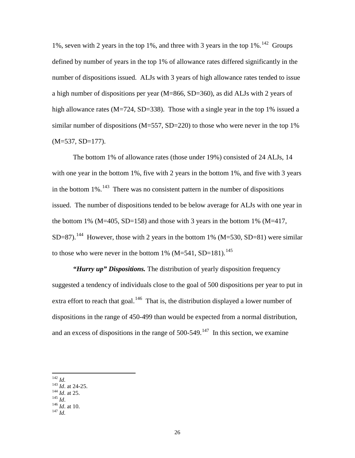1%, seven with 2 years in the top 1%, and three with 3 years in the top  $1\%$ .<sup>[142](#page-28-4)</sup> Groups defined by number of years in the top 1% of allowance rates differed significantly in the number of dispositions issued. ALJs with 3 years of high allowance rates tended to issue a high number of dispositions per year (M=866, SD=360), as did ALJs with 2 years of high allowance rates (M=724, SD=338). Those with a single year in the top 1% issued a similar number of dispositions  $(M=557, SD=220)$  to those who were never in the top 1%  $(M=537, SD=177)$ .

The bottom 1% of allowance rates (those under 19%) consisted of 24 ALJs, 14 with one year in the bottom 1%, five with 2 years in the bottom 1%, and five with 3 years in the bottom  $1\%$ .<sup>[143](#page-29-0)</sup> There was no consistent pattern in the number of dispositions issued. The number of dispositions tended to be below average for ALJs with one year in the bottom 1% (M=405, SD=158) and those with 3 years in the bottom 1% (M=417, SD=87).<sup>[144](#page-29-1)</sup> However, those with 2 years in the bottom 1% (M=530, SD=81) were similar to those who were never in the bottom  $1\%$  (M=541, SD=181).<sup>[145](#page-29-2)</sup>

*"Hurry up" Dispositions.* The distribution of yearly disposition frequency suggested a tendency of individuals close to the goal of 500 dispositions per year to put in extra effort to reach that goal.<sup>[146](#page-29-3)</sup> That is, the distribution displayed a lower number of dispositions in the range of 450-499 than would be expected from a normal distribution, and an excess of dispositions in the range of  $500-549$ .<sup>[147](#page-29-4)</sup> In this section, we examine

<span id="page-29-4"></span>

<span id="page-29-0"></span> <sup>142</sup> *Id.* 143 *Id*. at 24-25. 144 *Id*. at 25. 145 *Id*. 146 *Id*. at 10. 147 *Id.*

<span id="page-29-1"></span>

<span id="page-29-3"></span><span id="page-29-2"></span>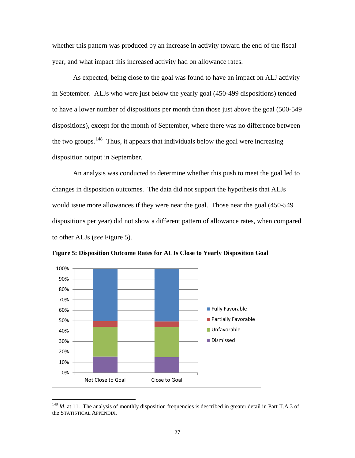whether this pattern was produced by an increase in activity toward the end of the fiscal year, and what impact this increased activity had on allowance rates.

As expected, being close to the goal was found to have an impact on ALJ activity in September. ALJs who were just below the yearly goal (450-499 dispositions) tended to have a lower number of dispositions per month than those just above the goal (500-549 dispositions), except for the month of September, where there was no difference between the two groups.<sup>[148](#page-29-3)</sup> Thus, it appears that individuals below the goal were increasing disposition output in September.

An analysis was conducted to determine whether this push to meet the goal led to changes in disposition outcomes. The data did not support the hypothesis that ALJs would issue more allowances if they were near the goal. Those near the goal (450-549 dispositions per year) did not show a different pattern of allowance rates, when compared to other ALJs (*see* Figure 5).



<span id="page-30-0"></span>**Figure 5: Disposition Outcome Rates for ALJs Close to Yearly Disposition Goal**

<span id="page-30-1"></span><sup>&</sup>lt;sup>148</sup> *Id.* at 11. The analysis of monthly disposition frequencies is described in greater detail in Part II.A.3 of the STATISTICAL APPENDIX.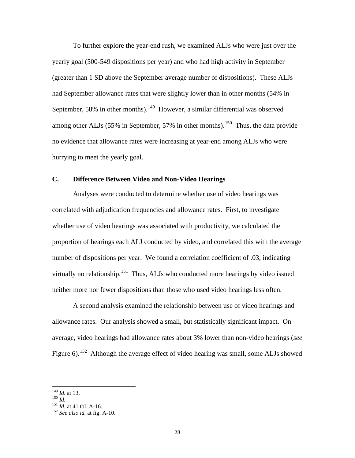<span id="page-31-0"></span>To further explore the year-end rush, we examined ALJs who were just over the yearly goal (500-549 dispositions per year) and who had high activity in September (greater than 1 SD above the September average number of dispositions). These ALJs had September allowance rates that were slightly lower than in other months (54% in September, 58% in other months).<sup>[149](#page-30-1)</sup> However, a similar differential was observed among other ALJs (55% in September, 57% in other months).<sup>[150](#page-31-1)</sup> Thus, the data provide no evidence that allowance rates were increasing at year-end among ALJs who were hurrying to meet the yearly goal.

## **C. Difference Between Video and Non-Video Hearings**

Analyses were conducted to determine whether use of video hearings was correlated with adjudication frequencies and allowance rates. First, to investigate whether use of video hearings was associated with productivity, we calculated the proportion of hearings each ALJ conducted by video, and correlated this with the average number of dispositions per year. We found a correlation coefficient of .03, indicating virtually no relationship.<sup>[151](#page-31-2)</sup> Thus, ALJs who conducted more hearings by video issued neither more nor fewer dispositions than those who used video hearings less often.

A second analysis examined the relationship between use of video hearings and allowance rates. Our analysis showed a small, but statistically significant impact. On average, video hearings had allowance rates about 3% lower than non-video hearings (*see* Figure 6).<sup>[152](#page-31-3)</sup> Although the average effect of video hearing was small, some ALJs showed

<span id="page-31-3"></span><span id="page-31-2"></span>

<span id="page-31-4"></span><span id="page-31-1"></span><sup>&</sup>lt;sup>149</sup> *Id.* at 13.<br><sup>150</sup> *Id.* at 41 tbl. A-16.<br><sup>152</sup> *See also id.* at fig. A-10.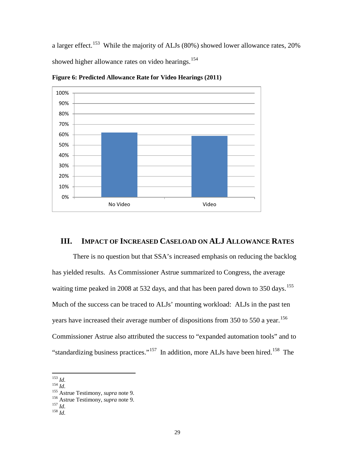a larger effect.<sup>[153](#page-31-4)</sup> While the majority of ALJs (80%) showed lower allowance rates, 20% showed higher allowance rates on video hearings.<sup>[154](#page-32-2)</sup>



<span id="page-32-1"></span>**Figure 6: Predicted Allowance Rate for Video Hearings (2011)**

# <span id="page-32-0"></span>**III. IMPACT OF INCREASED CASELOAD ON ALJ ALLOWANCE RATES**

There is no question but that SSA's increased emphasis on reducing the backlog has yielded results. As Commissioner Astrue summarized to Congress, the average waiting time peaked in 2008 at 532 days, and that has been pared down to 350 days.<sup>155</sup> Much of the success can be traced to ALJs' mounting workload: ALJs in the past ten years have increased their average number of dispositions from 350 to 550 a year.<sup>156</sup> Commissioner Astrue also attributed the success to "expanded automation tools" and to "standardizing business practices."<sup>[157](#page-32-5)</sup> In addition, more ALJs have been hired.<sup>[158](#page-32-6)</sup> The

<span id="page-32-2"></span>

<span id="page-32-4"></span><span id="page-32-3"></span>

<span id="page-32-7"></span><sup>153</sup> *Id.* <sup>154</sup> *Id.* <sup>155</sup> Astrue Testimony, *supra* note 9. <sup>156</sup> Astrue Testimony, *supra* note 9. <sup>157</sup> *Id.* <sup>158</sup> *Id.*

<span id="page-32-6"></span><span id="page-32-5"></span>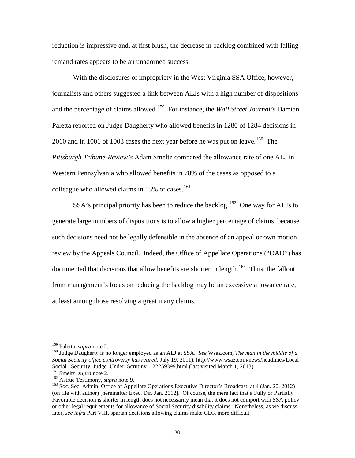reduction is impressive and, at first blush, the decrease in backlog combined with falling remand rates appears to be an unadorned success.

With the disclosures of impropriety in the West Virginia SSA Office, however, journalists and others suggested a link between ALJs with a high number of dispositions and the percentage of claims allowed.[159](#page-32-7) For instance, the *Wall Street Journal's* Damian Paletta reported on Judge Daugherty who allowed benefits in 1280 of 1284 decisions in 2010 and in 1001 of 1003 cases the next year before he was put on leave.<sup>[160](#page-33-0)</sup> The *Pittsburgh Tribune-Review's* Adam Smeltz compared the allowance rate of one ALJ in Western Pennsylvania who allowed benefits in 78% of the cases as opposed to a colleague who allowed claims in 15% of cases.<sup>[161](#page-33-1)</sup>

SSA's principal priority has been to reduce the backlog.<sup>162</sup> One way for ALJs to generate large numbers of dispositions is to allow a higher percentage of claims, because such decisions need not be legally defensible in the absence of an appeal or own motion review by the Appeals Council. Indeed, the Office of Appellate Operations ("OAO") has documented that decisions that allow benefits are shorter in length.<sup>[163](#page-33-3)</sup> Thus, the fallout from management's focus on reducing the backlog may be an excessive allowance rate, at least among those resolving a great many claims.

<span id="page-33-4"></span><span id="page-33-0"></span><sup>&</sup>lt;sup>159</sup> Paletta, *supra* note 2.<br><sup>160</sup> Judge Daugherty is no longer employed as an ALJ at SSA. *See* Wsaz.com, *The man in the middle of a Social Security office controversy has retired*, July 19, 2011), http://www.wsaz.com/news/headlines/Local\_

<span id="page-33-3"></span>

<span id="page-33-2"></span><span id="page-33-1"></span><sup>&</sup>lt;sup>161</sup> Smeltz, *supra* note 2.<br><sup>162</sup> Astrue Testimony, *supra* note 9.<br><sup>162</sup> Soc. Sec. Admin. Office of Appellate Operations Executive Director's Broadcast, at 4 (Jan. 20, 2012) (on file with author) [hereinafter Exec. Dir. Jan. 2012]. Of course, the mere fact that a Fully or Partially Favorable decision is shorter in length does not necessarily mean that it does not comport with SSA policy or other legal requirements for allowance of Social Security disability claims. Nonetheless, as we discuss later, *see infra* Part VIII, spartan decisions allowing claims make CDR more difficult.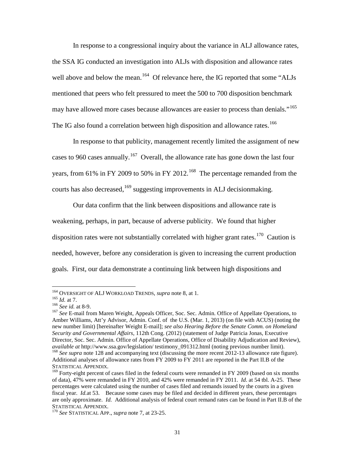In response to a congressional inquiry about the variance in ALJ allowance rates, the SSA IG conducted an investigation into ALJs with disposition and allowance rates well above and below the mean.<sup>[164](#page-33-4)</sup> Of relevance here, the IG reported that some "ALJs mentioned that peers who felt pressured to meet the 500 to 700 disposition benchmark may have allowed more cases because allowances are easier to process than denials."<sup>[165](#page-34-0)</sup> The IG also found a correlation between high disposition and allowance rates.<sup>[166](#page-34-1)</sup>

In response to that publicity, management recently limited the assignment of new cases to 960 cases annually.<sup>[167](#page-34-2)</sup> Overall, the allowance rate has gone down the last four years, from 61% in FY 2009 to 50% in FY 2012.<sup>[168](#page-34-3)</sup> The percentage remanded from the courts has also decreased,<sup>[169](#page-34-4)</sup> suggesting improvements in ALJ decisionmaking.

Our data confirm that the link between dispositions and allowance rate is

weakening, perhaps, in part, because of adverse publicity. We found that higher

disposition rates were not substantially correlated with higher grant rates.<sup>170</sup> Caution is

needed, however, before any consideration is given to increasing the current production

goals. First, our data demonstrate a continuing link between high dispositions and

<span id="page-34-1"></span>

<span id="page-34-2"></span>

<span id="page-34-0"></span><sup>&</sup>lt;sup>164</sup> OVERSIGHT OF ALJ WORKLOAD TRENDS, *supra* note 8, at 1.<br><sup>165</sup> *Id.* at 7.<br><sup>166</sup> *See id.* at 8-9.<br><sup>167</sup> *See* E-mail from Maren Weight, Appeals Officer, Soc. Sec. Admin. Office of Appellate Operations, to Amber Williams, Att'y Advisor, Admin. Conf. of the U.S. (Mar. 1, 2013) (on file with ACUS) (noting the new number limit) [hereinafter Weight E-mail]; *see also Hearing Before the Senate Comm. on Homeland Security and Governmental Affairs*, 112th Cong. (2012) (statement of Judge Patricia Jonas, Executive Director, Soc. Sec. Admin. Office of Appellate Operations, Office of Disability Adjudication and Review), *available at* http://www.ssa.gov/legislation/ testimony 091312.html (noting previous number limit). <sup>168</sup> *See supra* note 128 and accompanying text (discussing the more recent 2012-13 allowance rate figure). Additional analyses of allowance rates from FY 2009 to FY 2011 are reported in the Part II.B of the

<span id="page-34-4"></span><span id="page-34-3"></span> $169$  Forty-eight percent of cases filed in the federal courts were remanded in FY 2009 (based on six months of data), 47% were remanded in FY 2010, and 42% were remanded in FY 2011. *Id*. at 54 tbl. A-25. These percentages were calculated using the number of cases filed and remands issued by the courts in a given fiscal year. *Id.*at 53. Because some cases may be filed and decided in different years, these percentages are only approximate. *Id.* Additional analysis of federal court remand rates can be found in Part II.B of the STATISTICAL APPENDIX. <sup>170</sup> *See* STATISTICAL APP., *supra* note 7, at 23-25.

<span id="page-34-5"></span>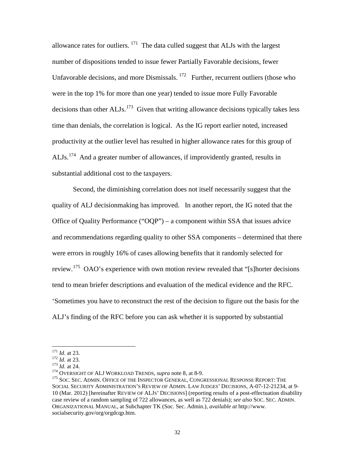allowance rates for outliers.  $171$  The data culled suggest that ALJs with the largest number of dispositions tended to issue fewer Partially Favorable decisions, fewer Unfavorable decisions, and more Dismissals.  $172$  Further, recurrent outliers (those who were in the top 1% for more than one year) tended to issue more Fully Favorable decisions than other  $ALJs$ .<sup>[173](#page-35-1)</sup> Given that writing allowance decisions typically takes less time than denials, the correlation is logical. As the IG report earlier noted, increased productivity at the outlier level has resulted in higher allowance rates for this group of ALJs.<sup>[174](#page-35-2)</sup> And a greater number of allowances, if improvidently granted, results in substantial additional cost to the taxpayers.

Second, the diminishing correlation does not itself necessarily suggest that the quality of ALJ decisionmaking has improved. In another report, the IG noted that the Office of Quality Performance ("OQP") – a component within SSA that issues advice and recommendations regarding quality to other SSA components – determined that there were errors in roughly 16% of cases allowing benefits that it randomly selected for review.<sup>[175](#page-35-3)</sup> OAO's experience with own motion review revealed that "[s]horter decisions tend to mean briefer descriptions and evaluation of the medical evidence and the RFC. 'Sometimes you have to reconstruct the rest of the decision to figure out the basis for the ALJ's finding of the RFC before you can ask whether it is supported by substantial

<span id="page-35-1"></span>

<span id="page-35-3"></span><span id="page-35-2"></span>

<span id="page-35-0"></span><sup>&</sup>lt;sup>171</sup> *Id.* at 23.<br><sup>172</sup> *Id.* at 23. 173 *Id.* at 24. 174 OVERSIGHT OF ALJ WORKLOAD TRENDS, *supra* note 8, at 8-9. 175 SOC. SEC. ADMIN. OFFICE OF THE INSPECTOR GENERAL, CONGRESSIONAL RESPONSE REPORT: THE 175 SOC. SEC. AD SOCIAL SECURITY ADMINISTRATION'S REVIEW OF ADMIN. LAW JUDGES' DECISIONS, A-07-12-21234, at 9- 10 (Mar. 2012) [hereinafter REVIEW OF ALJS' DECISIONS] (reporting results of a post-effectuation disability case review of a random sampling of 722 allowances, as well as 722 denials); *see also* SOC. SEC. ADMIN. ORGANIZATIONAL MANUAL, at Subchapter TK (Soc. Sec. Admin.), *available at* http://www. socialsecurity.gov/org/orgdcqp.htm.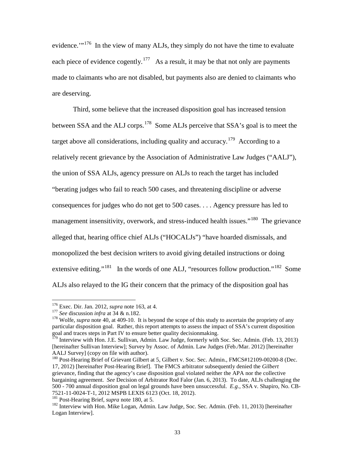evidence."<sup>176</sup> In the view of many ALJs, they simply do not have the time to evaluate each piece of evidence cogently.<sup>177</sup> As a result, it may be that not only are payments made to claimants who are not disabled, but payments also are denied to claimants who are deserving.

Third, some believe that the increased disposition goal has increased tension between SSA and the ALJ corps.<sup>[178](#page-36-1)</sup> Some ALJs perceive that SSA's goal is to meet the target above all considerations, including quality and accuracy.<sup>179</sup> According to a relatively recent grievance by the Association of Administrative Law Judges ("AALJ"), the union of SSA ALJs, agency pressure on ALJs to reach the target has included "berating judges who fail to reach 500 cases, and threatening discipline or adverse consequences for judges who do not get to 500 cases. . . . Agency pressure has led to management insensitivity, overwork, and stress-induced health issues."<sup>[180](#page-36-3)</sup> The grievance alleged that, hearing office chief ALJs ("HOCALJs") "have hoarded dismissals, and monopolized the best decision writers to avoid giving detailed instructions or doing extensive editing."<sup>181</sup> In the words of one ALJ, "resources follow production."<sup>182</sup> Some ALJs also relayed to the IG their concern that the primacy of the disposition goal has

<span id="page-36-1"></span><span id="page-36-0"></span>

<sup>&</sup>lt;sup>176</sup> Exec. Dir. Jan. 2012, *supra* note 163, at 4.<br><sup>177</sup> *See* discussion *infra* at 34 & n.182.<br><sup>178</sup> Wolfe, *supra* note 40, at 409-10. It is beyond the scope of this study to ascertain the propriety of any particular disposition goal. Rather, this report attempts to assess the impact of SSA's current disposition goal and traces steps in Part IV to ensure better quality decisionmaking.

<span id="page-36-2"></span><sup>&</sup>lt;sup>179</sup> Interview with Hon. J.E. Sullivan, Admin. Law Judge, formerly with Soc. Sec. Admin. (Feb. 13, 2013) [hereinafter Sullivan Interview]; Survey by Assoc. of Admin. Law Judges (Feb./Mar. 2012) [hereinafter AALJ Survey] (copy on file with author).

<span id="page-36-6"></span><span id="page-36-3"></span><sup>&</sup>lt;sup>180</sup> Post-Hearing Brief of Grievant Gilbert at 5, Gilbert v. Soc. Sec. Admin., FMCS#12109-00200-8 (Dec. 17, 2012) [hereinafter Post-Hearing Brief]. The FMCS arbitrator subsequently denied the *Gilbert* grievance, finding that the agency's case disposition goal violated neither the APA nor the collective bargaining agreement. *See* Decision of Arbitrator Rod Falor (Jan. 6, 2013). To date, ALJs challenging the 500 - 700 annual disposition goal on legal grounds have been unsuccessful. *E.g*., SSA v. Shapiro, No. CB-

<span id="page-36-5"></span>

<span id="page-36-4"></span><sup>&</sup>lt;sup>181</sup> Post-Hearing Brief, *supra* note 180, at 5.<br><sup>182</sup> Interview with Hon. Mike Logan, Admin. Law Judge, Soc. Sec. Admin. (Feb. 11, 2013) [hereinafter Logan Interview].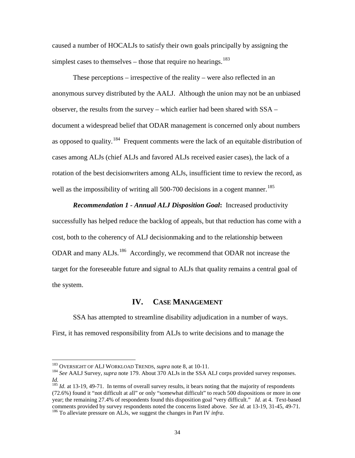caused a number of HOCALJs to satisfy their own goals principally by assigning the simplest cases to themselves – those that require no hearings.<sup>183</sup>

These perceptions – irrespective of the reality – were also reflected in an anonymous survey distributed by the AALJ. Although the union may not be an unbiased observer, the results from the survey – which earlier had been shared with SSA – document a widespread belief that ODAR management is concerned only about numbers as opposed to quality.<sup>[184](#page-37-0)</sup> Frequent comments were the lack of an equitable distribution of cases among ALJs (chief ALJs and favored ALJs received easier cases), the lack of a rotation of the best decisionwriters among ALJs, insufficient time to review the record, as well as the impossibility of writing all 500-700 decisions in a cogent manner.<sup>[185](#page-37-1)</sup>

*Recommendation 1 - Annual ALJ Disposition Goal***:** Increased productivity successfully has helped reduce the backlog of appeals, but that reduction has come with a cost, both to the coherency of ALJ decisionmaking and to the relationship between ODAR and many ALJs.<sup>[186](#page-37-2)</sup> Accordingly, we recommend that ODAR not increase the target for the foreseeable future and signal to ALJs that quality remains a central goal of the system.

# **IV. CASE MANAGEMENT**

<span id="page-37-3"></span>SSA has attempted to streamline disability adjudication in a number of ways. First, it has removed responsibility from ALJs to write decisions and to manage the

<span id="page-37-0"></span><sup>&</sup>lt;sup>183</sup> OVERSIGHT OF ALJ WORKLOAD TRENDS, *supra* note 8, at 10-11.<br><sup>184</sup> *See* AALJ Survey, *supra* note 179. About 370 ALJs in the SSA ALJ corps provided survey responses.

<span id="page-37-2"></span><span id="page-37-1"></span><sup>&</sup>lt;sup>185</sup> *Id.* at 13-19, 49-71. In terms of overall survey results, it bears noting that the majority of respondents (72.6%) found it "not difficult at all" or only "somewhat difficult" to reach 500 dispositions or more in one year; the remaining 27.4% of respondents found this disposition goal "very difficult." *Id.* at 4. Text-based comments provided by survey respondents noted the concerns listed above. *See id.* at 13-19, 31-45, 49-71. <sup>186</sup> To alleviate pressure on ALJs, we suggest the changes in Part IV *infra*.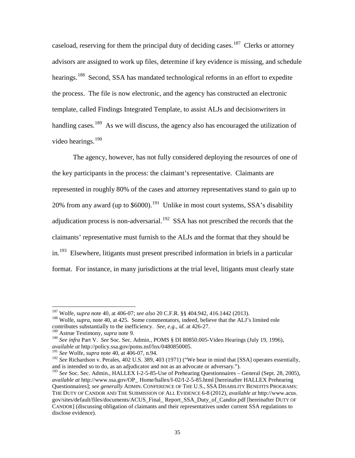caseload, reserving for them the principal duty of deciding cases.<sup>[187](#page-37-3)</sup> Clerks or attorney advisors are assigned to work up files, determine if key evidence is missing, and schedule hearings.<sup>[188](#page-38-0)</sup> Second, SSA has mandated technological reforms in an effort to expedite the process. The file is now electronic, and the agency has constructed an electronic template, called Findings Integrated Template, to assist ALJs and decisionwriters in handling cases.<sup>[189](#page-38-1)</sup> As we will discuss, the agency also has encouraged the utilization of video hearings.<sup>[190](#page-38-2)</sup>

The agency, however, has not fully considered deploying the resources of one of the key participants in the process: the claimant's representative. Claimants are represented in roughly 80% of the cases and attorney representatives stand to gain up to 20% from any award (up to  $$6000$ ).<sup>[191](#page-38-3)</sup> Unlike in most court systems, SSA's disability adjudication process is non-adversarial.<sup>192</sup> SSA has not prescribed the records that the claimants' representative must furnish to the ALJs and the format that they should be in.<sup>[193](#page-38-5)</sup> Elsewhere, litigants must present prescribed information in briefs in a particular format. For instance, in many jurisdictions at the trial level, litigants must clearly state

<sup>&</sup>lt;sup>187</sup> Wolfe, *supra* note 40, at 406-07; *see also* 20 C.F.R. §§ 404.942, 416.1442 (2013).<br><sup>188</sup> Wolfe, *supra*, note 40, at 425. Some commentators, indeed, believe that the ALJ's limited role

<span id="page-38-0"></span>contributes substantially to the inefficiency. *See, e.g.*, *id.* at 426-27.

<span id="page-38-1"></span>

<span id="page-38-6"></span><span id="page-38-2"></span><sup>&</sup>lt;sup>190</sup> See infra Part V. *See* Soc. Sec. Admin., POMS § DI 80850.005-Video Hearings (July 19, 1996), *available at* http://policy.ssa.gov/poms.nsf/lnx/0480850005. <sup>191</sup> *See* Wolfe, *supra* note 40, at 406-07, n.94.

<span id="page-38-4"></span><span id="page-38-3"></span><sup>&</sup>lt;sup>192</sup> *See* Richardson v. Perales, 402 U.S. 389, 403 (1971) ("We bear in mind that [SSA] operates essentially, and is intended so to do, as an adjudicator and not as an advocate or adversary.").

<span id="page-38-5"></span><sup>&</sup>lt;sup>193</sup> *See* Soc. Sec. Admin., HALLEX I-2-5-85-Use of Prehearing Questionnaires – General (Sept. 28, 2005), *available at* http://www.ssa.gov/OP\_ Home/hallex/I-02/I-2-5-85.html [hereinafter HALLEX Prehearing Questionnaires]; *see generally* ADMIN. CONFERENCE OF THE U.S., SSA DISABILITY BENEFITS PROGRAMS: THE DUTY OF CANDOR AND THE SUBMISSION OF ALL EVIDENCE 6-8 (2012), *available at* http://www.acus. gov/sites/default/files/documents/ACUS\_Final\_ Report\_SSA\_Duty\_of\_Candor.pdf [hereinafter DUTY OF CANDOR] (discussing obligation of claimants and their representatives under current SSA regulations to disclose evidence).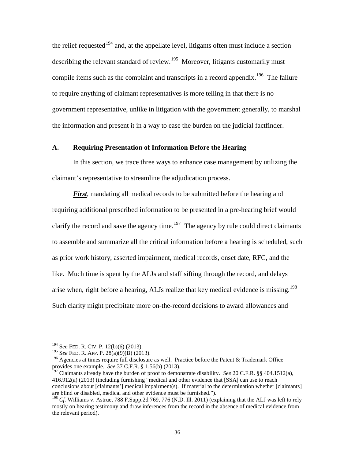the relief requested<sup>[194](#page-38-6)</sup> and, at the appellate level, litigants often must include a section describing the relevant standard of review.<sup>[195](#page-39-0)</sup> Moreover, litigants customarily must compile items such as the complaint and transcripts in a record appendix.<sup>196</sup> The failure to require anything of claimant representatives is more telling in that there is no government representative, unlike in litigation with the government generally, to marshal the information and present it in a way to ease the burden on the judicial factfinder.

# **A. Requiring Presentation of Information Before the Hearing**

In this section, we trace three ways to enhance case management by utilizing the claimant's representative to streamline the adjudication process.

*First*, mandating all medical records to be submitted before the hearing and requiring additional prescribed information to be presented in a pre-hearing brief would clarify the record and save the agency time.<sup>[197](#page-39-2)</sup> The agency by rule could direct claimants to assemble and summarize all the critical information before a hearing is scheduled, such as prior work history, asserted impairment, medical records, onset date, RFC, and the like. Much time is spent by the ALJs and staff sifting through the record, and delays arise when, right before a hearing, ALJs realize that key medical evidence is missing.<sup>198</sup> Such clarity might precipitate more on-the-record decisions to award allowances and

<span id="page-39-1"></span>

<span id="page-39-4"></span><span id="page-39-0"></span><sup>&</sup>lt;sup>194</sup> See FED. R. CIV. P. 12(b)(6) (2013).<br><sup>195</sup> See FED. R. APP. P. 28(a)(9)(B) (2013).<br><sup>196</sup> Agencies at times require full disclosure as well. Practice before the Patent & Trademark Office<br>provides one example. *See* 37

<span id="page-39-2"></span><sup>&</sup>lt;sup>197</sup> Claimants already have the burden of proof to demonstrate disability. *See* 20 C.F.R. §§ 404.1512(a), 416.912(a) (2013) (including furnishing "medical and other evidence that [SSA] can use to reach conclusions about [claimants'] medical impairment(s). If material to the determination whether [claimants] are blind or disabled, medical and other evidence must be furnished.").

<span id="page-39-3"></span><sup>&</sup>lt;sup>198</sup> *Cf.* Williams v. Astrue, 788 F.Supp.2d 769, 776 (N.D. Ill. 2011) (explaining that the ALJ was left to rely mostly on hearing testimony and draw inferences from the record in the absence of medical evidence from the relevant period).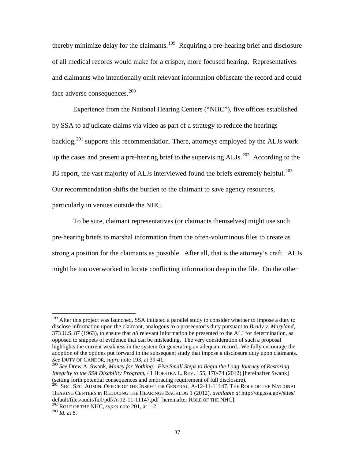thereby minimize delay for the claimants.<sup>199</sup> Requiring a pre-hearing brief and disclosure of all medical records would make for a crisper, more focused hearing. Representatives and claimants who intentionally omit relevant information obfuscate the record and could face adverse consequences. $200$ 

Experience from the National Hearing Centers ("NHC"), five offices established by SSA to adjudicate claims via video as part of a strategy to reduce the hearings backlog, $^{201}$  $^{201}$  $^{201}$  supports this recommendation. There, attorneys employed by the ALJs work up the cases and present a pre-hearing brief to the supervising  $ALJs$ .<sup>202</sup> According to the IG report, the vast majority of ALJs interviewed found the briefs extremely helpful.<sup>203</sup> Our recommendation shifts the burden to the claimant to save agency resources, particularly in venues outside the NHC.

To be sure, claimant representatives (or claimants themselves) might use such pre-hearing briefs to marshal information from the often-voluminous files to create as strong a position for the claimants as possible. After all, that is the attorney's craft. ALJs might be too overworked to locate conflicting information deep in the file. On the other

<sup>&</sup>lt;sup>199</sup> After this project was launched, SSA initiated a parallel study to consider whether to impose a duty to disclose information upon the claimant, analogous to a prosecutor's duty pursuant to *Brady v. Maryland*, 373 U.S. 87 (1963), to ensure that *all* relevant information be presented to the ALJ for determination, as opposed to snippets of evidence that can be misleading. The very consideration of such a proposal highlights the current weakness in the system for generating an adequate record. We fully encourage the adoption of the options put forward in the subsequent study that impose a disclosure duty upon claimants.<br>See DUTY OF CANDOR, *supra* note 193, at 39-41.

<span id="page-40-0"></span><sup>&</sup>lt;sup>200</sup> See Drew A. Swank, *Money for Nothing: Five Small Steps to Begin the Long Journey of Restoring Integrity to the SSA Disability Program*, 41 HOFSTRA L. REV. 155, 170-74 (2012) [hereinafter Swank] (setting forth potential consequences and embracing requirement of full disclosure).<br><sup>201</sup> SOC. SEC. ADMIN. OFFICE OF THE INSPECTOR GENERAL, A-12-11-11147, THE ROLE OF THE NATIONAL

<span id="page-40-1"></span>HEARING CENTERS IN REDUCING THE HEARINGS BACKLOG 1 (2012), *available at* http://oig.ssa.gov/sites/ default/files/audit/full/pdf/A-12-11-11147.pdf [hereinafter ROLE OF THE NHC].<br><sup>202</sup> ROLE OF THE NHC, *supra* note 201, at 1-2.<br><sup>203</sup> *Id.* at 8.

<span id="page-40-3"></span><span id="page-40-2"></span>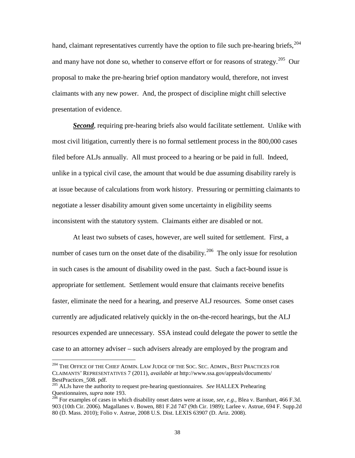hand, claimant representatives currently have the option to file such pre-hearing briefs,  $204$ and many have not done so, whether to conserve effort or for reasons of strategy.<sup>[205](#page-41-0)</sup> Our proposal to make the pre-hearing brief option mandatory would, therefore, not invest claimants with any new power. And, the prospect of discipline might chill selective presentation of evidence.

*Second*, requiring pre-hearing briefs also would facilitate settlement. Unlike with most civil litigation, currently there is no formal settlement process in the 800,000 cases filed before ALJs annually. All must proceed to a hearing or be paid in full. Indeed, unlike in a typical civil case, the amount that would be due assuming disability rarely is at issue because of calculations from work history. Pressuring or permitting claimants to negotiate a lesser disability amount given some uncertainty in eligibility seems inconsistent with the statutory system. Claimants either are disabled or not.

At least two subsets of cases, however, are well suited for settlement. First, a number of cases turn on the onset date of the disability.<sup>[206](#page-41-1)</sup> The only issue for resolution in such cases is the amount of disability owed in the past. Such a fact-bound issue is appropriate for settlement. Settlement would ensure that claimants receive benefits faster, eliminate the need for a hearing, and preserve ALJ resources. Some onset cases currently are adjudicated relatively quickly in the on-the-record hearings, but the ALJ resources expended are unnecessary. SSA instead could delegate the power to settle the case to an attorney adviser – such advisers already are employed by the program and

<span id="page-41-2"></span> $^{204}$  The Office of the Chief Admin. Law Judge of the Soc. Sec. Admin., Best Practices for CLAIMANTS' REPRESENTATIVES 7 (2011), *available at* http://www.ssa.gov/appeals/documents/

<span id="page-41-0"></span>BestPractices\_508. pdf.<br><sup>205</sup> ALJs have the authority to request pre-hearing questionnaires. *See* HALLEX Prehearing Questionnaires, *supra* note 193.

<span id="page-41-1"></span><sup>&</sup>lt;sup>206</sup> For examples of cases in which disability onset dates were at issue, *see, e.g.*, Blea v. Barnhart, 466 F.3d. 903 (10th Cir. 2006). Magallanes v. Bowen, 881 F.2d 747 (9th Cir. 1989); Larlee v. Astrue, 694 F. Supp.2d 80 (D. Mass. 2010); Folio v. Astrue, 2008 U.S. Dist. LEXIS 63907 (D. Ariz. 2008).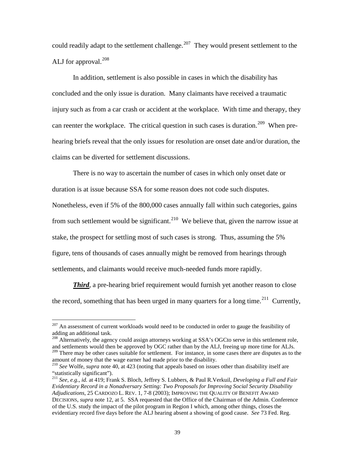could readily adapt to the settlement challenge.<sup>207</sup> They would present settlement to the ALJ for approval.<sup>[208](#page-42-0)</sup>

In addition, settlement is also possible in cases in which the disability has concluded and the only issue is duration. Many claimants have received a traumatic injury such as from a car crash or accident at the workplace. With time and therapy, they can reenter the workplace. The critical question in such cases is duration.<sup>209</sup> When prehearing briefs reveal that the only issues for resolution are onset date and/or duration, the claims can be diverted for settlement discussions.

There is no way to ascertain the number of cases in which only onset date or duration is at issue because SSA for some reason does not code such disputes. Nonetheless, even if 5% of the 800,000 cases annually fall within such categories, gains from such settlement would be significant.<sup>[210](#page-42-2)</sup> We believe that, given the narrow issue at stake, the prospect for settling most of such cases is strong. Thus, assuming the 5% figure, tens of thousands of cases annually might be removed from hearings through settlements, and claimants would receive much-needed funds more rapidly.

*Third*, a pre-hearing brief requirement would furnish yet another reason to close the record, something that has been urged in many quarters for a long time.<sup>211</sup> Currently,

<span id="page-42-0"></span><sup>208</sup> Alternatively, the agency could assign attorneys working at SSA's OGCto serve in this settlement role, and settlements would then be approved by OGC rather than by the ALJ, freeing up more time for ALJs. <sup>209</sup> There may be other cases suitable for settlement. For instance, in some cases there are disputes as to the

<span id="page-42-4"></span> $207$  An assessment of current workloads would need to be conducted in order to gauge the feasibility of adding an additional task.

<span id="page-42-2"></span><span id="page-42-1"></span>amount of money that the wage earner had made prior to the disability. <sup>210</sup> *See* Wolfe, *supra* note 40, at 423 (noting that appeals based on issues other than disability itself are "statistically significant").

<span id="page-42-3"></span><sup>211</sup> *See, e.g.*, *id.* at 419; Frank S. Bloch, Jeffrey S. Lubbers, & Paul R.Verkuil, *Developing a Full and Fair Evidentiary Record in a Nonadversary Setting: Two Proposals for Improving Social Security Disability Adjudications*, 25 CARDOZO L. REV. 1, 7-8 (2003); IMPROVING THE QUALITY OF BENEFIT AWARD DECISIONS, *supra* note 12, at 5. SSA requested that the Office of the Chairman of the Admin. Conference of the U.S. study the impact of the pilot program in Region I which, among other things, closes the evidentiary record five days before the ALJ hearing absent a showing of good cause. *See* 73 Fed. Reg.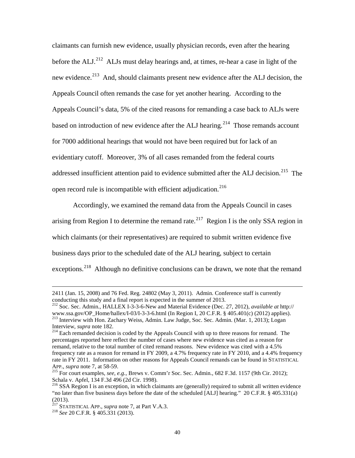claimants can furnish new evidence, usually physician records, even after the hearing before the ALJ.<sup>212</sup> ALJs must delay hearings and, at times, re-hear a case in light of the new evidence.<sup>[213](#page-43-0)</sup> And, should claimants present new evidence after the ALJ decision, the Appeals Council often remands the case for yet another hearing. According to the Appeals Council's data, 5% of the cited reasons for remanding a case back to ALJs were based on introduction of new evidence after the ALJ hearing.<sup>214</sup> Those remands account for 7000 additional hearings that would not have been required but for lack of an evidentiary cutoff. Moreover, 3% of all cases remanded from the federal courts addressed insufficient attention paid to evidence submitted after the ALJ decision.<sup>[215](#page-43-2)</sup> The open record rule is incompatible with efficient adjudication.<sup>[216](#page-43-3)</sup>

Accordingly, we examined the remand data from the Appeals Council in cases

arising from Region I to determine the remand rate.<sup>[217](#page-43-4)</sup> Region I is the only SSA region in

which claimants (or their representatives) are required to submit written evidence five

business days prior to the scheduled date of the ALJ hearing, subject to certain

exceptions.<sup>[218](#page-43-5)</sup> Although no definitive conclusions can be drawn, we note that the remand

 $\overline{a}$ 

<sup>2411 (</sup>Jan. 15, 2008) and 76 Fed. Reg. 24802 (May 3, 2011). Admin. Conference staff is currently conducting this study and a final report is expected in the summer of 2013.

<sup>212</sup> Soc. Sec. Admin., HALLEX I-3-3-6-New and Material Evidence (Dec. 27, 2012), *available at* http:// www.ssa.gov/OP\_Home/hallex/I-03/I-3-3-6.html (In Region I, 20 C.F.R. § 405.401(c) (2012) applies).<br><sup>213</sup> Interview with Hon. Zachary Weiss, Admin. Law Judge, Soc. Sec. Admin. (Mar. 1, 2013); Logan<br>Interview, *supra* note 1

<span id="page-43-1"></span><span id="page-43-0"></span><sup>&</sup>lt;sup>214</sup> Each remanded decision is coded by the Appeals Council with up to three reasons for remand. The percentages reported here reflect the number of cases where new evidence was cited as a reason for remand, relative to the total number of cited remand reasons. New evidence was cited with a 4.5% frequency rate as a reason for remand in FY 2009, a 4.7% frequency rate in FY 2010, and a 4.4% frequency rate in FY 2011. Information on other reasons for Appeals Council remands can be found in STATISTICAL APP., *supra* note 7, at 58-59.

<span id="page-43-2"></span><sup>&</sup>lt;sup>215</sup> For court examples, *see, e.g.*, Brews v. Comm'r Soc. Sec. Admin., 682 F.3d. 1157 (9th Cir. 2012);<br>Schala v. Apfel, 134 F.3d 496 (2d Cir. 1998).

<span id="page-43-3"></span> $^{216}$  SSA Region I is an exception, in which claimants are (generally) required to submit all written evidence "no later than five business days before the date of the scheduled [ALJ] hearing." 20 C.F.R. § 405.331(a) (2013).

<span id="page-43-5"></span><span id="page-43-4"></span><sup>217</sup> STATISTICAL APP., *supra* note 7, at Part V.A.3. <sup>218</sup> *See* 20 C.F.R. § 405.331 (2013).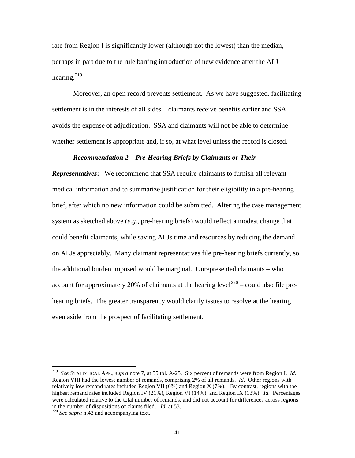rate from Region I is significantly lower (although not the lowest) than the median, perhaps in part due to the rule barring introduction of new evidence after the ALJ hearing. $^{219}$  $^{219}$  $^{219}$ 

Moreover, an open record prevents settlement. As we have suggested, facilitating settlement is in the interests of all sides – claimants receive benefits earlier and SSA avoids the expense of adjudication. SSA and claimants will not be able to determine whether settlement is appropriate and, if so, at what level unless the record is closed.

#### *Recommendation 2 – Pre-Hearing Briefs by Claimants or Their*

*Representatives***:** We recommend that SSA require claimants to furnish all relevant medical information and to summarize justification for their eligibility in a pre-hearing brief, after which no new information could be submitted. Altering the case management system as sketched above (*e.g.*, pre-hearing briefs) would reflect a modest change that could benefit claimants, while saving ALJs time and resources by reducing the demand on ALJs appreciably. Many claimant representatives file pre-hearing briefs currently, so the additional burden imposed would be marginal. Unrepresented claimants – who account for approximately 20% of claimants at the hearing level<sup>[220](#page-44-0)</sup> – could also file prehearing briefs. The greater transparency would clarify issues to resolve at the hearing even aside from the prospect of facilitating settlement.

<span id="page-44-1"></span> <sup>219</sup> *See* STATISTICAL APP., *supra* note 7, at 55 tbl. A-25. Six percent of remands were from Region I. *Id*. Region VIII had the lowest number of remands, comprising 2% of all remands. *Id.* Other regions with relatively low remand rates included Region VII (6%) and Region X (7%). By contrast, regions with the highest remand rates included Region IV (21%), Region VI (14%), and Region IX (13%). *Id.* Percentages were calculated relative to the total number of remands, and did not account for differences across regions in the number of dispositions or claims filed.  $Id$  at 53.

<span id="page-44-0"></span><sup>&</sup>lt;sup>220</sup> See supra n.43 and accompanying text.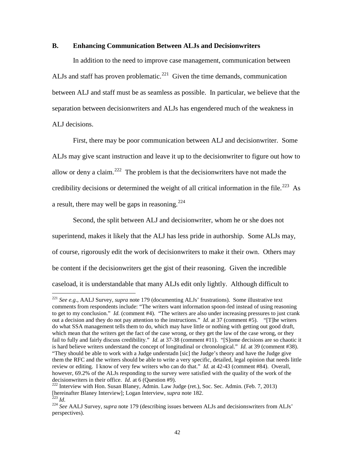### **B. Enhancing Communication Between ALJs and Decisionwriters**

In addition to the need to improve case management, communication between ALJs and staff has proven problematic.<sup>[221](#page-44-1)</sup> Given the time demands, communication between ALJ and staff must be as seamless as possible. In particular, we believe that the separation between decisionwriters and ALJs has engendered much of the weakness in ALJ decisions.

First, there may be poor communication between ALJ and decisionwriter. Some ALJs may give scant instruction and leave it up to the decisionwriter to figure out how to allow or deny a claim.<sup>222</sup> The problem is that the decisionwriters have not made the credibility decisions or determined the weight of all critical information in the file.<sup>[223](#page-45-1)</sup> As a result, there may well be gaps in reasoning.  $224$ 

Second, the split between ALJ and decisionwriter, whom he or she does not superintend, makes it likely that the ALJ has less pride in authorship. Some ALJs may, of course, rigorously edit the work of decisionwriters to make it their own. Others may be content if the decisionwriters get the gist of their reasoning. Given the incredible caseload, it is understandable that many ALJs edit only lightly. Although difficult to

 <sup>221</sup> *See e.g.*, AALJ Survey, *supra* note 179 (documenting ALJs' frustrations). Some illustrative text comments from respondents include: "The writers want information spoon-fed instead of using reasoning to get to my conclusion." *Id.* (comment #4). "The writers are also under increasing pressures to just crank out a decision and they do not pay attention to the instructions." *Id.* at 37 (comment #5). "[T]he writers do what SSA management tells them to do, which may have little or nothing with getting out good draft, which mean that the writers get the fact of the case wrong, or they get the law of the case wrong, or they fail to fully and fairly discuss credibility." *Id.* at 37-38 (comment #11). "[S]ome decisions are so chaotic it is hard believe writers understand the concept of longitudinal or chronological." *Id.* at 39 (comment #38). "They should be able to work with a Judge understadn [sic] the Judge's theory and have the Judge give them the RFC and the writers should be able to write a very specific, detailed, legal opinion that needs little review or editing. I know of very few writers who can do that." *Id.* at 42-43 (comment #84). Overall, however, 69.2% of the ALJs responding to the survey were satisfied with the quality of the work of the decision writers in their office. *Id.* at 6 (Question #9).

<span id="page-45-3"></span><span id="page-45-0"></span><sup>&</sup>lt;sup>222</sup> Interview with Hon. Susan Blaney, Admin. Law Judge (ret.), Soc. Sec. Admin. (Feb. 7, 2013) [hereinafter Blaney Interview]; Logan Interview, *supra* note 182.<br><sup>223</sup> Id.

<span id="page-45-2"></span><span id="page-45-1"></span><sup>&</sup>lt;sup>224</sup> See AALJ Survey, *supra* note 179 (describing issues between ALJs and decisionswriters from ALJs' perspectives).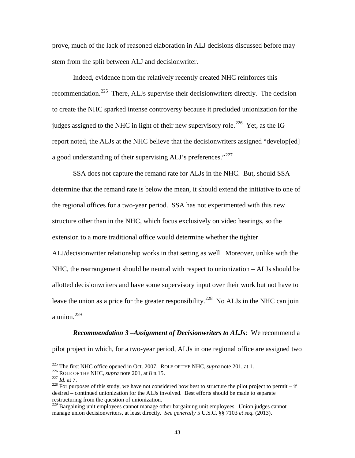prove, much of the lack of reasoned elaboration in ALJ decisions discussed before may stem from the split between ALJ and decisionwriter.

Indeed, evidence from the relatively recently created NHC reinforces this recommendation.[225](#page-45-3) There, ALJs supervise their decisionwriters directly. The decision to create the NHC sparked intense controversy because it precluded unionization for the judges assigned to the NHC in light of their new supervisory role.<sup>226</sup> Yet, as the IG report noted, the ALJs at the NHC believe that the decisionwriters assigned "develop[ed] a good understanding of their supervising ALJ's preferences."<sup>[227](#page-46-1)</sup>

SSA does not capture the remand rate for ALJs in the NHC. But, should SSA determine that the remand rate is below the mean, it should extend the initiative to one of the regional offices for a two-year period. SSA has not experimented with this new structure other than in the NHC, which focus exclusively on video hearings, so the extension to a more traditional office would determine whether the tighter ALJ/decisionwriter relationship works in that setting as well. Moreover, unlike with the NHC, the rearrangement should be neutral with respect to unionization – ALJs should be allotted decisionwriters and have some supervisory input over their work but not have to leave the union as a price for the greater responsibility.<sup>228</sup> No ALJs in the NHC can join a union. $229$ 

*Recommendation 3 –Assignment of Decisionwriters to ALJs*: We recommend a

pilot project in which, for a two-year period, ALJs in one regional office are assigned two

<span id="page-46-1"></span><span id="page-46-0"></span>

<span id="page-46-2"></span>

<span id="page-46-4"></span><sup>&</sup>lt;sup>225</sup> The first NHC office opened in Oct. 2007. ROLE OF THE NHC, *supra* note 201, at 1.<br><sup>226</sup> ROLE OF THE NHC, *supra* note 201, at 8 n.15.<br><sup>227</sup> Id. at 7.<br><sup>228</sup> For purposes of this study, we have not considered how bes desired – continued unionization for the ALJs involved. Best efforts should be made to separate restructuring from the question of unionization.

<span id="page-46-3"></span><sup>&</sup>lt;sup>229</sup> Bargaining unit employees cannot manage other bargaining unit employees. Union judges cannot manage union decisionwriters, at least directly. *See generally* 5 U.S.C. §§ 7103 *et seq.* (2013).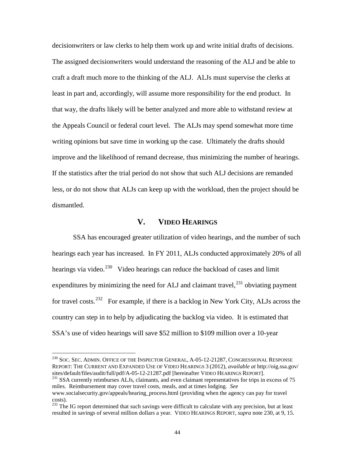decisionwriters or law clerks to help them work up and write initial drafts of decisions. The assigned decisionwriters would understand the reasoning of the ALJ and be able to craft a draft much more to the thinking of the ALJ. ALJs must supervise the clerks at least in part and, accordingly, will assume more responsibility for the end product. In that way, the drafts likely will be better analyzed and more able to withstand review at the Appeals Council or federal court level. The ALJs may spend somewhat more time writing opinions but save time in working up the case. Ultimately the drafts should improve and the likelihood of remand decrease, thus minimizing the number of hearings. If the statistics after the trial period do not show that such ALJ decisions are remanded less, or do not show that ALJs can keep up with the workload, then the project should be dismantled.

# **V. VIDEO HEARINGS**

<span id="page-47-2"></span>SSA has encouraged greater utilization of video hearings, and the number of such hearings each year has increased. In FY 2011, ALJs conducted approximately 20% of all hearings via video.<sup>230</sup> Video hearings can reduce the backload of cases and limit expenditures by minimizing the need for ALJ and claimant travel, $^{231}$  $^{231}$  $^{231}$  obviating payment for travel costs.<sup>[232](#page-47-1)</sup> For example, if there is a backlog in New York City, ALJs across the country can step in to help by adjudicating the backlog via video. It is estimated that SSA's use of video hearings will save \$52 million to \$109 million over a 10-year

<sup>&</sup>lt;sup>230</sup> SOC. SEC. ADMIN. OFFICE OF THE INSPECTOR GENERAL, A-05-12-21287, CONGRESSIONAL RESPONSE REPORT: THE CURRENT AND EXPANDED USE OF VIDEO HEARINGS 3 (2012), *available at* http://oig.ssa.gov/

<span id="page-47-0"></span><sup>&</sup>lt;sup>231</sup> SSA currently reimburses ALJs, claimants, and even claimant representatives for trips in excess of 75 miles. Reimbursement may cover travel costs, meals, and at times lodging. *See* www.socialsecurity.gov/appeals/hearing\_process.html (providing when the agency can pay for travel

costs).

<span id="page-47-1"></span><sup>&</sup>lt;sup>232</sup> The IG report determined that such savings were difficult to calculate with any precision, but at least resulted in savings of several million dollars a year. VIDEO HEARINGS REPORT, *supra* note 230, at 9, 15.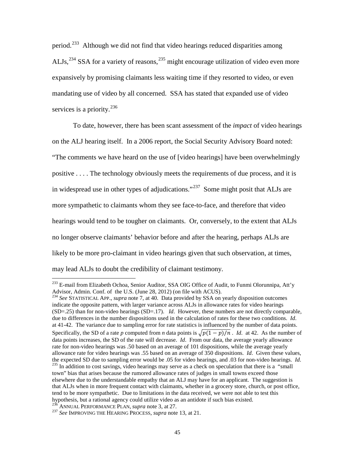period.[233](#page-47-2) Although we did not find that video hearings reduced disparities among ALJs,  $^{234}$  $^{234}$  $^{234}$  SSA for a variety of reasons,  $^{235}$  $^{235}$  $^{235}$  might encourage utilization of video even more expansively by promising claimants less waiting time if they resorted to video, or even mandating use of video by all concerned. SSA has stated that expanded use of video services is a priority.  $236$ 

To date, however, there has been scant assessment of the *impact* of video hearings on the ALJ hearing itself. In a 2006 report, the Social Security Advisory Board noted: "The comments we have heard on the use of [video hearings] have been overwhelmingly positive . . . . The technology obviously meets the requirements of due process, and it is in widespread use in other types of adjudications."[237](#page-48-3) Some might posit that ALJs are more sympathetic to claimants whom they see face-to-face, and therefore that video hearings would tend to be tougher on claimants. Or, conversely, to the extent that ALJs no longer observe claimants' behavior before and after the hearing, perhaps ALJs are likely to be more pro-claimant in video hearings given that such observation, at times, may lead ALJs to doubt the credibility of claimant testimony.

<span id="page-48-4"></span><sup>&</sup>lt;sup>233</sup> E-mail from Elizabeth Ochoa, Senior Auditor, SSA OIG Office of Audit, to Funmi Olorunnipa, Att'y Advisor, Admin. Conf. of the U.S. (June 28, 2012) (on file with ACUS). <sup>234</sup> *See* STATISTICAL APP., *supra* note 7, at 40. Data provided by SSA on yearly disposition outcomes

<span id="page-48-0"></span>indicate the opposite pattern, with larger variance across ALJs in allowance rates for video hearings (SD=.25) than for non-video hearings (SD=.17). *Id*. However, these numbers are not directly comparable, due to differences in the number dispositions used in the calculation of rates for these two conditions. *Id*. at 41-42. The variance due to sampling error for rate statistics is influenced by the number of data points. Specifically, the SD of a rate *p* computed from *n* data points is  $\sqrt{p(1-p)/n}$ . *Id.* at 42. As the number of data points increases, the SD of the rate will decrease. *Id*. From our data, the average yearly allowance rate for non-video hearings was .50 based on an average of 101 dispositions, while the average yearly allowance rate for video hearings was .55 based on an average of 350 dispositions. *Id*. Given these values, the expected SD due to sampling error would be .05 for video hearings, and .03 for non-video hearings. *Id*. <sup>235</sup> In addition to cost savings, video hearings may serve as a check on speculation that there is a "small" town" bias that arises because the rumored allowance rates of judges in small towns exceed those elsewhere due to the understandable empathy that an ALJ may have for an applicant. The suggestion is that ALJs when in more frequent contact with claimants, whether in a grocery store, church, or post office, tend to be more sympathetic. Due to limitations in the data received, we were not able to test this hypothesis, but a rational agency could utilize video as an antidote if such bias existed.<br><sup>236</sup> ANNUAL PERFORMANCE PLAN, *supra* note 3, at 27.

<span id="page-48-3"></span><span id="page-48-2"></span><span id="page-48-1"></span><sup>&</sup>lt;sup>237</sup> See IMPROVING THE HEARING PROCESS, *supra* note 13, at 21.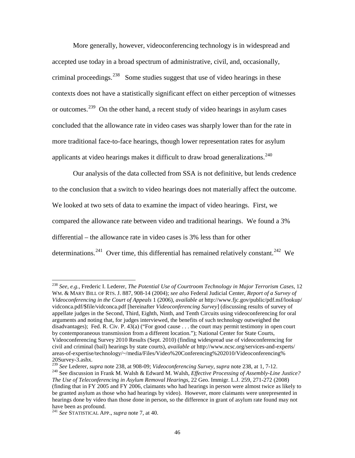More generally, however, videoconferencing technology is in widespread and accepted use today in a broad spectrum of administrative, civil, and, occasionally, criminal proceedings.<sup>238</sup> Some studies suggest that use of video hearings in these contexts does not have a statistically significant effect on either perception of witnesses or outcomes.<sup>239</sup> On the other hand, a recent study of video hearings in asylum cases concluded that the allowance rate in video cases was sharply lower than for the rate in more traditional face-to-face hearings, though lower representation rates for asylum applicants at video hearings makes it difficult to draw broad generalizations.<sup>[240](#page-49-1)</sup>

Our analysis of the data collected from SSA is not definitive, but lends credence to the conclusion that a switch to video hearings does not materially affect the outcome. We looked at two sets of data to examine the impact of video hearings. First, we compared the allowance rate between video and traditional hearings. We found a 3% differential – the allowance rate in video cases is 3% less than for other determinations.<sup>[241](#page-49-2)</sup> Over time, this differential has remained relatively constant.<sup>242</sup> We

<span id="page-49-3"></span><span id="page-49-1"></span><span id="page-49-0"></span>20Survey-3.ashx.<br><sup>239</sup> See Lederer, *supra* note 238, at 908-09; *Videoconferencing Survey*, *supra* note 238, at 1, 7-12.<br><sup>240</sup> See discussion in Frank M. Walsh & Edward M. Walsh, *Effective Processing of Assembly-Line Ju The Use of Teleconferencing in Asylum Removal Hearings*, 22 Geo. Immigr. L.J. 259, 271-272 (2008) (finding that in FY 2005 and FY 2006, claimants who had hearings in person were almost twice as likely to be granted asylum as those who had hearings by video). However, more claimants were unrepresented in hearings done by video than those done in person, so the difference in grant of asylum rate found may not have been as profound.

 <sup>238</sup> *See, e.g.*, Frederic I. Lederer, *The Potential Use of Courtroom Technology in Major Terrorism Cases*, 12 WM. & MARY BILL OF RTS. J. 887, 908-14 (2004); *see also* Federal Judicial Center, *Report of a Survey of Videoconferencing in the Court of Appeals* 1 (2006), *available at* http://www.fjc.gov/public/pdf.nsf/lookup/ vidconca.pdf/\$file/vidconca.pdf [hereinafter *Videoconferencing Survey*] (discussing results of survey of appellate judges in the Second, Third, Eighth, Ninth, and Tenth Circuits using videoconferencing for oral arguments and noting that, for judges interviewed, the benefits of such technology outweighed the disadvantages); Fed. R. Civ. P. 43(a) ("For good cause . . . the court may permit testimony in open court by contemporaneous transmission from a different location."); National Center for State Courts, Videoconferencing Survey 2010 Results (Sept. 2010) (finding widespread use of videoconferencing for civil and criminal (bail) hearings by state courts), *available at* http://www.ncsc.org/services-and-experts/ areas-of-expertise/technology/~/media/Files/Video%20Conferencing%202010/Videoconferencing%

<span id="page-49-4"></span><span id="page-49-2"></span><sup>241</sup> *See* STATISTICAL APP., *supra* note 7, at 40.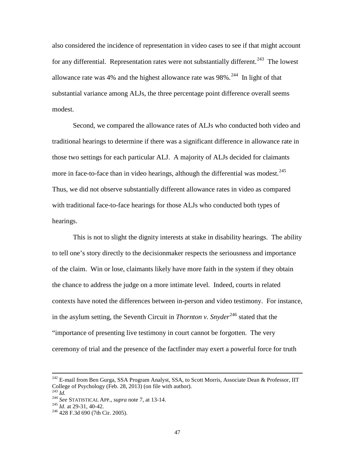also considered the incidence of representation in video cases to see if that might account for any differential. Representation rates were not substantially different.<sup>243</sup> The lowest allowance rate was 4% and the highest allowance rate was  $98\%$ <sup>244</sup> In light of that substantial variance among ALJs, the three percentage point difference overall seems modest.

Second, we compared the allowance rates of ALJs who conducted both video and traditional hearings to determine if there was a significant difference in allowance rate in those two settings for each particular ALJ. A majority of ALJs decided for claimants more in face-to-face than in video hearings, although the differential was modest.  $245$ Thus, we did not observe substantially different allowance rates in video as compared with traditional face-to-face hearings for those ALJs who conducted both types of hearings.

<span id="page-50-3"></span>This is not to slight the dignity interests at stake in disability hearings. The ability to tell one's story directly to the decisionmaker respects the seriousness and importance of the claim. Win or lose, claimants likely have more faith in the system if they obtain the chance to address the judge on a more intimate level. Indeed, courts in related contexts have noted the differences between in-person and video testimony. For instance, in the asylum setting, the Seventh Circuit in *Thornton v. Snyder*<sup>[246](#page-50-2)</sup> stated that the "importance of presenting live testimony in court cannot be forgotten. The very ceremony of trial and the presence of the factfinder may exert a powerful force for truth

<sup>&</sup>lt;sup>242</sup> E-mail from Ben Gurga, SSA Program Analyst, SSA, to Scott Morris, Associate Dean & Professor, IIT College of Psychology (Feb. 28, 2013) (on file with author).

<span id="page-50-0"></span>

<sup>&</sup>lt;sup>243</sup> *Id.* 243 *Id.* 224 *See* STATISTICAL APP., *supra* note 7, at 13-14. <sup>245</sup> *Id.* at 29-31, 40-42. <sup>246</sup> 428 F.3d 690 (7th Cir. 2005).

<span id="page-50-2"></span><span id="page-50-1"></span>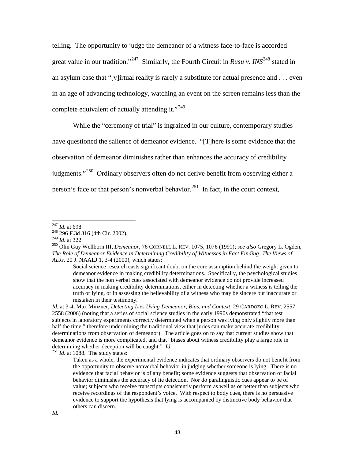telling. The opportunity to judge the demeanor of a witness face-to-face is accorded great value in our tradition."[247](#page-50-3) Similarly, the Fourth Circuit in *Rusu v. INS*[248](#page-51-0) stated in an asylum case that "[v]irtual reality is rarely a substitute for actual presence and . . . even in an age of advancing technology, watching an event on the screen remains less than the complete equivalent of actually attending it."<sup>[249](#page-51-1)</sup>

While the "ceremony of trial" is ingrained in our culture, contemporary studies have questioned the salience of demeanor evidence. "[T]here is some evidence that the observation of demeanor diminishes rather than enhances the accuracy of credibility judgments."<sup>[250](#page-51-2)</sup> Ordinary observers often do not derive benefit from observing either a person's face or that person's nonverbal behavior.<sup>251</sup> In fact, in the court context,

<span id="page-51-4"></span><span id="page-51-3"></span>

<span id="page-51-0"></span>

<sup>&</sup>lt;sup>247</sup> *Id.* at 698.<br><sup>248</sup> 296 F.3d 316 (4th Cir. 2002).<br><sup>249</sup> *Id.* at 322.

<span id="page-51-1"></span>

<span id="page-51-2"></span><sup>249</sup> *Id.* at 322. 250 Olin Guy Wellborn III, *Demeanor*, 76 CORNELL L. REV. 1075, 1076 (1991); *see also* Gregory L. Ogden, *The Role of Demeanor Evidence in Determining Credibility of Witnesses in Fact Finding: The Views of ALJs*, 20 J. NAALJ 1, 3-4 (2000), which states:

Social science research casts significant doubt on the core assumption behind the weight given to demeanor evidence in making credibility determinations. Specifically, the psychological studies show that the non verbal cues associated with demeanor evidence do not provide increased accuracy in making credibility determinations, either in detecting whether a witness is telling the truth or lying, or in assessing the believability of a witness who may be sincere but inaccurate or mistaken in their testimony.

*Id.* at 3-4; Max Minzner, *Detecting Lies Using Demeanor, Bias, and Context*, 29 CARDOZO L. REV. 2557, 2558 (2006) (noting that a series of social science studies in the early 1990s demonstrated "that test subjects in laboratory experiments correctly determined when a person was lying only slightly more than half the time," therefore undermining the traditional view that juries can make accurate credibility determinations from observation of demeanor). The article goes on to say that current studies show that demeanor evidence is more complicated, and that "biases about witness credibility play a large role in determining whether deception will be caught." *Id.* <sup>251</sup> *Id.* at 1088. The study states:

Taken as a whole, the experimental evidence indicates that ordinary observers do not benefit from the opportunity to observe nonverbal behavior in judging whether someone is lying. There is no evidence that facial behavior is of any benefit; some evidence suggests that observation of facial behavior diminishes the accuracy of lie detection. Nor do paralinguistic cues appear to be of value; subjects who receive transcripts consistently perform as well as or better than subjects who receive recordings of the respondent's voice. With respect to body cues, there is no persuasive evidence to support the hypothesis that lying is accompanied by distinctive body behavior that others can discern.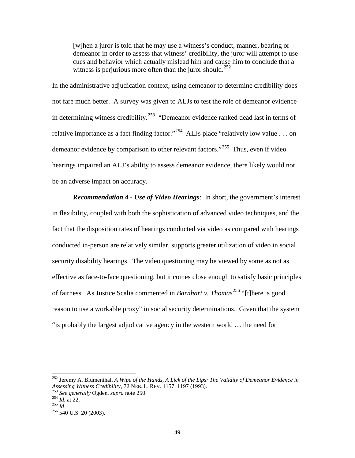[w]hen a juror is told that he may use a witness's conduct, manner, bearing or demeanor in order to assess that witness' credibility, the juror will attempt to use cues and behavior which actually mislead him and cause him to conclude that a witness is perjurious more often than the juror should.<sup>[252](#page-51-4)</sup>

In the administrative adjudication context, using demeanor to determine credibility does not fare much better. A survey was given to ALJs to test the role of demeanor evidence in determining witness credibility.<sup>[253](#page-52-0)</sup> "Demeanor evidence ranked dead last in terms of relative importance as a fact finding factor."<sup>[254](#page-52-1)</sup> ALJs place "relatively low value . . . on demeanor evidence by comparison to other relevant factors."<sup>[255](#page-52-2)</sup> Thus, even if video hearings impaired an ALJ's ability to assess demeanor evidence, there likely would not be an adverse impact on accuracy.

*Recommendation 4 - Use of Video Hearings*: In short, the government's interest in flexibility, coupled with both the sophistication of advanced video techniques, and the fact that the disposition rates of hearings conducted via video as compared with hearings conducted in-person are relatively similar, supports greater utilization of video in social security disability hearings. The video questioning may be viewed by some as not as effective as face-to-face questioning, but it comes close enough to satisfy basic principles of fairness. As Justice Scalia commented in *Barnhart v. Thomas*[256](#page-52-3) "[t]here is good reason to use a workable proxy" in social security determinations. Given that the system "is probably the largest adjudicative agency in the western world … the need for

<span id="page-52-4"></span><sup>&</sup>lt;sup>252</sup> Jeremy A. Blumenthal, *A Wipe of the Hands*, *A Lick of the Lips: The Validity of Demeanor Evidence in Assessing Witness Credibility*, 72 NEB. L. REV. 1157, 1197 (1993).

<span id="page-52-0"></span>*Assessing Witness Credity* Ogden, *supra* note 250. <br>
<sup>254</sup> *Id.* at 22. <sup>255</sup> *Id.* 256 540 U.S. 20 (2003).

<span id="page-52-2"></span><span id="page-52-1"></span>

<span id="page-52-3"></span>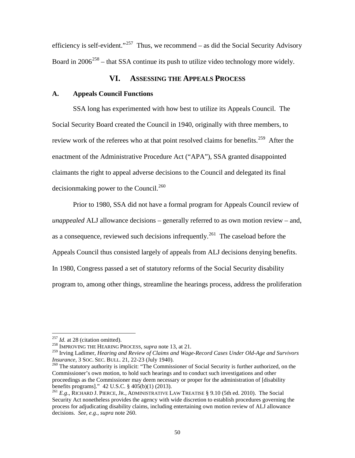efficiency is self-evident."<sup>257</sup> Thus, we recommend – as did the Social Security Advisory Board in  $2006^{258}$  $2006^{258}$  $2006^{258}$  – that SSA continue its push to utilize video technology more widely.

# **VI. ASSESSING THE APPEALS PROCESS**

# **A. Appeals Council Functions**

SSA long has experimented with how best to utilize its Appeals Council. The Social Security Board created the Council in 1940, originally with three members, to review work of the referees who at that point resolved claims for benefits.<sup>259</sup> After the enactment of the Administrative Procedure Act ("APA"), SSA granted disappointed claimants the right to appeal adverse decisions to the Council and delegated its final decision making power to the Council.<sup>260</sup>

Prior to 1980, SSA did not have a formal program for Appeals Council review of *unappealed* ALJ allowance decisions – generally referred to as own motion review – and, as a consequence, reviewed such decisions infrequently.[261](#page-53-3) The caseload before the Appeals Council thus consisted largely of appeals from ALJ decisions denying benefits. In 1980, Congress passed a set of statutory reforms of the Social Security disability program to, among other things, streamline the hearings process, address the proliferation

<span id="page-53-4"></span><sup>&</sup>lt;sup>257</sup> *Id.* at 28 (citation omitted).<br><sup>258</sup> IMPROVING THE HEARING PROCESS, *supra* note 13, at 21.

<span id="page-53-1"></span><span id="page-53-0"></span><sup>&</sup>lt;sup>259</sup> Irving Ladimer, *Hearing and Review of Claims and Wage-Record Cases Under Old-Age and Survivors Insurance, 3 Soc. SEC. BULL. 21, 22-23 (July 1940).* 

<span id="page-53-2"></span><sup>&</sup>lt;sup>260</sup> The statutory authority is implicit: "The Commissioner of Social Security is further authorized, on the Commissioner's own motion, to hold such hearings and to conduct such investigations and other proceedings as the Commissioner may deem necessary or proper for the administration of [disability benefits programs]."  $42$  U.S.C. §  $405(b)(1)$  (2013).

<span id="page-53-3"></span><sup>&</sup>lt;sup>261</sup> E.g., RICHARD J. PIERCE, JR., ADMINISTRATIVE LAW TREATISE § 9.10 (5th ed. 2010). The Social Security Act nonetheless provides the agency with wide discretion to establish procedures governing the process for adjudicating disability claims, including entertaining own motion review of ALJ allowance decisions. *See, e.g*., *supra* note 260.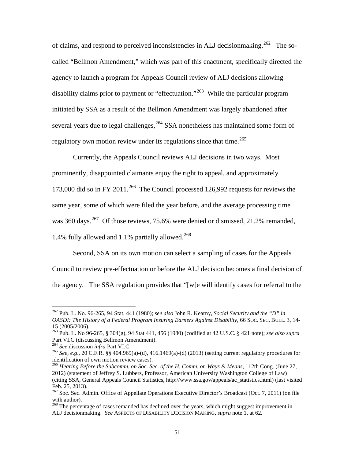of claims, and respond to perceived inconsistencies in ALJ decisionmaking.<sup>262</sup> The socalled "Bellmon Amendment," which was part of this enactment, specifically directed the agency to launch a program for Appeals Council review of ALJ decisions allowing disability claims prior to payment or "effectuation."<sup>263</sup> While the particular program initiated by SSA as a result of the Bellmon Amendment was largely abandoned after several years due to legal challenges,  $264$  SSA nonetheless has maintained some form of regulatory own motion review under its regulations since that time.<sup>[265](#page-54-2)</sup>

Currently, the Appeals Council reviews ALJ decisions in two ways. Most prominently, disappointed claimants enjoy the right to appeal, and approximately 173,000 did so in FY 2011.<sup>[266](#page-54-3)</sup> The Council processed 126,992 requests for reviews the same year, some of which were filed the year before, and the average processing time was  $360 \text{ days}$ .  $267 \text{ Of those reviews}$  $267 \text{ Of those reviews}$ ,  $75.6\%$  were denied or dismissed,  $21.2\%$  remanded, 1.4% fully allowed and 1.1% partially allowed.<sup>268</sup>

Second, SSA on its own motion can select a sampling of cases for the Appeals Council to review pre-effectuation or before the ALJ decision becomes a final decision of the agency. The SSA regulation provides that "[w]e will identify cases for referral to the

<span id="page-54-6"></span> <sup>262</sup> Pub. L. No. 96-265, 94 Stat. 441 (1980); *see also* John R. Kearny, *Social Security and the "D" in OASDI: The History of a Federal Program Insuring Earners Against Disability*, 66 SOC. SEC. BULL. 3, 14- 15 (2005/2006). <sup>263</sup> Pub. L. No 96-265, § 304(g), 94 Stat 441, 456 (1980) (codified at 42 U.S.C. § 421 note); *see also supra* 

<span id="page-54-2"></span>

<span id="page-54-1"></span><span id="page-54-0"></span>Part VI.C (discussing Bellmon Amendment).<br><sup>264</sup> *See* discussion *infra* Part VI.C.<br><sup>265</sup> *See, e.g.*, 20 C.F.R. §§ 404.969(a)-(d), 416.1469(a)-(d) (2013) (setting current regulatory procedures for identification of own mo

<span id="page-54-3"></span><sup>&</sup>lt;sup>266</sup> Hearing Before the Subcomm. on Soc. Sec. of the H. Comm. on Ways & Means, 112th Cong. (June 27, 2012) (statement of Jeffrey S. Lubbers, Professor, American University Washington College of Law) (citing SSA, General Appeals Council Statistics, http://www.ssa.gov/appeals/ac\_statistics.html) (last visited

<span id="page-54-4"></span><sup>&</sup>lt;sup>267</sup> Soc. Sec. Admin. Office of Appellate Operations Executive Director's Broadcast (Oct. 7, 2011) (on file with author).

<span id="page-54-5"></span><sup>&</sup>lt;sup>268</sup> The percentage of cases remanded has declined over the years, which might suggest improvement in ALJ decisionmaking. *See* ASPECTS OF DISABILITY DECISION MAKING*, supra* note 1, at 62.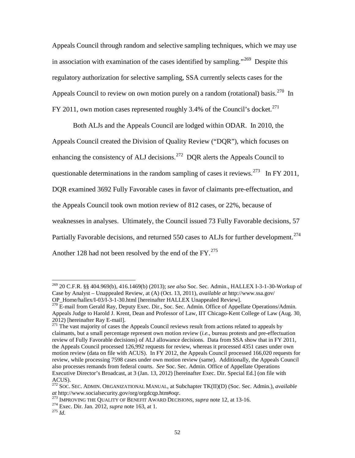Appeals Council through random and selective sampling techniques, which we may use in association with examination of the cases identified by sampling."<sup>[269](#page-54-6)</sup> Despite this regulatory authorization for selective sampling, SSA currently selects cases for the Appeals Council to review on own motion purely on a random (rotational) basis.<sup>[270](#page-55-0)</sup> In FY 2011, own motion cases represented roughly 3.4% of the Council's docket.<sup>[271](#page-55-1)</sup>

Both ALJs and the Appeals Council are lodged within ODAR. In 2010, the Appeals Council created the Division of Quality Review ("DQR"), which focuses on enhancing the consistency of ALJ decisions.<sup>[272](#page-55-2)</sup> DQR alerts the Appeals Council to questionable determinations in the random sampling of cases it reviews.<sup>273</sup> In FY 2011, DQR examined 3692 Fully Favorable cases in favor of claimants pre-effectuation, and the Appeals Council took own motion review of 812 cases, or 22%, because of weaknesses in analyses. Ultimately, the Council issued 73 Fully Favorable decisions, 57 Partially Favorable decisions, and returned 550 cases to ALJs for further development.<sup>274</sup> Another 128 had not been resolved by the end of the  $FY$ .<sup>275</sup>

 <sup>269</sup> 20 C.F.R. §§ 404.969(b), 416.1469(b) (2013); *see also* Soc. Sec. Admin., HALLEX I-3-1-30-Workup of Case by Analyst – Unappealed Review, at (A) (Oct. 13, 2011), *available at* http://www.ssa.gov/

<span id="page-55-0"></span> $^{270}$  E-mail from Gerald Ray, Deputy Exec. Dir., Soc. Sec. Admin. Office of Appellate Operations/Admin. Appeals Judge to Harold J. Krent, Dean and Professor of Law, IIT Chicago-Kent College of Law (Aug. 30,

<span id="page-55-6"></span><span id="page-55-1"></span><sup>2012) [</sup>hereinafter Ray E-mail]. <sup>271</sup> The vast majority of cases the Appeals Council reviews result from actions related to appeals by claimants, but a small percentage represent own motion review (*i.e.*, bureau protests and pre-effectuation review of Fully Favorable decisions) of ALJ allowance decisions. Data from SSA show that in FY 2011, the Appeals Council processed 126,992 requests for review, whereas it processed 4351 cases under own motion review (data on file with ACUS). In FY 2012, the Appeals Council processed 166,020 requests for review, while processing 7598 cases under own motion review (same). Additionally, the Appeals Council also processes remands from federal courts. *See* Soc. Sec. Admin. Office of Appellate Operations Executive Director's Broadcast, at 3 (Jan. 13, 2012) [hereinafter Exec. Dir. Special Ed.] (on file with

<span id="page-55-2"></span><sup>&</sup>lt;sup>272</sup> SOC. SEC. ADMIN. ORGANIZATIONAL MANUAL, at Subchapter TK(II)(D) (Soc. Sec. Admin.), *available at* http://www.socialsecurity.gov/org/orgdcqp.htm#oqr.

<span id="page-55-4"></span><span id="page-55-3"></span><sup>&</sup>lt;sup>273</sup> IMPROVING THE QUALITY OF BENEFIT AWARD DECISIONS, *supra* note 12, at 13-16. <sup>274</sup> Exec. Dir. Jan. 2012, *supra* note 163, at 1. <sup>275</sup> *Id.* 

<span id="page-55-5"></span>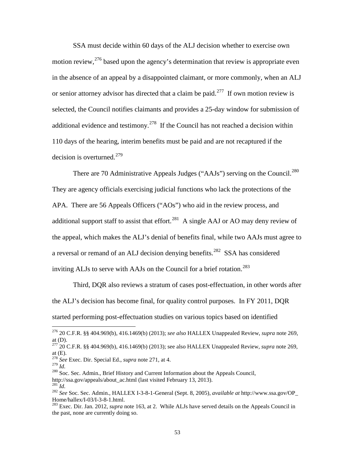SSA must decide within 60 days of the ALJ decision whether to exercise own motion review,  $276$  based upon the agency's determination that review is appropriate even in the absence of an appeal by a disappointed claimant, or more commonly, when an ALJ or senior attorney advisor has directed that a claim be paid.<sup>[277](#page-56-0)</sup> If own motion review is selected, the Council notifies claimants and provides a 25-day window for submission of additional evidence and testimony.<sup>[278](#page-56-1)</sup> If the Council has not reached a decision within 110 days of the hearing, interim benefits must be paid and are not recaptured if the decision is overturned. $279$ 

There are 70 Administrative Appeals Judges ("AAJs") serving on the Council.<sup>280</sup> They are agency officials exercising judicial functions who lack the protections of the APA. There are 56 Appeals Officers ("AOs") who aid in the review process, and additional support staff to assist that effort.<sup>[281](#page-56-4)</sup> A single AAJ or AO may deny review of the appeal, which makes the ALJ's denial of benefits final, while two AAJs must agree to a reversal or remand of an ALJ decision denying benefits.[282](#page-56-5) SSA has considered inviting ALJs to serve with AAJs on the Council for a brief rotation.<sup>[283](#page-56-6)</sup>

Third, DQR also reviews a stratum of cases post-effectuation, in other words after the ALJ's decision has become final, for quality control purposes. In FY 2011, DQR started performing post-effectuation studies on various topics based on identified

- <span id="page-56-3"></span>http://ssa.gov/appeals/about\_ac.html (last visited February 13, 2013).<br><sup>281</sup> *M*
- 

 <sup>276</sup> 20 C.F.R. §§ 404.969(b), 416.1469(b) (2013); *see also* HALLEX Unappealed Review, *supra* note 269,

<span id="page-56-0"></span>at (D). <sup>277</sup> 20 C.F.R. §§ 404.969(b), 416.1469(b) (2013); see also HALLEX Unappealed Review, *supra* note 269, at (E).

<span id="page-56-2"></span><span id="page-56-1"></span><sup>&</sup>lt;sup>278</sup> *See* Exec. Dir. Special Ed., *supra* note 271, at 4.<br><sup>279</sup> *M* 

<sup>&</sup>lt;sup>280</sup> Soc. Sec. Admin., Brief History and Current Information about the Appeals Council,

<span id="page-56-5"></span><span id="page-56-4"></span><sup>&</sup>lt;sup>282</sup> *See* Soc. Sec. Admin., HALLEX I-3-8-1-General (Sept. 8, 2005), *available at* http://www.ssa.gov/OP\_Home/hallex/I-03/I-3-8-1.html.

<span id="page-56-6"></span><sup>&</sup>lt;sup>283</sup> Exec. Dir. Jan. 2012, *supra* note 163, at 2. While ALJs have served details on the Appeals Council in the past, none are currently doing so.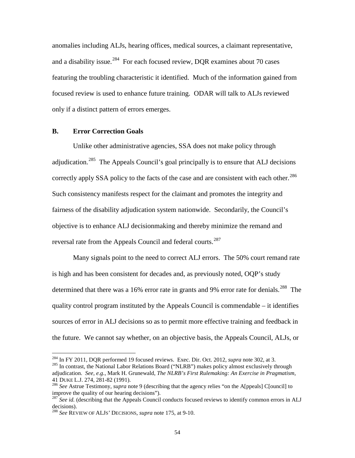anomalies including ALJs, hearing offices, medical sources, a claimant representative, and a disability issue.<sup>[284](#page-56-1)</sup> For each focused review, DQR examines about 70 cases featuring the troubling characteristic it identified. Much of the information gained from focused review is used to enhance future training. ODAR will talk to ALJs reviewed only if a distinct pattern of errors emerges.

# **B. Error Correction Goals**

Unlike other administrative agencies, SSA does not make policy through adjudication.<sup>[285](#page-57-0)</sup> The Appeals Council's goal principally is to ensure that ALJ decisions correctly apply SSA policy to the facts of the case and are consistent with each other.<sup>[286](#page-57-1)</sup> Such consistency manifests respect for the claimant and promotes the integrity and fairness of the disability adjudication system nationwide. Secondarily, the Council's objective is to enhance ALJ decisionmaking and thereby minimize the remand and reversal rate from the Appeals Council and federal courts.<sup>[287](#page-57-2)</sup>

Many signals point to the need to correct ALJ errors. The 50% court remand rate is high and has been consistent for decades and, as previously noted, OQP's study determined that there was a 16% error rate in grants and 9% error rate for denials.<sup>[288](#page-57-3)</sup> The quality control program instituted by the Appeals Council is commendable – it identifies sources of error in ALJ decisions so as to permit more effective training and feedback in the future. We cannot say whether, on an objective basis, the Appeals Council, ALJs, or

<span id="page-57-0"></span><sup>&</sup>lt;sup>284</sup> In FY 2011, DQR performed 19 focused reviews. Exec. Dir. Oct. 2012, *supra* note 302, at 3.<br><sup>285</sup> In contrast, the National Labor Relations Board ("NLRB") makes policy almost exclusively through adjudication. *See, e.g.*, Mark H. Grunewald, *The NLRB's First Rulemaking: An Exercise in Pragmatism*,

<span id="page-57-1"></span><sup>&</sup>lt;sup>286</sup> See Astrue Testimony, *supra* note 9 (describing that the agency relies "on the A[ppeals] C[ouncil] to improve the quality of our hearing decisions").

<span id="page-57-2"></span><sup>&</sup>lt;sup>287</sup> See *id.* (describing that the Appeals Council conducts focused reviews to identify common errors in ALJ decisions).

<span id="page-57-3"></span><sup>288</sup> *See* REVIEW OF ALJS' DECISIONS, *supra* note 175, at 9-10.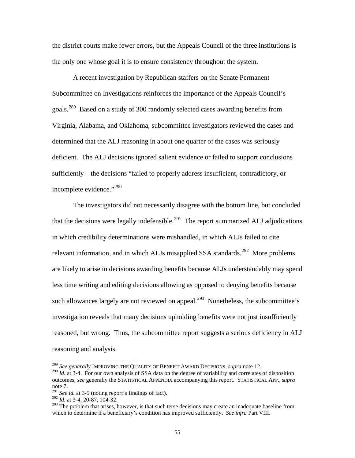the district courts make fewer errors, but the Appeals Council of the three institutions is the only one whose goal it is to ensure consistency throughout the system.

A recent investigation by Republican staffers on the Senate Permanent Subcommittee on Investigations reinforces the importance of the Appeals Council's goals.[289](#page-57-0) Based on a study of 300 randomly selected cases awarding benefits from Virginia, Alabama, and Oklahoma, subcommittee investigators reviewed the cases and determined that the ALJ reasoning in about one quarter of the cases was seriously deficient. The ALJ decisions ignored salient evidence or failed to support conclusions sufficiently – the decisions "failed to properly address insufficient, contradictory, or incomplete evidence."<sup>[290](#page-58-0)</sup>

The investigators did not necessarily disagree with the bottom line, but concluded that the decisions were legally indefensible.<sup>291</sup> The report summarized ALJ adjudications in which credibility determinations were mishandled, in which ALJs failed to cite relevant information, and in which ALJs misapplied SSA standards.<sup>[292](#page-58-2)</sup> More problems are likely to arise in decisions awarding benefits because ALJs understandably may spend less time writing and editing decisions allowing as opposed to denying benefits because such allowances largely are not reviewed on appeal. $^{293}$  Nonetheless, the subcommittee's investigation reveals that many decisions upholding benefits were not just insufficiently reasoned, but wrong. Thus, the subcommittee report suggests a serious deficiency in ALJ reasoning and analysis.

<span id="page-58-4"></span><span id="page-58-0"></span><sup>&</sup>lt;sup>289</sup> *See generally* IMPROVING THE QUALITY OF BENEFIT AWARD DECISIONS, *supra* note 12.<br><sup>290</sup> *Id.* at 3-4. For our own analysis of SSA data on the degree of variability and correlates of disposition outcomes, *see* generally the STATISTICAL APPENDIX accompanying this report. STATISTICAL APP., *supra*  note 7.<br><sup>291</sup> *See id.* at 3-5 (noting report's findings of fact).<br><sup>292</sup> *Id.* at 3-4, 20-87, 104-32.<br><sup>293</sup> The problem that arises, however, is that such terse decisions may create an inadequate baseline from

<span id="page-58-2"></span><span id="page-58-1"></span>

<span id="page-58-3"></span>which to determine if a beneficiary's condition has improved sufficiently. *See infra* Part VIII.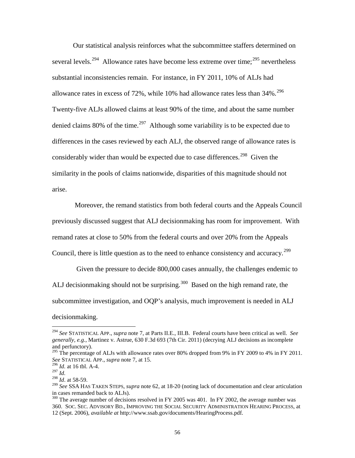Our statistical analysis reinforces what the subcommittee staffers determined on several levels.<sup>294</sup> Allowance rates have become less extreme over time;<sup>[295](#page-59-0)</sup> nevertheless substantial inconsistencies remain. For instance, in FY 2011, 10% of ALJs had allowance rates in excess of 72%, while 10% had allowance rates less than  $34\%$ <sup>296</sup> Twenty-five ALJs allowed claims at least 90% of the time, and about the same number denied claims 80% of the time.<sup>[297](#page-59-2)</sup> Although some variability is to be expected due to differences in the cases reviewed by each ALJ, the observed range of allowance rates is considerably wider than would be expected due to case differences.<sup>[298](#page-59-3)</sup> Given the similarity in the pools of claims nationwide, disparities of this magnitude should not arise.

Moreover, the remand statistics from both federal courts and the Appeals Council previously discussed suggest that ALJ decisionmaking has room for improvement. With remand rates at close to 50% from the federal courts and over 20% from the Appeals Council, there is little question as to the need to enhance consistency and accuracy.<sup>[299](#page-59-4)</sup>

<span id="page-59-6"></span> Given the pressure to decide 800,000 cases annually, the challenges endemic to ALJ decisionmaking should not be surprising.<sup>[300](#page-59-5)</sup> Based on the high remand rate, the subcommittee investigation, and OQP's analysis, much improvement is needed in ALJ decisionmaking.

 <sup>294</sup> *See* STATISTICAL APP., *supra* note 7, at Parts II.E., III.B. Federal courts have been critical as well. *See generally, e.g.*, Martinez v. Astrue, 630 F.3d 693 (7th Cir. 2011) (decrying ALJ decisions as incomplete and perfunctory).

<span id="page-59-0"></span><sup>&</sup>lt;sup>295</sup> The percentage of ALJs with allowance rates over 80% dropped from 9% in FY 2009 to 4% in FY 2011. *See* STATISTICAL APP., *supra* note 7, at 15.

<span id="page-59-1"></span><sup>296</sup> *Id.* at 16 tbl. A-4.

 $^{297}$  *Id.* 

<span id="page-59-3"></span><span id="page-59-2"></span><sup>298</sup> *Id*. at 58-59.

<span id="page-59-4"></span><sup>299</sup> *See* SSA HAS TAKEN STEPS, *supra* note 62, at 18-20 (noting lack of documentation and clear articulation in cases remanded back to ALJs).

<span id="page-59-5"></span><sup>&</sup>lt;sup>300</sup> The average number of decisions resolved in FY 2005 was 401. In FY 2002, the average number was 360. SOC. SEC. ADVISORY BD., IMPROVING THE SOCIAL SECURITY ADMINISTRATION HEARING PROCESS, at 12 (Sept. 2006), *available at* http://www.ssab.gov/documents/HearingProcess.pdf.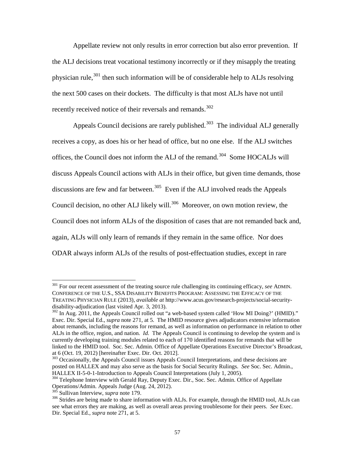Appellate review not only results in error correction but also error prevention. If the ALJ decisions treat vocational testimony incorrectly or if they misapply the treating physician rule, $301$  then such information will be of considerable help to ALJs resolving the next 500 cases on their dockets. The difficulty is that most ALJs have not until recently received notice of their reversals and remands.<sup>[302](#page-60-0)</sup>

Appeals Council decisions are rarely published. $303$  The individual ALJ generally receives a copy, as does his or her head of office, but no one else. If the ALJ switches offices, the Council does not inform the ALJ of the remand.<sup>[304](#page-60-2)</sup> Some HOCALJs will discuss Appeals Council actions with ALJs in their office, but given time demands, those discussions are few and far between.<sup>305</sup> Even if the ALJ involved reads the Appeals Council decision, no other ALJ likely will.<sup>[306](#page-60-4)</sup> Moreover, on own motion review, the Council does not inform ALJs of the disposition of cases that are not remanded back and, again, ALJs will only learn of remands if they remain in the same office. Nor does ODAR always inform ALJs of the results of post-effectuation studies, except in rare

 <sup>301</sup> For our recent assessment of the treating source rule challenging its continuing efficacy, *see* ADMIN. CONFERENCE OF THE U.S., SSA DISABILITY BENEFITS PROGRAM: ASSESSING THE EFFICACY OF THE TREATING PHYSICIAN RULE (2013), *available at* http://www.acus.gov/research-projects/social-security-

<span id="page-60-0"></span> $\frac{302}{201}$  In Aug. 2011, the Appeals Council rolled out "a web-based system called 'How MI Doing?' (HMID)." Exec. Dir. Special Ed., *supra* note 271, at 5. The HMID resource gives adjudicators extensive information about remands, including the reasons for remand, as well as information on performance in relation to other ALJs in the office, region, and nation. *Id.* The Appeals Council is continuing to develop the system and is currently developing training modules related to each of 170 identified reasons for remands that will be linked to the HMID tool. Soc. Sec. Admin. Office of Appellate Operations Executive Director's Broadcast, at 6 (Oct. 19, 2012) [hereinafter Exec. Dir. Oct. 2012].

<span id="page-60-5"></span><span id="page-60-1"></span><sup>&</sup>lt;sup>303</sup> Occasionally, the Appeals Council issues Appeals Council Interpretations, and these decisions are posted on HALLEX and may also serve as the basis for Social Security Rulings. *See* Soc. Sec. Admin., HALLEX II-5-0-1-Introduction to Appeals Council Interpretations (July 1, 2005).

<span id="page-60-2"></span> $^{304}$  Telephone Interview with Gerald Ray, Deputy Exec. Dir., Soc. Sec. Admin. Office of Appellate Operations/Admin. Appeals Judge (Aug. 24, 2012).

<span id="page-60-4"></span><span id="page-60-3"></span><sup>&</sup>lt;sup>305</sup> Sullivan Interview, *supra* note 179.<br><sup>306</sup> Strides are being made to share information with ALJs. For example, through the HMID tool, ALJs can see what errors they are making, as well as overall areas proving troublesome for their peers. *See* Exec. Dir. Special Ed., *supra* note 271, at 5.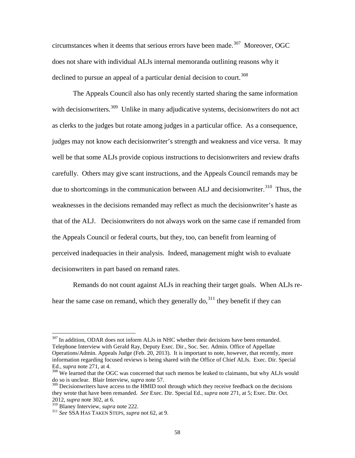circumstances when it deems that serious errors have been made.<sup>[307](#page-60-5)</sup> Moreover, OGC does not share with individual ALJs internal memoranda outlining reasons why it declined to pursue an appeal of a particular denial decision to court.<sup>[308](#page-61-0)</sup>

The Appeals Council also has only recently started sharing the same information with decisionwriters.<sup>[309](#page-61-1)</sup> Unlike in many adjudicative systems, decisionwriters do not act as clerks to the judges but rotate among judges in a particular office. As a consequence, judges may not know each decisionwriter's strength and weakness and vice versa. It may well be that some ALJs provide copious instructions to decisionwriters and review drafts carefully. Others may give scant instructions, and the Appeals Council remands may be due to shortcomings in the communication between ALJ and decisionwriter.<sup>[310](#page-61-2)</sup> Thus, the weaknesses in the decisions remanded may reflect as much the decisionwriter's haste as that of the ALJ. Decisionwriters do not always work on the same case if remanded from the Appeals Council or federal courts, but they, too, can benefit from learning of perceived inadequacies in their analysis. Indeed, management might wish to evaluate decisionwriters in part based on remand rates.

Remands do not count against ALJs in reaching their target goals. When ALJs rehear the same case on remand, which they generally  $\delta$ <sub>3<sup>11</sup></sub> they benefit if they can

<sup>&</sup>lt;sup>307</sup> In addition, ODAR does not inform ALJs in NHC whether their decisions have been remanded. Telephone Interview with Gerald Ray, Deputy Exec. Dir., Soc. Sec. Admin. Office of Appellate Operations/Admin. Appeals Judge (Feb. 20, 2013). It is important to note, however, that recently, more information regarding focused reviews is being shared with the Office of Chief ALJs. Exec. Dir. Special Ed., *supra* note 271, at 4.

<span id="page-61-0"></span><sup>&</sup>lt;sup>308</sup> We learned that the OGC was concerned that such memos be leaked to claimants, but why ALJs would do so is unclear. Blair Interview, *supra* note 57.

<span id="page-61-1"></span><sup>&</sup>lt;sup>309</sup> Decisionwriters have access to the HMID tool through which they receive feedback on the decisions they wrote that have been remanded. *See* Exec. Dir. Special Ed., *supra* note 271, at 5; Exec. Dir. Oct. 2012, *supra* note 302, at 6. <sup>310</sup> Blaney Interview, *supra* note 222. <sup>311</sup> *See* SSA HAS TAKEN STEPS, *supra* not 62, at 9.

<span id="page-61-2"></span>

<span id="page-61-3"></span>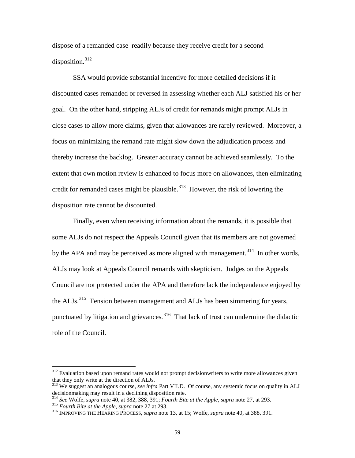dispose of a remanded case readily because they receive credit for a second  $disposition.<sup>312</sup>$  $disposition.<sup>312</sup>$  $disposition.<sup>312</sup>$ 

SSA would provide substantial incentive for more detailed decisions if it discounted cases remanded or reversed in assessing whether each ALJ satisfied his or her goal. On the other hand, stripping ALJs of credit for remands might prompt ALJs in close cases to allow more claims, given that allowances are rarely reviewed. Moreover, a focus on minimizing the remand rate might slow down the adjudication process and thereby increase the backlog. Greater accuracy cannot be achieved seamlessly. To the extent that own motion review is enhanced to focus more on allowances, then eliminating credit for remanded cases might be plausible.<sup>[313](#page-62-0)</sup> However, the risk of lowering the disposition rate cannot be discounted.

Finally, even when receiving information about the remands, it is possible that some ALJs do not respect the Appeals Council given that its members are not governed by the APA and may be perceived as more aligned with management.<sup>[314](#page-62-1)</sup> In other words, ALJs may look at Appeals Council remands with skepticism. Judges on the Appeals Council are not protected under the APA and therefore lack the independence enjoyed by the ALJs.<sup>315</sup> Tension between management and ALJs has been simmering for years, punctuated by litigation and grievances*.* [316](#page-62-3)That lack of trust can undermine the didactic role of the Council.

 $312$  Evaluation based upon remand rates would not prompt decisionwriters to write more allowances given that they only write at the direction of ALJs.

<span id="page-62-4"></span><span id="page-62-0"></span><sup>&</sup>lt;sup>313</sup> We suggest an analogous course, *see infra* Part VII.D. Of course, any systemic focus on quality in ALJ decisionmaking may result in a declining disposition rate.

<span id="page-62-2"></span><span id="page-62-1"></span><sup>&</sup>lt;sup>314</sup> See Wolfe, supra note 40, at 382, 388, 391; Fourth Bite at the Apple, supra note 27, at 293.<br><sup>315</sup> Fourth Bite at the Apple, supra note 27 at 293.<br><sup>316</sup> IMPROVING THE HEARING PROCESS, *supra* note 13, at 15; Wolfe,

<span id="page-62-3"></span>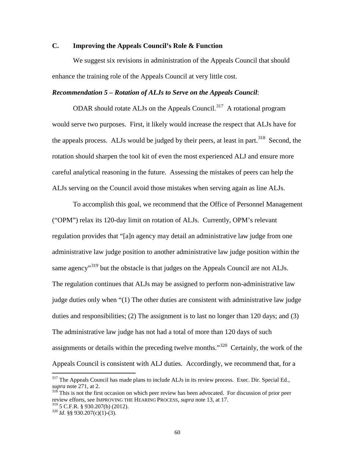# **C. Improving the Appeals Council's Role & Function**

We suggest six revisions in administration of the Appeals Council that should enhance the training role of the Appeals Council at very little cost.

### *Recommendation 5 – Rotation of ALJs to Serve on the Appeals Council*:

ODAR should rotate ALJs on the Appeals Council.<sup>[317](#page-62-4)</sup> A rotational program would serve two purposes. First, it likely would increase the respect that ALJs have for the appeals process. ALJs would be judged by their peers, at least in part.<sup>318</sup> Second, the rotation should sharpen the tool kit of even the most experienced ALJ and ensure more careful analytical reasoning in the future. Assessing the mistakes of peers can help the ALJs serving on the Council avoid those mistakes when serving again as line ALJs.

To accomplish this goal, we recommend that the Office of Personnel Management ("OPM") relax its 120-day limit on rotation of ALJs. Currently, OPM's relevant regulation provides that "[a]n agency may detail an administrative law judge from one administrative law judge position to another administrative law judge position within the same agency<sup>[319](#page-63-1)</sup> but the obstacle is that judges on the Appeals Council are not ALJs. The regulation continues that ALJs may be assigned to perform non-administrative law judge duties only when "(1) The other duties are consistent with administrative law judge duties and responsibilities; (2) The assignment is to last no longer than 120 days; and (3) The administrative law judge has not had a total of more than 120 days of such assignments or details within the preceding twelve months."[320](#page-63-2) Certainly, the work of the Appeals Council is consistent with ALJ duties. Accordingly, we recommend that, for a

 $317$  The Appeals Council has made plans to include ALJs in its review process. Exec. Dir. Special Ed., *supra* note 271, at 2.

<span id="page-63-0"></span><sup>&</sup>lt;sup>318</sup> This is not the first occasion on which peer review has been advocated. For discussion of prior peer review efforts, see IMPROVING THE HEARING PROCESS, *supra* note 13, at 17. <sup>319</sup> 5 C.F.R. § 930.207(b) (2012). <sup>320</sup> *Id*. §§ 930.207(c)(1)-(3).

<span id="page-63-2"></span><span id="page-63-1"></span>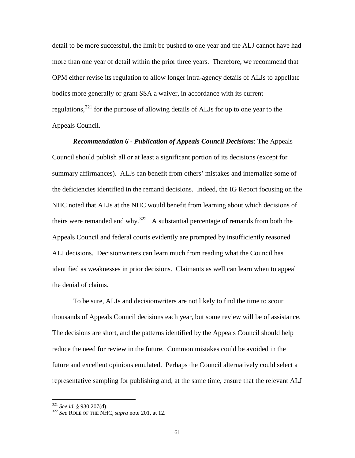detail to be more successful, the limit be pushed to one year and the ALJ cannot have had more than one year of detail within the prior three years. Therefore, we recommend that OPM either revise its regulation to allow longer intra-agency details of ALJs to appellate bodies more generally or grant SSA a waiver, in accordance with its current regulations,[321](#page-63-1) for the purpose of allowing details of ALJs for up to one year to the Appeals Council.

*Recommendation 6 - Publication of Appeals Council Decisions*: The Appeals Council should publish all or at least a significant portion of its decisions (except for summary affirmances). ALJs can benefit from others' mistakes and internalize some of the deficiencies identified in the remand decisions. Indeed, the IG Report focusing on the NHC noted that ALJs at the NHC would benefit from learning about which decisions of theirs were remanded and why.<sup>322</sup> A substantial percentage of remands from both the Appeals Council and federal courts evidently are prompted by insufficiently reasoned ALJ decisions. Decisionwriters can learn much from reading what the Council has identified as weaknesses in prior decisions. Claimants as well can learn when to appeal the denial of claims.

To be sure, ALJs and decisionwriters are not likely to find the time to scour thousands of Appeals Council decisions each year, but some review will be of assistance. The decisions are short, and the patterns identified by the Appeals Council should help reduce the need for review in the future. Common mistakes could be avoided in the future and excellent opinions emulated. Perhaps the Council alternatively could select a representative sampling for publishing and, at the same time, ensure that the relevant ALJ

<span id="page-64-1"></span><span id="page-64-0"></span><sup>321</sup> *See id.* § 930.207(d). <sup>322</sup> *See* ROLE OF THE NHC, *supra* note 201, at 12.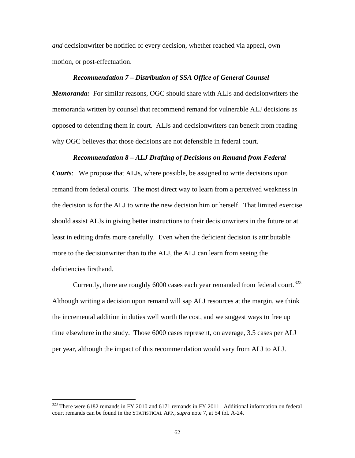*and* decisionwriter be notified of every decision, whether reached via appeal, own motion, or post-effectuation.

# *Recommendation 7 – Distribution of SSA Office of General Counsel*

*Memoranda:* For similar reasons, OGC should share with ALJs and decisionwriters the memoranda written by counsel that recommend remand for vulnerable ALJ decisions as opposed to defending them in court. ALJs and decisionwriters can benefit from reading why OGC believes that those decisions are not defensible in federal court.

#### *Recommendation 8 – ALJ Drafting of Decisions on Remand from Federal*

*Courts*:We propose that ALJs, where possible, be assigned to write decisions upon remand from federal courts. The most direct way to learn from a perceived weakness in the decision is for the ALJ to write the new decision him or herself. That limited exercise should assist ALJs in giving better instructions to their decisionwriters in the future or at least in editing drafts more carefully. Even when the deficient decision is attributable more to the decisionwriter than to the ALJ, the ALJ can learn from seeing the deficiencies firsthand.

<span id="page-65-0"></span>Currently, there are roughly  $6000$  cases each year remanded from federal court.<sup>[323](#page-64-1)</sup> Although writing a decision upon remand will sap ALJ resources at the margin, we think the incremental addition in duties well worth the cost, and we suggest ways to free up time elsewhere in the study. Those 6000 cases represent, on average, 3.5 cases per ALJ per year, although the impact of this recommendation would vary from ALJ to ALJ.

<sup>&</sup>lt;sup>323</sup> There were 6182 remands in FY 2010 and 6171 remands in FY 2011. Additional information on federal court remands can be found in the STATISTICAL APP., *supra* note 7, at 54 tbl. A-24.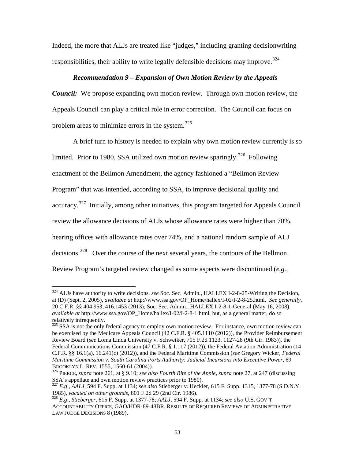Indeed, the more that ALJs are treated like "judges," including granting decisionwriting responsibilities, their ability to write legally defensible decisions may improve.<sup>[324](#page-65-0)</sup>

# *Recommendation 9 – Expansion of Own Motion Review by the Appeals*

*Council:* We propose expanding own motion review. Through own motion review, the Appeals Council can play a critical role in error correction. The Council can focus on problem areas to minimize errors in the system.<sup>[325](#page-66-0)</sup>

A brief turn to history is needed to explain why own motion review currently is so limited. Prior to 1980, SSA utilized own motion review sparingly.<sup>[326](#page-66-1)</sup> Following enactment of the Bellmon Amendment, the agency fashioned a "Bellmon Review Program" that was intended, according to SSA, to improve decisional quality and accuracy.<sup>[327](#page-66-2)</sup> Initially, among other initiatives, this program targeted for Appeals Council review the allowance decisions of ALJs whose allowance rates were higher than 70%, hearing offices with allowance rates over 74%, and a national random sample of ALJ decisions.[328](#page-66-3) Over the course of the next several years, the contours of the Bellmon Review Program's targeted review changed as some aspects were discontinued (*e.g.*,

 <sup>324</sup> ALJs have authority to write decisions, *see* Soc. Sec. Admin., HALLEX I-2-8-25-Writing the Decision, at (D) (Sept. 2, 2005), *available at* http://www.ssa.gov/OP\_Home/hallex/I-02/I-2-8-25.html. *See generally*, 20 C.F.R. §§ 404.953, 416.1453 (2013); Soc. Sec. Admin., HALLEX I-2-8-1-General (May 16, 2008), *available at* http://www.ssa.gov/OP\_Home/hallex/I-02/I-2-8-1.html, but, as a general matter, do so relatively infrequently.

<span id="page-66-4"></span><span id="page-66-0"></span><sup>&</sup>lt;sup>325</sup> SSA is not the only federal agency to employ own motion review. For instance, own motion review can be exercised by the Medicare Appeals Council (42 C.F.R. § 405.1110 (2012)), the Provider Reimbursement Review Board (*see* Loma Linda University v. Schweiker, 705 F.2d 1123, 1127-28 (9th Cir. 1983)), the Federal Communications Commission (47 C.F.R. § 1.117 (2012)), the Federal Aviation Administration (14 C.F.R. §§ 16.1(a), 16.241(c) (2012)), and the Federal Maritime Commission (*see* Gregory Wicker, *Federal Maritime Commission v. South Carolina Ports Authority: Judicial Incursions into Executive Power*, 69

<span id="page-66-1"></span><sup>&</sup>lt;sup>326</sup> PIERCE, *supra* note 261, at § 9.10; *see also Fourth Bite of the Apple, supra* note 27, at 247 (discussing SSA's appellate and own motion review practices prior to 1980).

<span id="page-66-2"></span><sup>&</sup>lt;sup>327</sup> E.g., *AALJ*, 594 F. Supp. at 1134; *see also* Stieberger v. Heckler, 615 F. Supp. 1315, 1377-78 (S.D.N.Y. 1985), vacated on other grounds, 801 F.2d 29 (2nd Cir. 1986).

<span id="page-66-3"></span><sup>1985),</sup> *vacated on other grounds*, 801 F.2d 29 (2nd Cir. 1986). <sup>328</sup> *E.g*., *Stieberger*, 615 F. Supp. at 1377-78; *AALJ*, 594 F. Supp. at 1134; *see also* U.S. GOV'T ACCOUNTABILITY OFFICE, GAO/HDR-89-48BR, RESULTS OF REQUIRED REVIEWS OF ADMINISTRATIVE LAW JUDGE DECISIONS 8 (1989).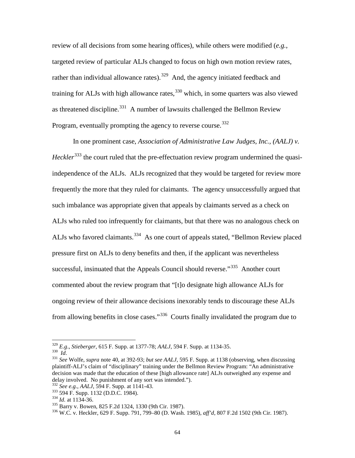review of all decisions from some hearing offices), while others were modified (*e.g.*, targeted review of particular ALJs changed to focus on high own motion review rates, rather than individual allowance rates).<sup>[329](#page-66-4)</sup> And, the agency initiated feedback and training for ALJs with high allowance rates,  $330$  which, in some quarters was also viewed as threatened discipline.<sup>[331](#page-67-1)</sup> A number of lawsuits challenged the Bellmon Review Program, eventually prompting the agency to reverse course.<sup>[332](#page-67-2)</sup>

In one prominent case, *Association of Administrative Law Judges, Inc., (AALJ) v. Heckler*<sup>[333](#page-67-3)</sup> the court ruled that the pre-effectuation review program undermined the quasiindependence of the ALJs. ALJs recognized that they would be targeted for review more frequently the more that they ruled for claimants. The agency unsuccessfully argued that such imbalance was appropriate given that appeals by claimants served as a check on ALJs who ruled too infrequently for claimants, but that there was no analogous check on ALJs who favored claimants.[334](#page-67-4) As one court of appeals stated, "Bellmon Review placed pressure first on ALJs to deny benefits and then, if the applicant was nevertheless successful, insinuated that the Appeals Council should reverse."<sup>[335](#page-67-5)</sup> Another court commented about the review program that "[t]o designate high allowance ALJs for ongoing review of their allowance decisions inexorably tends to discourage these ALJs from allowing benefits in close cases."[336](#page-67-6) Courts finally invalidated the program due to

<span id="page-67-1"></span>

<span id="page-67-7"></span><span id="page-67-0"></span><sup>&</sup>lt;sup>329</sup> E.g., Stieberger, 615 F. Supp. at 1377-78; *AALJ*, 594 F. Supp. at 1134-35.<br><sup>330</sup> Id.<br><sup>331</sup> See Wolfe, *supra* note 40, at 392-93; *but see AALJ*, 595 F. Supp. at 1138 (observing, when discussing plaintiff-ALJ's claim of "disciplinary" training under the Bellmon Review Program: "An administrative decision was made that the education of these [high allowance rate] ALJs outweighed any expense and delay involved. No punishment of any sort was intended.").<br><sup>332</sup> See e.g., AALJ, 594 F. Supp. at 1141-43.

<span id="page-67-2"></span>

<span id="page-67-6"></span><span id="page-67-5"></span>

<span id="page-67-4"></span><span id="page-67-3"></span><sup>&</sup>lt;sup>333</sup> 594 F. Supp. 1132 (D.D.C. 1984).<br><sup>334</sup> *Id.* at 1134-36.<br><sup>335</sup> Barry v. Bowen, 825 F.2d 1324, 1330 (9th Cir. 1987).<br><sup>336</sup> W.C. v. Heckler, 629 F. Supp. 791, 799–80 (D. Wash. 1985), *aff'd*, 807 F.2d 1502 (9th Cir. 1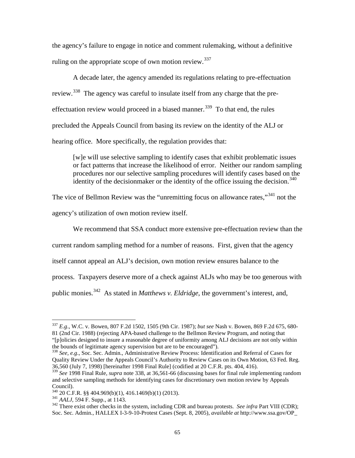the agency's failure to engage in notice and comment rulemaking, without a definitive ruling on the appropriate scope of own motion review.<sup>[337](#page-67-7)</sup>

A decade later, the agency amended its regulations relating to pre-effectuation review.<sup>[338](#page-68-0)</sup> The agency was careful to insulate itself from any charge that the pre-effectuation review would proceed in a biased manner.<sup>[339](#page-68-1)</sup> To that end, the rules precluded the Appeals Council from basing its review on the identity of the ALJ or hearing office. More specifically, the regulation provides that:

[w]e will use selective sampling to identify cases that exhibit problematic issues or fact patterns that increase the likelihood of error. Neither our random sampling procedures nor our selective sampling procedures will identify cases based on the identity of the decision maker or the identity of the office issuing the decision.<sup>[340](#page-68-2)</sup>

The vice of Bellmon Review was the "unremitting focus on allowance rates,"<sup>[341](#page-68-3)</sup> not the agency's utilization of own motion review itself.

We recommend that SSA conduct more extensive pre-effectuation review than the current random sampling method for a number of reasons. First, given that the agency itself cannot appeal an ALJ's decision, own motion review ensures balance to the process. Taxpayers deserve more of a check against ALJs who may be too generous with public monies.[342](#page-68-4) As stated in *Matthews v. Eldridge*, the government's interest, and,

 <sup>337</sup> *E.g*., W.C. v. Bowen, 807 F.2d 1502, 1505 (9th Cir. 1987); *but see* Nash v. Bowen, 869 F.2d 675, 680- 81 (2nd Cir. 1988) (rejecting APA-based challenge to the Bellmon Review Program, and noting that "[p]olicies designed to insure a reasonable degree of uniformity among ALJ decisions are not only within the bounds of legitimate agency supervision but are to be encouraged").

<span id="page-68-5"></span><span id="page-68-0"></span><sup>338</sup> *See, e.g*., Soc. Sec. Admin., Administrative Review Process: Identification and Referral of Cases for Quality Review Under the Appeals Council's Authority to Review Cases on its Own Motion, 63 Fed. Reg. 36,560 (July 7, 1998) [hereinafter 1998 Final Rule] (codified at 20 C.F.R. pts. 404, 416).

<span id="page-68-1"></span><sup>339</sup> *See* 1998 Final Rule, *supra* note 338, at 36,561-66 (discussing bases for final rule implementing random and selective sampling methods for identifying cases for discretionary own motion review by Appeals Council).<br><sup>340</sup> 20 C.F.R. §§ 404.969(b)(1), 416.1469(b)(1) (2013).

<span id="page-68-4"></span><span id="page-68-3"></span><span id="page-68-2"></span><sup>&</sup>lt;sup>341</sup> AALJ, 594 F. Supp., at 1143.<br><sup>342</sup> There exist other checks in the system, including CDR and bureau protests. *See infra* Part VIII (CDR); Soc. Sec. Admin., HALLEX I-3-9-10-Protest Cases (Sept. 8, 2005), *available at* http://www.ssa.gov/OP\_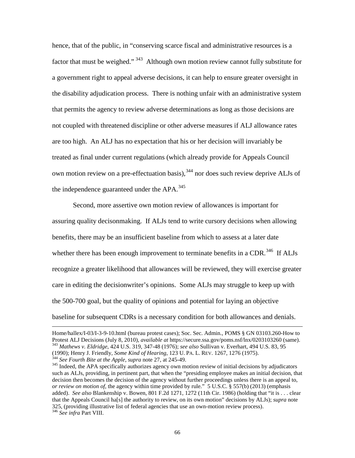hence, that of the public, in "conserving scarce fiscal and administrative resources is a factor that must be weighed." [343](#page-68-5) Although own motion review cannot fully substitute for a government right to appeal adverse decisions, it can help to ensure greater oversight in the disability adjudication process. There is nothing unfair with an administrative system that permits the agency to review adverse determinations as long as those decisions are not coupled with threatened discipline or other adverse measures if ALJ allowance rates are too high. An ALJ has no expectation that his or her decision will invariably be treated as final under current regulations (which already provide for Appeals Council own motion review on a pre-effectuation basis), <sup>[344](#page-69-0)</sup> nor does such review deprive ALJs of the independence guaranteed under the  $APA$ .<sup>[345](#page-69-1)</sup>

Second, more assertive own motion review of allowances is important for assuring quality decisonmaking. If ALJs tend to write cursory decisions when allowing benefits, there may be an insufficient baseline from which to assess at a later date whether there has been enough improvement to terminate benefits in a CDR.<sup>[346](#page-69-2)</sup> If ALJs recognize a greater likelihood that allowances will be reviewed, they will exercise greater care in editing the decisionwriter's opinions. Some ALJs may struggle to keep up with the 500-700 goal, but the quality of opinions and potential for laying an objective baseline for subsequent CDRs is a necessary condition for both allowances and denials.

Home/hallex/I-03/I-3-9-10.html (bureau protest cases); Soc. Sec. Admin., POMS § GN 03103.260-How to Protest ALJ Decisions (July 8, 2010), *available at* https://secure.ssa.gov/poms.nsf/lnx/0203103260 (same). 343 Mathews v. Eldridge, 424 U.S. 319, 347-48 (1976); see also Sullivan v. Everhart, 494 U.S. 83, 95 (1990); Henry J. Friendly, *Some Kind of Hearing*, 123 U. PA. L. REV. 1267, 1276 (1975).<br><sup>344</sup> See Fourth Bite at the Apple, supra note 27, at 245-49.<br><sup>345</sup> Indeed, the APA specifically authorizes agency own motion review

<span id="page-69-3"></span><span id="page-69-2"></span><span id="page-69-1"></span><span id="page-69-0"></span>such as ALJs, providing, in pertinent part, that when the "presiding employee makes an initial decision, that decision then becomes the decision of the agency without further proceedings unless there is an appeal to, *or review on motion of*, the agency within time provided by rule." 5 U.S.C. § 557(b) (2013) (emphasis added). *See also* Blankenship v. Bowen, 801 F.2d 1271, 1272 (11th Cir. 1986) (holding that "it is . . . clear that the Appeals Council ha[s] the authority to review, on its own motion" decisions by ALJs); *supra* note 325, (providing illustrative list of federal agencies that use an own-motion review process). 346 *See infra* Part VIII.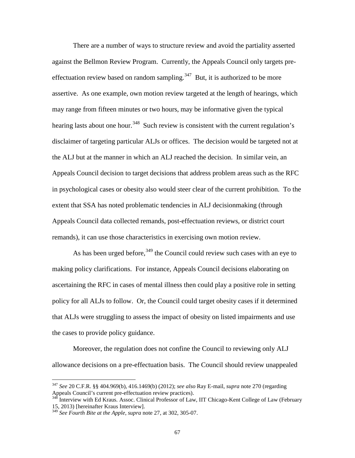There are a number of ways to structure review and avoid the partiality asserted against the Bellmon Review Program. Currently, the Appeals Council only targets preeffectuation review based on random sampling.<sup>347</sup> But, it is authorized to be more assertive. As one example, own motion review targeted at the length of hearings, which may range from fifteen minutes or two hours, may be informative given the typical hearing lasts about one hour.<sup>[348](#page-70-0)</sup> Such review is consistent with the current regulation's disclaimer of targeting particular ALJs or offices. The decision would be targeted not at the ALJ but at the manner in which an ALJ reached the decision. In similar vein, an Appeals Council decision to target decisions that address problem areas such as the RFC in psychological cases or obesity also would steer clear of the current prohibition. To the extent that SSA has noted problematic tendencies in ALJ decisionmaking (through Appeals Council data collected remands, post-effectuation reviews, or district court remands), it can use those characteristics in exercising own motion review.

<span id="page-70-2"></span>As has been urged before,  $349$  the Council could review such cases with an eye to making policy clarifications. For instance, Appeals Council decisions elaborating on ascertaining the RFC in cases of mental illness then could play a positive role in setting policy for all ALJs to follow. Or, the Council could target obesity cases if it determined that ALJs were struggling to assess the impact of obesity on listed impairments and use the cases to provide policy guidance.

Moreover, the regulation does not confine the Council to reviewing only ALJ allowance decisions on a pre-effectuation basis. The Council should review unappealed

 <sup>347</sup> *See* 20 C.F.R. §§ 404.969(b), 416.1469(b) (2012); *see also* Ray E-mail, *supra* note 270 (regarding Appeals Council's current pre-effectuation review practices).<br><sup>348</sup> Interview with Ed Kraus. Assoc. Clinical Professor of Law, IIT Chicago-Kent College of Law (February

<span id="page-70-0"></span><sup>15, 2013) [</sup>hereinafter Kraus Interview].

<span id="page-70-1"></span><sup>349</sup> *See Fourth Bite at the Apple*, *supra* note 27, at 302, 305-07.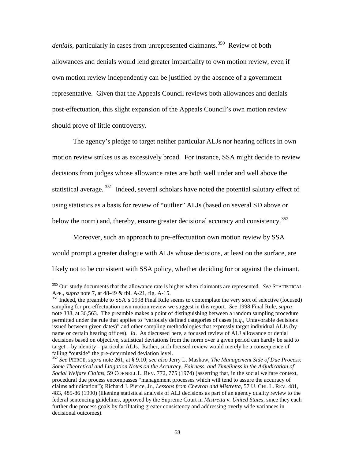*denials*, particularly in cases from unrepresented claimants.<sup>350</sup> Review of both allowances and denials would lend greater impartiality to own motion review, even if own motion review independently can be justified by the absence of a government representative. Given that the Appeals Council reviews both allowances and denials post-effectuation, this slight expansion of the Appeals Council's own motion review should prove of little controversy.

The agency's pledge to target neither particular ALJs nor hearing offices in own motion review strikes us as excessively broad. For instance, SSA might decide to review decisions from judges whose allowance rates are both well under and well above the statistical average.<sup>[351](#page-71-0)</sup> Indeed, several scholars have noted the potential salutary effect of using statistics as a basis for review of "outlier" ALJs (based on several SD above or below the norm) and, thereby, ensure greater decisional accuracy and consistency.<sup>[352](#page-71-1)</sup>

Moreover, such an approach to pre-effectuation own motion review by SSA would prompt a greater dialogue with ALJs whose decisions, at least on the surface, are likely not to be consistent with SSA policy, whether deciding for or against the claimant.

<sup>&</sup>lt;sup>350</sup> Our study documents that the allowance rate is higher when claimants are represented. *See* STATISTICAL APP., *supra* note 7, at 48-49 & tbl. A-21, fig. A-15.

<span id="page-71-0"></span><sup>&</sup>lt;sup>351</sup> Indeed, the preamble to SSA's 1998 Final Rule seems to contemplate the very sort of selective (focused) sampling for pre-effectuation own motion review we suggest in this report. *See* 1998 Final Rule, *supra* note 338, at 36,563. The preamble makes a point of distinguishing between a random sampling procedure permitted under the rule that applies to "variously defined categories of cases (*e.g.*, Unfavorable decisions issued between given dates)" and other sampling methodologies that expressly target individual ALJs (by name or certain hearing offices). *Id*. As discussed here, a focused review of ALJ allowance or denial decisions based on objective, statistical deviations from the norm over a given period can hardly be said to target – by identity – particular ALJs. Rather, such focused review would merely be a consequence of

<span id="page-71-1"></span>falling "outside" the pre-determined deviation level. 352 *See* PIERCE, *supra* note 261, at § 9.10; *see also* Jerry L. Mashaw, *The Management Side of Due Process: Some Theoretical and Litigation Notes on the Accuracy, Fairness, and Timeliness in the Adjudication of Social Welfare Claims*, 59 CORNELL L. REV. 772, 775 (1974) (asserting that, in the social welfare context, procedural due process encompasses "management processes which will tend to assure the accuracy of claims adjudication"); Richard J. Pierce, Jr., *Lessons from Chevron and Mistretta*, 57 U. CHI. L. REV. 481, 483, 485-86 (1990) (likening statistical analysis of ALJ decisions as part of an agency quality review to the federal sentencing guidelines, approved by the Supreme Court in *Mistretta v. United States*, since they each further due process goals by facilitating greater consistency and addressing overly wide variances in decisional outcomes).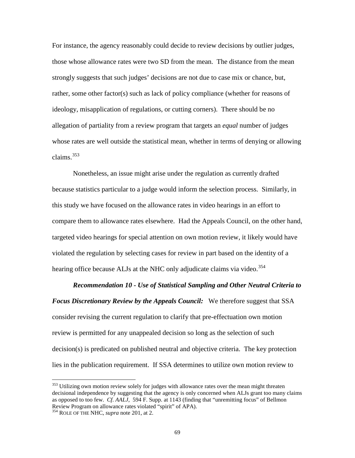For instance, the agency reasonably could decide to review decisions by outlier judges, those whose allowance rates were two SD from the mean. The distance from the mean strongly suggests that such judges' decisions are not due to case mix or chance, but, rather, some other factor(s) such as lack of policy compliance (whether for reasons of ideology, misapplication of regulations, or cutting corners). There should be no allegation of partiality from a review program that targets an *equal* number of judges whose rates are well outside the statistical mean, whether in terms of denying or allowing claims. $353$ 

Nonetheless, an issue might arise under the regulation as currently drafted because statistics particular to a judge would inform the selection process. Similarly, in this study we have focused on the allowance rates in video hearings in an effort to compare them to allowance rates elsewhere. Had the Appeals Council, on the other hand, targeted video hearings for special attention on own motion review, it likely would have violated the regulation by selecting cases for review in part based on the identity of a hearing office because ALJs at the NHC only adjudicate claims via video.<sup>[354](#page-72-0)</sup>

### *Recommendation 10 - Use of Statistical Sampling and Other Neutral Criteria to*

*Focus Discretionary Review by the Appeals Council:* We therefore suggest that SSA consider revising the current regulation to clarify that pre-effectuation own motion review is permitted for any unappealed decision so long as the selection of such decision(s) is predicated on published neutral and objective criteria. The key protection lies in the publication requirement. If SSA determines to utilize own motion review to

<span id="page-72-1"></span><sup>&</sup>lt;sup>353</sup> Utilizing own motion review solely for judges with allowance rates over the mean might threaten decisional independence by suggesting that the agency is only concerned when ALJs grant too many claims as opposed to too few. *Cf*. *AALJ*, 594 F. Supp. at 1143 (finding that "unremitting focus" of Bellmon Review Program on allowance rates violated "spirit" of APA). 354 ROLE OF THE NHC, *supra* note 201, at 2.

<span id="page-72-0"></span>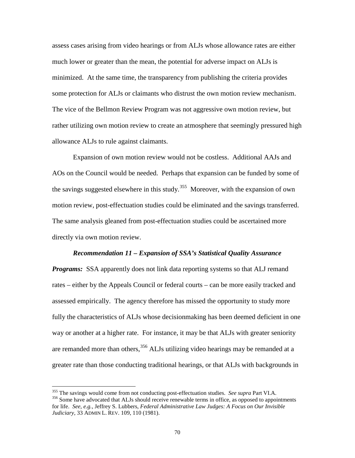assess cases arising from video hearings or from ALJs whose allowance rates are either much lower or greater than the mean, the potential for adverse impact on ALJs is minimized. At the same time, the transparency from publishing the criteria provides some protection for ALJs or claimants who distrust the own motion review mechanism. The vice of the Bellmon Review Program was not aggressive own motion review, but rather utilizing own motion review to create an atmosphere that seemingly pressured high allowance ALJs to rule against claimants.

Expansion of own motion review would not be costless. Additional AAJs and AOs on the Council would be needed. Perhaps that expansion can be funded by some of the savings suggested elsewhere in this study.<sup>[355](#page-72-1)</sup> Moreover, with the expansion of own motion review, post-effectuation studies could be eliminated and the savings transferred. The same analysis gleaned from post-effectuation studies could be ascertained more directly via own motion review.

#### *Recommendation 11 – Expansion of SSA's Statistical Quality Assurance*

*Programs:* SSA apparently does not link data reporting systems so that ALJ remand rates – either by the Appeals Council or federal courts – can be more easily tracked and assessed empirically. The agency therefore has missed the opportunity to study more fully the characteristics of ALJs whose decisionmaking has been deemed deficient in one way or another at a higher rate. For instance, it may be that ALJs with greater seniority are remanded more than others,  $356$  ALJs utilizing video hearings may be remanded at a greater rate than those conducting traditional hearings, or that ALJs with backgrounds in

<span id="page-73-1"></span><sup>&</sup>lt;sup>355</sup> The savings would come from not conducting post-effectuation studies. *See supra* Part VI.A. <sup>356</sup> Some have advocated that ALJs should receive renewable terms in office, as opposed to appointments

<span id="page-73-0"></span>for life. *See, e.g.*, Jeffrey S. Lubbers, *Federal Administrative Law Judges: A Focus on Our Invisible Judiciary*, 33 ADMIN L. REV. 109, 110 (1981).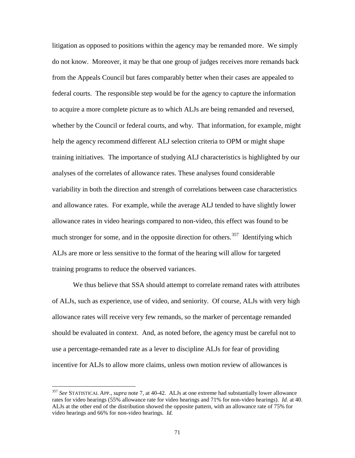litigation as opposed to positions within the agency may be remanded more. We simply do not know. Moreover, it may be that one group of judges receives more remands back from the Appeals Council but fares comparably better when their cases are appealed to federal courts. The responsible step would be for the agency to capture the information to acquire a more complete picture as to which ALJs are being remanded and reversed, whether by the Council or federal courts, and why. That information, for example, might help the agency recommend different ALJ selection criteria to OPM or might shape training initiatives. The importance of studying ALJ characteristics is highlighted by our analyses of the correlates of allowance rates. These analyses found considerable variability in both the direction and strength of correlations between case characteristics and allowance rates. For example, while the average ALJ tended to have slightly lower allowance rates in video hearings compared to non-video, this effect was found to be much stronger for some, and in the opposite direction for others.<sup>[357](#page-73-1)</sup> Identifying which ALJs are more or less sensitive to the format of the hearing will allow for targeted training programs to reduce the observed variances.

We thus believe that SSA should attempt to correlate remand rates with attributes of ALJs, such as experience, use of video, and seniority. Of course, ALJs with very high allowance rates will receive very few remands, so the marker of percentage remanded should be evaluated in context. And, as noted before, the agency must be careful not to use a percentage-remanded rate as a lever to discipline ALJs for fear of providing incentive for ALJs to allow more claims, unless own motion review of allowances is

<span id="page-74-0"></span> <sup>357</sup> *See* STATISTICAL APP., *supra* note 7, at 40-42. ALJs at one extreme had substantially lower allowance rates for video hearings (55% allowance rate for video hearings and 71% for non-video hearings). *Id.* at 40. ALJs at the other end of the distribution showed the opposite pattern, with an allowance rate of 75% for video hearings and 66% for non-video hearings. *Id.*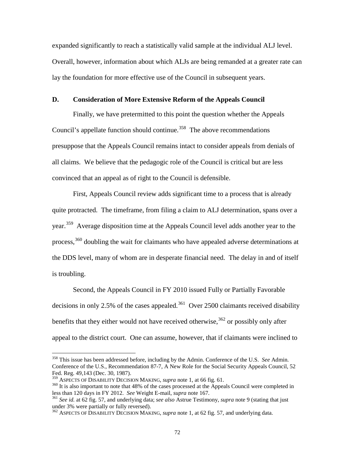expanded significantly to reach a statistically valid sample at the individual ALJ level. Overall, however, information about which ALJs are being remanded at a greater rate can lay the foundation for more effective use of the Council in subsequent years.

## **D. Consideration of More Extensive Reform of the Appeals Council**

Finally, we have pretermitted to this point the question whether the Appeals Council's appellate function should continue.<sup>[358](#page-74-0)</sup> The above recommendations presuppose that the Appeals Council remains intact to consider appeals from denials of all claims. We believe that the pedagogic role of the Council is critical but are less convinced that an appeal as of right to the Council is defensible.

First, Appeals Council review adds significant time to a process that is already quite protracted. The timeframe, from filing a claim to ALJ determination, spans over a year.[359](#page-75-0) Average disposition time at the Appeals Council level adds another year to the process,<sup>[360](#page-75-1)</sup> doubling the wait for claimants who have appealed adverse determinations at the DDS level, many of whom are in desperate financial need. The delay in and of itself is troubling.

Second, the Appeals Council in FY 2010 issued Fully or Partially Favorable decisions in only 2.5% of the cases appealed.<sup>361</sup> Over 2500 claimants received disability benefits that they either would not have received otherwise,  $362$  or possibly only after appeal to the district court. One can assume, however, that if claimants were inclined to

 <sup>358</sup> This issue has been addressed before, including by the Admin. Conference of the U.S. *See* Admin. Conference of the U.S., Recommendation 87-7, A New Role for the Social Security Appeals Council, 52 Fed. Reg. 49,143 (Dec. 30, 1987).<br><sup>359</sup> ASPECTS OF DISABILITY DECISION MAKING, *supra* note 1, at 66 fig. 61.

<span id="page-75-1"></span><span id="page-75-0"></span><sup>&</sup>lt;sup>360</sup> It is also important to note that 48% of the cases processed at the Appeals Council were completed in less than 120 days in FY 2012. *See* Weight E-mail, *supra* note 167.

<span id="page-75-4"></span><span id="page-75-2"></span><sup>&</sup>lt;sup>361</sup> See id. at 62 fig. 57, and underlying data; *see also* Astrue Testimony, *supra* note 9 (stating that just under 3% were partially or fully reversed).

<span id="page-75-3"></span><sup>&</sup>lt;sup>362</sup> ASPECTS OF DISABILITY DECISION MAKING, *supra* note 1, at 62 fig. 57, and underlying data.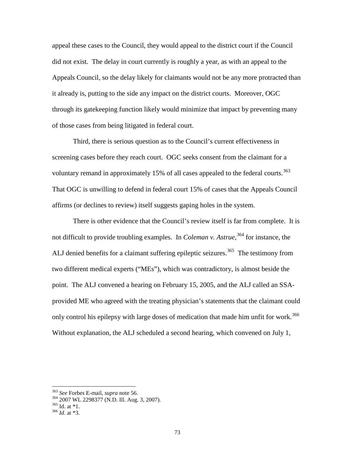appeal these cases to the Council, they would appeal to the district court if the Council did not exist. The delay in court currently is roughly a year, as with an appeal to the Appeals Council, so the delay likely for claimants would not be any more protracted than it already is, putting to the side any impact on the district courts. Moreover, OGC through its gatekeeping function likely would minimize that impact by preventing many of those cases from being litigated in federal court.

Third, there is serious question as to the Council's current effectiveness in screening cases before they reach court. OGC seeks consent from the claimant for a voluntary remand in approximately 15% of all cases appealed to the federal courts.<sup>[363](#page-75-4)</sup> That OGC is unwilling to defend in federal court 15% of cases that the Appeals Council affirms (or declines to review) itself suggests gaping holes in the system.

There is other evidence that the Council's review itself is far from complete. It is not difficult to provide troubling examples. In *Coleman v. Astrue*, [364](#page-76-0) for instance, the ALJ denied benefits for a claimant suffering epileptic seizures.<sup>[365](#page-76-1)</sup> The testimony from two different medical experts ("MEs"), which was contradictory, is almost beside the point. The ALJ convened a hearing on February 15, 2005, and the ALJ called an SSAprovided ME who agreed with the treating physician's statements that the claimant could only control his epilepsy with large doses of medication that made him unfit for work.<sup>[366](#page-76-2)</sup> Without explanation, the ALJ scheduled a second hearing, which convened on July 1,

<span id="page-76-3"></span><span id="page-76-0"></span><sup>363</sup> *See* Forbes E-mail, *supra* note 56. <sup>364</sup> 2007 WL 2298377 (N.D. Ill. Aug. 3, 2007). <sup>365</sup> Id. at \*1. <sup>366</sup> *Id.* at \*3.

<span id="page-76-1"></span>

<span id="page-76-2"></span>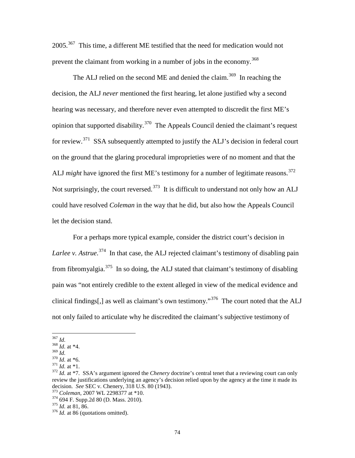2005.<sup>367</sup> This time, a different ME testified that the need for medication would not prevent the claimant from working in a number of jobs in the economy.<sup>[368](#page-77-0)</sup>

The ALJ relied on the second ME and denied the claim.<sup>[369](#page-77-1)</sup> In reaching the decision, the ALJ *never* mentioned the first hearing, let alone justified why a second hearing was necessary, and therefore never even attempted to discredit the first ME's opinion that supported disability.<sup>[370](#page-77-2)</sup> The Appeals Council denied the claimant's request for review.<sup>[371](#page-77-3)</sup> SSA subsequently attempted to justify the ALJ's decision in federal court on the ground that the glaring procedural improprieties were of no moment and that the ALJ *might* have ignored the first ME's testimony for a number of legitimate reasons.<sup>372</sup> Not surprisingly, the court reversed.<sup>[373](#page-77-5)</sup> It is difficult to understand not only how an ALJ could have resolved *Coleman* in the way that he did, but also how the Appeals Council let the decision stand.

For a perhaps more typical example, consider the district court's decision in Larlee v. Astrue.<sup>374</sup> In that case, the ALJ rejected claimant's testimony of disabling pain from fibromyalgia.<sup>[375](#page-77-7)</sup> In so doing, the ALJ stated that claimant's testimony of disabling pain was "not entirely credible to the extent alleged in view of the medical evidence and clinical findings[,] as well as claimant's own testimony."<sup>[376](#page-77-8)</sup> The court noted that the ALJ not only failed to articulate why he discredited the claimant's subjective testimony of

<span id="page-77-9"></span><sup>367</sup> *Id.* <sup>368</sup> *Id.* at \*4.

<span id="page-77-4"></span>

<span id="page-77-3"></span><span id="page-77-2"></span><span id="page-77-1"></span><span id="page-77-0"></span><sup>&</sup>lt;sup>370</sup> *Id.* at \*6.<br><sup>371</sup> *Id.* at \*1.<br><sup>372</sup> *Id.* at \*7. SSA's argument ignored the *Chenery* doctrine's central tenet that a reviewing court can only review the justifications underlying an agency's decision relied upon by the agency at the time it made its decision. See SEC v. Chenery, 318 U.S. 80 (1943).

<span id="page-77-6"></span><span id="page-77-5"></span><sup>&</sup>lt;sup>373</sup> Coleman, 2007 WL 2298377 at \*10.<br><sup>374</sup> 694 F. Supp.2d 80 (D. Mass. 2010).<br><sup>375</sup> *Id.* at 81, 86. 376 *Id.* at 86 (quotations omitted).

<span id="page-77-8"></span><span id="page-77-7"></span>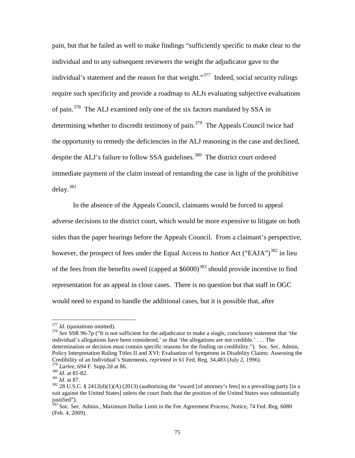pain, but that he failed as well to make findings "sufficiently specific to make clear to the individual and to any subsequent reviewers the weight the adjudicator gave to the individual's statement and the reason for that weight."<sup>[377](#page-77-9)</sup> Indeed, social security rulings require such specificity and provide a roadmap to ALJs evaluating subjective evaluations of pain.[378](#page-78-0) The ALJ examined only one of the six factors mandated by SSA in determining whether to discredit testimony of pain.<sup>379</sup> The Appeals Council twice had the opportunity to remedy the deficiencies in the ALJ reasoning in the case and declined, despite the ALJ's failure to follow SSA guidelines.<sup>[380](#page-78-2)</sup> The district court ordered immediate payment of the claim instead of remanding the case in light of the prohibitive delay.[381](#page-78-3)

In the absence of the Appeals Council, claimants would be forced to appeal adverse decisions to the district court, which would be more expensive to litigate on both sides than the paper hearings before the Appeals Council. From a claimant's perspective, however, the prospect of fees under the Equal Access to Justice Act ("EAJA")<sup>[382](#page-78-4)</sup> in lieu of the fees from the benefits owed (capped at  $$6000$ )<sup>[383](#page-78-5)</sup> should provide incentive to find representation for an appeal in close cases. There is no question but that staff in OGC would need to expand to handle the additional cases, but it is possible that, after

<span id="page-78-6"></span><span id="page-78-0"></span><sup>377</sup> *Id.* (quotations omitted).<br><sup>378</sup> *See* SSR 96-7p ("It is not sufficient for the adjudicator to make a single, conclusory statement that 'the individual's allegations have been considered,' or that 'the allegations are not credible.' . . . The determination or decision must contain specific reasons for the finding on credibility."). Soc. Sec. Admin, Policy Interpretation Ruling Titles II and XVI: Evaluation of Symptoms in Disability Claims: Assessing the Credibility of an Individual's Statements, *reprinted in* 61 Fed. Reg. 34,483 (July 2, 1996).

<span id="page-78-4"></span><span id="page-78-3"></span>

<span id="page-78-2"></span><span id="page-78-1"></span><sup>&</sup>lt;sup>380</sup> *Id.* at 81-82.<br><sup>381</sup> *Id.* at 87.<br><sup>382</sup> 28 U.S.C. § 2412(d)(1)(A) (2013) (authorizing the "award [of attorney's fees] to a prevailing party [in a suit against the United States] unless the court finds that the position of the United States was substantially justified").<br><sup>383</sup> Soc. Sec. Admin., Maximum Dollar Limit in the Fee Agreement Process; Notice, 74 Fed. Reg. 6080

<span id="page-78-5"></span><sup>(</sup>Feb. 4, 2009).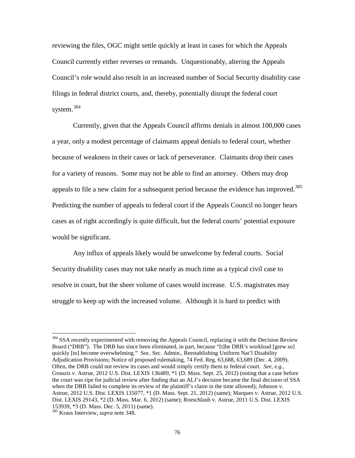reviewing the files, OGC might settle quickly at least in cases for which the Appeals Council currently either reverses or remands. Unquestionably, altering the Appeals Council's role would also result in an increased number of Social Security disability case filings in federal district courts, and, thereby, potentially disrupt the federal court system.<sup>[384](#page-78-6)</sup>

Currently, given that the Appeals Council affirms denials in almost 100,000 cases a year, only a modest percentage of claimants appeal denials to federal court, whether because of weakness in their cases or lack of perseverance. Claimants drop their cases for a variety of reasons. Some may not be able to find an attorney. Others may drop appeals to file a new claim for a subsequent period because the evidence has improved.<sup>385</sup> Predicting the number of appeals to federal court if the Appeals Council no longer hears cases as of right accordingly is quite difficult, but the federal courts' potential exposure would be significant.

Any influx of appeals likely would be unwelcome by federal courts. Social Security disability cases may not take nearly as much time as a typical civil case to resolve in court, but the sheer volume of cases would increase. U.S. magistrates may struggle to keep up with the increased volume. Although it is hard to predict with

<sup>&</sup>lt;sup>384</sup> SSA recently experimented with removing the Appeals Council, replacing it with the Decision Review Board ("DRB"). The DRB has since been eliminated, in part, because "[t]he DRB's workload [grew so] quickly [to] become overwhelming." Soc. Sec. Admin., Reestablishing Uniform Nat'l Disability Adjudication Provisions; Notice of proposed rulemaking, 74 Fed. Reg. 63,688, 63,689 (Dec. 4, 2009). Often, the DRB could not review its cases and would simply certify them to federal court. *See, e.g.*, [Grouzis v. Astrue,](http://www.lexis.com/research/xlink?app=00075&view=full&searchtype=get&search=2012+U.S.+Dist.+LEXIS+136489) 2012 U.S. Dist. LEXIS 136489, \*1 (D. Mass. Sept. 25, 2012) (noting that a case before the court was ripe for judicial review after finding that an ALJ's decision became the final decision of SSA when the DRB failed to complete its review of the plaintiff's claim in the time allowed); Johnson v. Astrue, 2012 U.S. Dist. LEXIS 135077, \*1 (D. Mass. Sept. 21, 2012) (same); Marques v. Astrue, 2012 U.S. Dist. LEXIS 29143, \*2 (D. Mass. Mar. 6, 2012) (same); Roeschlaub v. Astrue, 2011 U.S. Dist. LEXIS 153939, \*3 (D. Mass. Dec. 5, 2011) (same).

<span id="page-79-1"></span><span id="page-79-0"></span><sup>&</sup>lt;sup>385</sup> Kraus Interview, *supra* note 348.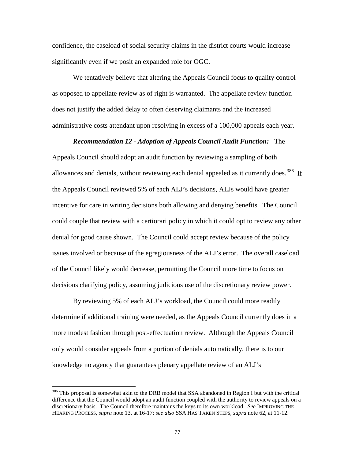confidence, the caseload of social security claims in the district courts would increase significantly even if we posit an expanded role for OGC.

We tentatively believe that altering the Appeals Council focus to quality control as opposed to appellate review as of right is warranted. The appellate review function does not justify the added delay to often deserving claimants and the increased administrative costs attendant upon resolving in excess of a 100,000 appeals each year.

#### *Recommendation 12 - Adoption of Appeals Council Audit Function:* The

Appeals Council should adopt an audit function by reviewing a sampling of both allowances and denials, without reviewing each denial appealed as it currently does.<sup>[386](#page-79-1)</sup> If the Appeals Council reviewed 5% of each ALJ's decisions, ALJs would have greater incentive for care in writing decisions both allowing and denying benefits. The Council could couple that review with a certiorari policy in which it could opt to review any other denial for good cause shown. The Council could accept review because of the policy issues involved or because of the egregiousness of the ALJ's error. The overall caseload of the Council likely would decrease, permitting the Council more time to focus on decisions clarifying policy, assuming judicious use of the discretionary review power.

<span id="page-80-0"></span>By reviewing 5% of each ALJ's workload, the Council could more readily determine if additional training were needed, as the Appeals Council currently does in a more modest fashion through post-effectuation review. Although the Appeals Council only would consider appeals from a portion of denials automatically, there is to our knowledge no agency that guarantees plenary appellate review of an ALJ's

<sup>&</sup>lt;sup>386</sup> This proposal is somewhat akin to the DRB model that SSA abandoned in Region I but with the critical difference that the Council would adopt an audit function coupled with the authority to review appeals on a discretionary basis. The Council therefore maintains the keys to its own workload. *See* IMPROVING THE HEARING PROCESS, *supra* note 13, at 16-17; *see also* SSA HAS TAKEN STEPS, *supra* note 62, at 11-12.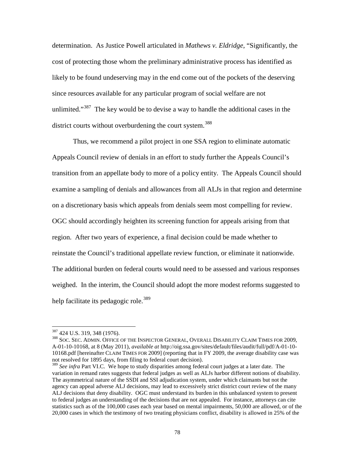determination. As Justice Powell articulated in *Mathews v. Eldridge*, "Significantly, the cost of protecting those whom the preliminary administrative process has identified as likely to be found undeserving may in the end come out of the pockets of the deserving since resources available for any particular program of social welfare are not unlimited."<sup>[387](#page-80-0)</sup> The key would be to devise a way to handle the additional cases in the district courts without overburdening the court system.<sup>388</sup>

Thus, we recommend a pilot project in one SSA region to eliminate automatic Appeals Council review of denials in an effort to study further the Appeals Council's transition from an appellate body to more of a policy entity. The Appeals Council should examine a sampling of denials and allowances from all ALJs in that region and determine on a discretionary basis which appeals from denials seem most compelling for review. OGC should accordingly heighten its screening function for appeals arising from that region. After two years of experience, a final decision could be made whether to reinstate the Council's traditional appellate review function, or eliminate it nationwide. The additional burden on federal courts would need to be assessed and various responses weighed. In the interim, the Council should adopt the more modest reforms suggested to help facilitate its pedagogic role.<sup>[389](#page-81-1)</sup>

<span id="page-81-0"></span><sup>&</sup>lt;sup>387</sup> 424 U.S. 319, 348 (1976).<br><sup>388</sup> Soc. Sec. Admin. Office of the Inspector General, Overall Disability Claim Times for 2009, A-01-10-10168, at 8 (May 2011), *available at* http://oig.ssa.gov/sites/default/files/audit/full/pdf/A-01-10- 10168.pdf [hereinafter CLAIM TIMES FOR 2009] (reporting that in FY 2009, the average disability case was not resolved for 1895 days, from filing to federal court decision).

<span id="page-81-2"></span><span id="page-81-1"></span><sup>389</sup> *See infra* Part VI.C. We hope to study disparities among federal court judges at a later date. The variation in remand rates suggests that federal judges as well as ALJs harbor different notions of disability. The asymmetrical nature of the SSDI and SSI adjudication system, under which claimants but not the agency can appeal adverse ALJ decisions, may lead to excessively strict district court review of the many ALJ decisions that deny disability. OGC must understand its burden in this unbalanced system to present to federal judges an understanding of the decisions that are not appealed. For instance, attorneys can cite statistics such as of the 100,000 cases each year based on mental impairments, 50,000 are allowed, or of the 20,000 cases in which the testimony of two treating physicians conflict, disability is allowed in 25% of the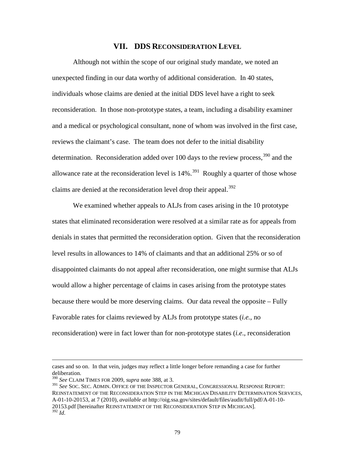# **VII. DDS RECONSIDERATION LEVEL**

Although not within the scope of our original study mandate, we noted an unexpected finding in our data worthy of additional consideration. In 40 states, individuals whose claims are denied at the initial DDS level have a right to seek reconsideration. In those non-prototype states, a team, including a disability examiner and a medical or psychological consultant, none of whom was involved in the first case, reviews the claimant's case. The team does not defer to the initial disability determination. Reconsideration added over 100 days to the review process,<sup>[390](#page-81-2)</sup> and the allowance rate at the reconsideration level is  $14\%$ <sup>[391](#page-82-0)</sup> Roughly a quarter of those whose claims are denied at the reconsideration level drop their appeal.<sup>[392](#page-82-1)</sup>

We examined whether appeals to ALJs from cases arising in the 10 prototype states that eliminated reconsideration were resolved at a similar rate as for appeals from denials in states that permitted the reconsideration option. Given that the reconsideration level results in allowances to 14% of claimants and that an additional 25% or so of disappointed claimants do not appeal after reconsideration, one might surmise that ALJs would allow a higher percentage of claims in cases arising from the prototype states because there would be more deserving claims. Our data reveal the opposite – Fully Favorable rates for claims reviewed by ALJs from prototype states (*i.e.*, no reconsideration) were in fact lower than for non-prototype states (*i.e*., reconsideration

<span id="page-82-2"></span> $\overline{a}$ 

cases and so on. In that vein, judges may reflect a little longer before remanding a case for further deliberation.

<sup>390</sup> *See* CLAIM TIMES FOR 2009, *supra* note 388, at 3.

<span id="page-82-1"></span><span id="page-82-0"></span><sup>391</sup> *See* SOC. SEC. ADMIN. OFFICE OF THE INSPECTOR GENERAL, CONGRESSIONAL RESPONSE REPORT: REINSTATEMENT OF THE RECONSIDERATION STEP IN THE MICHIGAN DISABILITY DETERMINATION SERVICES, A-01-10-20153, at 7 (2010), *available at* http://oig.ssa.gov/sites/default/files/audit/full/pdf/A-01-10- 20153.pdf [hereinafter REINSTATEMENT OF THE RECONSIDERATION STEP IN MICHIGAN]. <sup>392</sup> *Id.*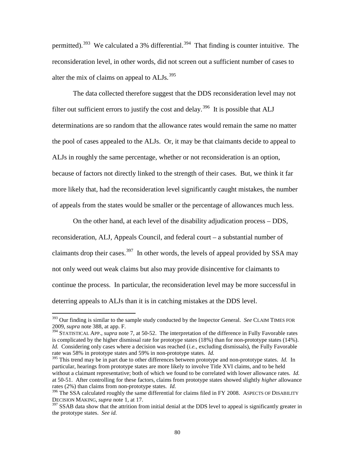permitted).<sup>[393](#page-82-2)</sup> We calculated a 3% differential.<sup>[394](#page-83-0)</sup> That finding is counter intuitive. The reconsideration level, in other words, did not screen out a sufficient number of cases to alter the mix of claims on appeal to  $ALJs$ .<sup>[395](#page-83-1)</sup>

The data collected therefore suggest that the DDS reconsideration level may not filter out sufficient errors to justify the cost and delay.<sup>396</sup> It is possible that ALJ determinations are so random that the allowance rates would remain the same no matter the pool of cases appealed to the ALJs. Or, it may be that claimants decide to appeal to ALJs in roughly the same percentage, whether or not reconsideration is an option, because of factors not directly linked to the strength of their cases. But, we think it far more likely that, had the reconsideration level significantly caught mistakes, the number of appeals from the states would be smaller or the percentage of allowances much less.

On the other hand, at each level of the disability adjudication process – DDS, reconsideration, ALJ, Appeals Council, and federal court – a substantial number of claimants drop their cases.<sup>[397](#page-83-3)</sup> In other words, the levels of appeal provided by SSA may not only weed out weak claims but also may provide disincentive for claimants to continue the process. In particular, the reconsideration level may be more successful in deterring appeals to ALJs than it is in catching mistakes at the DDS level.

 <sup>393</sup> Our finding is similar to the sample study conducted by the Inspector General. *See* CLAIM TIMES FOR 2009, *supra* note 388, at app. F.

<span id="page-83-0"></span><sup>394</sup> STATISTICAL APP., *supra* note 7, at 50-52. The interpretation of the difference in Fully Favorable rates is complicated by the higher dismissal rate for prototype states (18%) than for non-prototype states (14%). *Id.* Considering only cases where a decision was reached (*i.e.*, excluding dismissals), the Fully Favorable rate was 58% in prototype states and 59% in non-prototype states. *Id.*

<span id="page-83-1"></span><sup>395</sup> This trend may be in part due to other differences between prototype and non-prototype states. *Id.* In particular, hearings from prototype states are more likely to involve Title XVI claims, and to be held without a claimant representative; both of which we found to be correlated with lower allowance rates. *Id.* at 50-51. After controlling for these factors, claims from prototype states showed slightly *higher* allowance rates (2%) than claims from non-prototype states. *Id.*

<span id="page-83-4"></span><span id="page-83-2"></span><sup>&</sup>lt;sup>396</sup> The SSA calculated roughly the same differential for claims filed in FY 2008. ASPECTS OF DISABILITY DECISION MAKING, *supra* note 1, at 17.

<span id="page-83-3"></span><sup>&</sup>lt;sup>397</sup> SSAB data show that the attrition from initial denial at the DDS level to appeal is significantly greater in the prototype states. *See id.*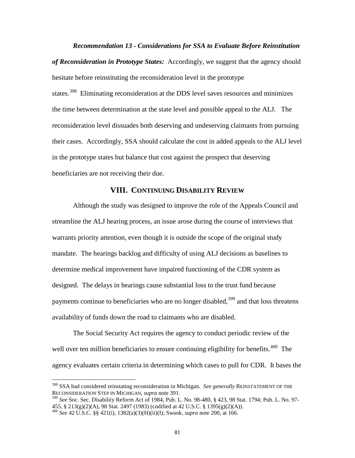*Recommendation 13 - Considerations for SSA to Evaluate Before Reinstitution* 

*of Reconsideration in Prototype States:* Accordingly, we suggest that the agency should hesitate before reinstituting the reconsideration level in the prototype states.<sup>[398](#page-83-4)</sup> Eliminating reconsideration at the DDS level saves resources and minimizes the time between determination at the state level and possible appeal to the ALJ. The reconsideration level dissuades both deserving and undeserving claimants from pursuing their cases. Accordingly, SSA should calculate the cost in added appeals to the ALJ level in the prototype states but balance that cost against the prospect that deserving beneficiaries are not receiving their due.

# **VIII. CONTINUING DISABILITY REVIEW**

Although the study was designed to improve the role of the Appeals Council and streamline the ALJ hearing process, an issue arose during the course of interviews that warrants priority attention, even though it is outside the scope of the original study mandate. The hearings backlog and difficulty of using ALJ decisions as baselines to determine medical improvement have impaired functioning of the CDR system as designed. The delays in hearings cause substantial loss to the trust fund because payments continue to beneficiaries who are no longer disabled,<sup>[399](#page-84-0)</sup> and that loss threatens availability of funds down the road to claimants who are disabled.

<span id="page-84-2"></span>The Social Security Act requires the agency to conduct periodic review of the well over ten million beneficiaries to ensure continuing eligibility for benefits.<sup>400</sup> The agency evaluates certain criteria in determining which cases to pull for CDR. It bases the

<sup>&</sup>lt;sup>398</sup> SSA had considered reinstating reconsideration in Michigan. *See generally* REINSTATEMENT OF THE RECONSIDERATION STEP IN MICHIGAN, *supra* note 391.

<span id="page-84-0"></span>RECONSIDERATION STEP IN MICHIGAN, *supra* note 391. <sup>399</sup> *See* Soc. Sec. Disability Reform Act of 1984, Pub. L. No. 98-480, § 423, 98 Stat. 1794; Pub. L. No. 97- 455, § 213(g)(2)(A), 98 Stat. 2497 (1983) (codified at 42 U.S.C. § 1395(g)(2)(A)).

<span id="page-84-1"></span><sup>400</sup> *See* 42 U.S.C. §§ 421(i), 1382(a)(3)(H)(ii)(I); Swank, *supra* note 200, at 166.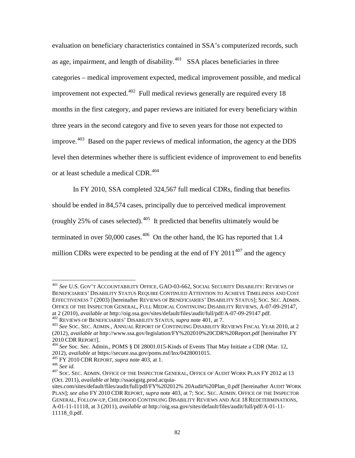evaluation on beneficiary characteristics contained in SSA's computerized records, such as age, impairment, and length of disability. $401$  SSA places beneficiaries in three categories – medical improvement expected, medical improvement possible, and medical improvement not expected.<sup>402</sup> Full medical reviews generally are required every 18 months in the first category, and paper reviews are initiated for every beneficiary within three years in the second category and five to seven years for those not expected to improve.[403](#page-85-1) Based on the paper reviews of medical information, the agency at the DDS level then determines whether there is sufficient evidence of improvement to end benefits or at least schedule a medical CDR.<sup>[404](#page-85-2)</sup>

In FY 2010, SSA completed 324,567 full medical CDRs, finding that benefits should be ended in 84,574 cases, principally due to perceived medical improvement (roughly  $25\%$  of cases selected).<sup>405</sup> It predicted that benefits ultimately would be terminated in over 50,000 cases.<sup>[406](#page-85-4)</sup> On the other hand, the IG has reported that 1.4 million CDRs were expected to be pending at the end of FY 2011<sup>[407](#page-85-5)</sup> and the agency

 <sup>401</sup> *See* U.S. GOV'T ACCOUNTABILITY OFFICE, GAO-03-662, SOCIAL SECURITY DISABILITY: REVIEWS OF BENEFICIARIES' DISABILITY STATUS REQUIRE CONTINUED ATTENTION TO ACHIEVE TIMELINESS AND COST EFFECTIVENESS 7 (2003) [hereinafter REVIEWS OF BENEFICIARIES' DISABILITY STATUS]; SOC. SEC. ADMIN. OFFICE OF THE INSPECTOR GENERAL, FULL MEDICAL CONTINUING DISABILITY REVIEWS, A-07-09-29147, at 2 (2010), *available at http://oig.ssa.gov/sites/default/files/audit/full/pdf/A-07-09-29147.pdf.*<br><sup>402</sup> REVIEWS OF BENEFICIARIES' DISABILITY STATUS, *supra* note 401, at 7.<br><sup>403</sup> See SOC. SEC. ADMIN., ANNUAL REPORT OF C

<span id="page-85-0"></span>

<span id="page-85-6"></span><span id="page-85-1"></span><sup>(2012),</sup> *available at* http://www.ssa.gov/legislation/FY%202010%20CDR%20Report.pdf [hereinafter FY <sup>2010</sup> CDR REPORT]. 404 *See* Soc. Sec. Admin., POMS § DI 28001.015-Kinds of Events That May Initiate a CDR (Mar. 12,

<span id="page-85-2"></span><sup>2012),</sup> *available at https://secure.ssa.gov/poms.nsf/lnx/0428001015.*<br>
<sup>405</sup> FY 2010 CDR REPORT, *supra* note 403, at 1.<br>
<sup>406</sup> See id.<br>
<sup>407</sup> SOC. SEC. ADMIN. OFFICE OF THE INSPECTOR GENERAL, OFFICE OF AUDIT WORK PLAN FY

<span id="page-85-3"></span>

<span id="page-85-5"></span><span id="page-85-4"></span><sup>(</sup>Oct. 2011), *available at* http://ssaoigstg.prod.acquia-

sites.com/sites/default/files/audit/full/pdf/FY%202012% 20Audit%20Plan\_0.pdf [hereinafter AUDIT WORK PLAN]; *see also* FY 2010 CDR REPORT, *supra* note 403, at 7; SOC. SEC. ADMIN. OFFICE OF THE INSPECTOR GENERAL, FOLLOW-UP, CHILDHOOD CONTINUING DISABILITY REVIEWS AND AGE 18 REDETERMINATIONS, A-01-11-11118, at 3 (2011), *available at* http://oig.ssa.gov/sites/default/files/audit/full/pdf/A-01-11- 11118\_0.pdf.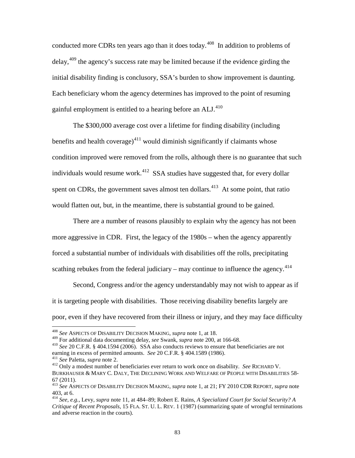conducted more CDRs ten years ago than it does today.<sup>[408](#page-85-6)</sup> In addition to problems of delay,  $409$  the agency's success rate may be limited because if the evidence girding the initial disability finding is conclusory, SSA's burden to show improvement is daunting. Each beneficiary whom the agency determines has improved to the point of resuming gainful employment is entitled to a hearing before an ALJ.<sup>[410](#page-86-1)</sup>

The \$300,000 average cost over a lifetime for finding disability (including benefits and health coverage)<sup>[411](#page-86-2)</sup> would diminish significantly if claimants whose condition improved were removed from the rolls, although there is no guarantee that such individuals would resume work.<sup>[412](#page-86-3)</sup> SSA studies have suggested that, for every dollar spent on CDRs, the government saves almost ten dollars.<sup>413</sup> At some point, that ratio would flatten out, but, in the meantime, there is substantial ground to be gained.

There are a number of reasons plausibly to explain why the agency has not been more aggressive in CDR. First, the legacy of the 1980s – when the agency apparently forced a substantial number of individuals with disabilities off the rolls, precipitating scathing rebukes from the federal judiciary – may continue to influence the agency.<sup>[414](#page-86-5)</sup>

Second, Congress and/or the agency understandably may not wish to appear as if it is targeting people with disabilities. Those receiving disability benefits largely are poor, even if they have recovered from their illness or injury, and they may face difficulty

<span id="page-86-1"></span><span id="page-86-0"></span>

<sup>&</sup>lt;sup>408</sup> See ASPECTS OF DISABILITY DECISION MAKING, *supra* note 1, at 18.<br><sup>409</sup> For additional data documenting delay, *see* Swank, *supra* note 200, at 166-68.<br><sup>410</sup> See 20 C.F.R. § 404.1594 (2006). SSA also conducts revie

<span id="page-86-3"></span><span id="page-86-2"></span><sup>&</sup>lt;sup>411</sup> See Paletta, *supra* note 2.<br><sup>412</sup> Only a modest number of beneficiaries ever return to work once on disability. See RICHARD V. BURKHAUSER & MARY C. DALY, THE DECLINING WORK AND WELFARE OF PEOPLE WITH DISABILITIES 58- 67 (2011).

<span id="page-86-6"></span><span id="page-86-4"></span><sup>413</sup> *See* ASPECTS OF DISABILITY DECISION MAKING*, supra* note 1, at 21; FY 2010 CDR REPORT, *supra* note 403, at 6. <sup>414</sup> *See, e.g.*, Levy, *supra* note 11, at 484–89; Robert E. Rains, *A Specialized Court for Social Security? A* 

<span id="page-86-5"></span>*Critique of Recent Proposals*, 15 FLA. ST. U. L. REV. 1 (1987) (summarizing spate of wrongful terminations and adverse reaction in the courts).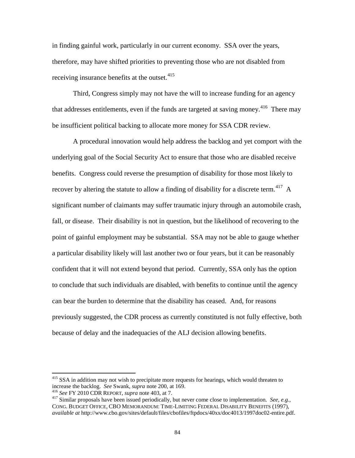in finding gainful work, particularly in our current economy. SSA over the years, therefore, may have shifted priorities to preventing those who are not disabled from receiving insurance benefits at the outset.  $415$ 

Third, Congress simply may not have the will to increase funding for an agency that addresses entitlements, even if the funds are targeted at saving money.<sup>416</sup> There may be insufficient political backing to allocate more money for SSA CDR review.

A procedural innovation would help address the backlog and yet comport with the underlying goal of the Social Security Act to ensure that those who are disabled receive benefits. Congress could reverse the presumption of disability for those most likely to recover by altering the statute to allow a finding of disability for a discrete term.<sup>417</sup> A significant number of claimants may suffer traumatic injury through an automobile crash, fall, or disease. Their disability is not in question, but the likelihood of recovering to the point of gainful employment may be substantial. SSA may not be able to gauge whether a particular disability likely will last another two or four years, but it can be reasonably confident that it will not extend beyond that period. Currently, SSA only has the option to conclude that such individuals are disabled, with benefits to continue until the agency can bear the burden to determine that the disability has ceased. And, for reasons previously suggested, the CDR process as currently constituted is not fully effective, both because of delay and the inadequacies of the ALJ decision allowing benefits.

<span id="page-87-2"></span><sup>&</sup>lt;sup>415</sup> SSA in addition may not wish to precipitate more requests for hearings, which would threaten to increase the backlog. *See* Swank, *supra* note 200, at 169.

<span id="page-87-1"></span><span id="page-87-0"></span>

<sup>&</sup>lt;sup>416</sup> See FY 2010 CDR REPORT, *supra* note 403, at 7.<br><sup>417</sup> Similar proposals have been issued periodically, but never come close to implementation. *See, e.g.*, CONG. BUDGET OFFICE, CBO MEMORANDUM: TIME-LIMITING FEDERAL DISABILITY BENEFITS (1997), *available at* http://www.cbo.gov/sites/default/files/cbofiles/ftpdocs/40xx/doc4013/1997doc02-entire.pdf.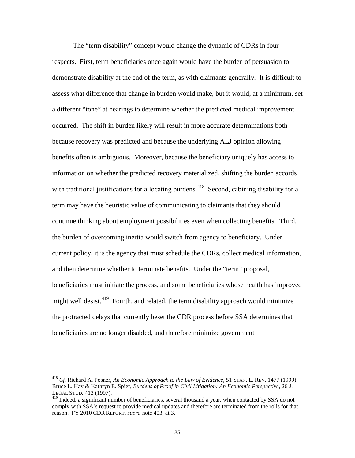The "term disability" concept would change the dynamic of CDRs in four respects. First, term beneficiaries once again would have the burden of persuasion to demonstrate disability at the end of the term, as with claimants generally. It is difficult to assess what difference that change in burden would make, but it would, at a minimum, set a different "tone" at hearings to determine whether the predicted medical improvement occurred. The shift in burden likely will result in more accurate determinations both because recovery was predicted and because the underlying ALJ opinion allowing benefits often is ambiguous. Moreover, because the beneficiary uniquely has access to information on whether the predicted recovery materialized, shifting the burden accords with traditional justifications for allocating burdens.<sup>418</sup> Second, cabining disability for a term may have the heuristic value of communicating to claimants that they should continue thinking about employment possibilities even when collecting benefits. Third, the burden of overcoming inertia would switch from agency to beneficiary. Under current policy, it is the agency that must schedule the CDRs, collect medical information, and then determine whether to terminate benefits. Under the "term" proposal, beneficiaries must initiate the process, and some beneficiaries whose health has improved might well desist.<sup>419</sup> Fourth, and related, the term disability approach would minimize the protracted delays that currently beset the CDR process before SSA determines that beneficiaries are no longer disabled, and therefore minimize government

 <sup>418</sup> *Cf.* Richard A. Posner, *An Economic Approach to the Law of Evidence*, 51 STAN. L. REV. 1477 (1999); Bruce L. Hay & Kathryn E. Spier, *Burdens of Proof in Civil Litigation: An Economic Perspective*, 26 J. LEGAL STUD. 413 (1997).

<span id="page-88-0"></span><sup>&</sup>lt;sup>419</sup> Indeed, a significant number of beneficiaries, several thousand a year, when contacted by SSA do not comply with SSA's request to provide medical updates and therefore are terminated from the rolls for that reason. FY 2010 CDR REPORT, *supra* note 403, at 3.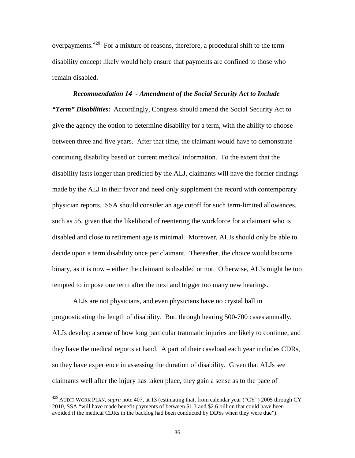overpayments.[420](#page-88-0) For a mixture of reasons, therefore, a procedural shift to the term disability concept likely would help ensure that payments are confined to those who remain disabled.

# *Recommendation 14 - Amendment of the Social Security Act to Include "Term" Disabilities:* Accordingly, Congress should amend the Social Security Act to give the agency the option to determine disability for a term, with the ability to choose between three and five years. After that time, the claimant would have to demonstrate continuing disability based on current medical information. To the extent that the disability lasts longer than predicted by the ALJ, claimants will have the former findings made by the ALJ in their favor and need only supplement the record with contemporary physician reports. SSA should consider an age cutoff for such term-limited allowances, such as 55, given that the likelihood of reentering the workforce for a claimant who is disabled and close to retirement age is minimal. Moreover, ALJs should only be able to decide upon a term disability once per claimant. Thereafter, the choice would become binary, as it is now – either the claimant is disabled or not. Otherwise, ALJs might be too tempted to impose one term after the next and trigger too many new hearings.

ALJs are not physicians, and even physicians have no crystal ball in prognosticating the length of disability. But, through hearing 500-700 cases annually, ALJs develop a sense of how long particular traumatic injuries are likely to continue, and they have the medical reports at hand. A part of their caseload each year includes CDRs, so they have experience in assessing the duration of disability. Given that ALJs see claimants well after the injury has taken place, they gain a sense as to the pace of

<span id="page-89-0"></span> <sup>420</sup> AUDIT WORK PLAN, *supra* note 407, at 13 (estimating that, from calendar year ("CY") 2005 through CY 2010, SSA "will have made benefit payments of between \$1.3 and \$2.6 billion that could have been avoided if the medical CDRs in the backlog had been conducted by DDSs when they were due").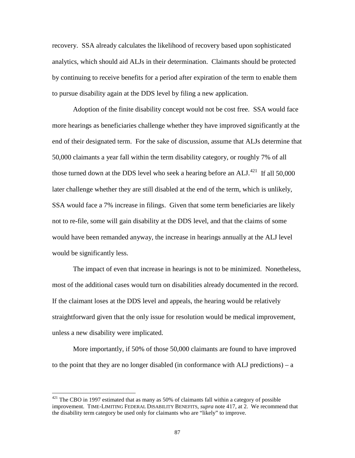recovery. SSA already calculates the likelihood of recovery based upon sophisticated analytics, which should aid ALJs in their determination. Claimants should be protected by continuing to receive benefits for a period after expiration of the term to enable them to pursue disability again at the DDS level by filing a new application.

Adoption of the finite disability concept would not be cost free. SSA would face more hearings as beneficiaries challenge whether they have improved significantly at the end of their designated term. For the sake of discussion, assume that ALJs determine that 50,000 claimants a year fall within the term disability category, or roughly 7% of all those turned down at the DDS level who seek a hearing before an ALJ.<sup>[421](#page-89-0)</sup> If all 50,000 later challenge whether they are still disabled at the end of the term, which is unlikely, SSA would face a 7% increase in filings. Given that some term beneficiaries are likely not to re-file, some will gain disability at the DDS level, and that the claims of some would have been remanded anyway, the increase in hearings annually at the ALJ level would be significantly less.

The impact of even that increase in hearings is not to be minimized. Nonetheless, most of the additional cases would turn on disabilities already documented in the record. If the claimant loses at the DDS level and appeals, the hearing would be relatively straightforward given that the only issue for resolution would be medical improvement, unless a new disability were implicated.

<span id="page-90-0"></span>More importantly, if 50% of those 50,000 claimants are found to have improved to the point that they are no longer disabled (in conformance with ALJ predictions) – a

<sup>&</sup>lt;sup>421</sup> The CBO in 1997 estimated that as many as 50% of claimants fall within a category of possible improvement. TIME-LIMITING FEDERAL DISABILITY BENEFITS, *supra* note 417, at 2. We recommend that the disability term category be used only for claimants who are "likely" to improve.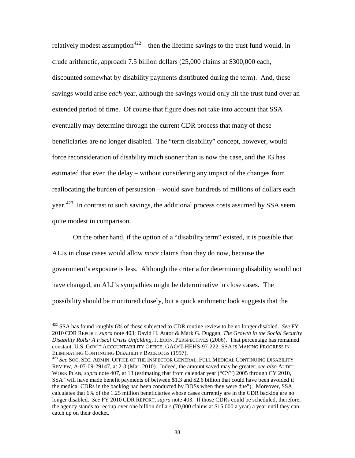relatively modest assumption<sup>[422](#page-90-0)</sup> – then the lifetime savings to the trust fund would, in crude arithmetic, approach 7.5 billion dollars (25,000 claims at \$300,000 each, discounted somewhat by disability payments distributed during the term). And, these savings would arise *each* year, although the savings would only hit the trust fund over an extended period of time. Of course that figure does not take into account that SSA eventually may determine through the current CDR process that many of those beneficiaries are no longer disabled. The "term disability" concept, however, would force reconsideration of disability much sooner than is now the case, and the IG has estimated that even the delay – without considering any impact of the changes from reallocating the burden of persuasion – would save hundreds of millions of dollars each year.<sup>[423](#page-91-0)</sup> In contrast to such savings, the additional process costs assumed by SSA seem quite modest in comparison.

On the other hand, if the option of a "disability term" existed, it is possible that ALJs in close cases would allow *more* claims than they do now, because the government's exposure is less. Although the criteria for determining disability would not have changed, an ALJ's sympathies might be determinative in close cases. The possibility should be monitored closely, but a quick arithmetic look suggests that the

 <sup>422</sup> SSA has found roughly 6% of those subjected to CDR routine review to be no longer disabled. *See* FY 2010 CDR REPORT, *supra* note 403; David H. Autor & Mark G. Duggan, *The Growth in the Social Security Disability Rolls: A Fiscal Crisis Unfolding*, J. ECON. PERSPECTIVES (2006). That percentage has remained constant. U.S. GOV'T ACCOUNTABILITY OFFICE, GAO/T-HEHS-97-222, SSA IS MAKING PROGRESS IN ELIMINATING CONTINUING DISABILITY BACKLOGS (1997).

<span id="page-91-1"></span><span id="page-91-0"></span><sup>&</sup>lt;sup>423</sup> See Soc. Sec. Admin. Office of the Inspector General, Full Medical Continuing Disability REVIEW, A-07-09-29147, at 2-3 (Mar. 2010). Indeed, the amount saved may be greater; *see also* AUDIT WORK PLAN, *supra* note 407, at 13 (estimating that from calendar year ("CY") 2005 through CY 2010, SSA "will have made benefit payments of between \$1.3 and \$2.6 billion that could have been avoided if the medical CDRs in the backlog had been conducted by DDSs when they were due"). Moreover, SSA calculates that 6% of the 1.25 million beneficiaries whose cases currently are in the CDR backlog are no longer disabled. *See* FY 2010 CDR REPORT, *supra* note 403. If those CDRs could be scheduled, therefore, the agency stands to recoup over one billion dollars (70,000 claims at \$15,000 a year) a year until they can catch up on their docket.